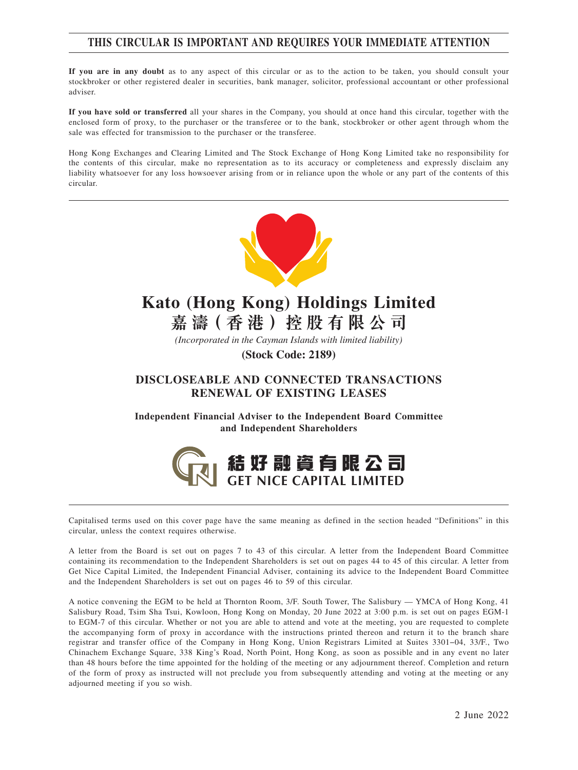# **THIS CIRCULAR IS IMPORTANT AND REQUIRES YOUR IMMEDIATE ATTENTION**

**If you are in any doubt** as to any aspect of this circular or as to the action to be taken, you should consult your stockbroker or other registered dealer in securities, bank manager, solicitor, professional accountant or other professional adviser.

**If you have sold or transferred** all your shares in the Company, you should at once hand this circular, together with the enclosed form of proxy, to the purchaser or the transferee or to the bank, stockbroker or other agent through whom the sale was effected for transmission to the purchaser or the transferee.

Hong Kong Exchanges and Clearing Limited and The Stock Exchange of Hong Kong Limited take no responsibility for the contents of this circular, make no representation as to its accuracy or completeness and expressly disclaim any liability whatsoever for any loss howsoever arising from or in reliance upon the whole or any part of the contents of this circular.



# **Kato (Hong Kong) Holdings Limited**

**嘉 濤( 香 港 )控 股 有 限 公 司**

*(Incorporated in the Cayman Islands with limited liability)* **(Stock Code: 2189)**

## **DISCLOSEABLE AND CONNECTED TRANSACTIONS RENEWAL OF EXISTING LEASES**

**Independent Financial Adviser to the Independent Board Committee and Independent Shareholders**



Capitalised terms used on this cover page have the same meaning as defined in the section headed "Definitions" in this circular, unless the context requires otherwise.

A letter from the Board is set out on pages 7 to 43 of this circular. A letter from the Independent Board Committee containing its recommendation to the Independent Shareholders is set out on pages 44 to 45 of this circular. A letter from Get Nice Capital Limited, the Independent Financial Adviser, containing its advice to the Independent Board Committee and the Independent Shareholders is set out on pages 46 to 59 of this circular.

A notice convening the EGM to be held at Thornton Room, 3/F. South Tower, The Salisbury — YMCA of Hong Kong, 41 Salisbury Road, Tsim Sha Tsui, Kowloon, Hong Kong on Monday, 20 June 2022 at 3:00 p.m. is set out on pages EGM-1 to EGM-7 of this circular. Whether or not you are able to attend and vote at the meeting, you are requested to complete the accompanying form of proxy in accordance with the instructions printed thereon and return it to the branch share registrar and transfer office of the Company in Hong Kong, Union Registrars Limited at Suites 3301−04, 33/F., Two Chinachem Exchange Square, 338 King's Road, North Point, Hong Kong, as soon as possible and in any event no later than 48 hours before the time appointed for the holding of the meeting or any adjournment thereof. Completion and return of the form of proxy as instructed will not preclude you from subsequently attending and voting at the meeting or any adjourned meeting if you so wish.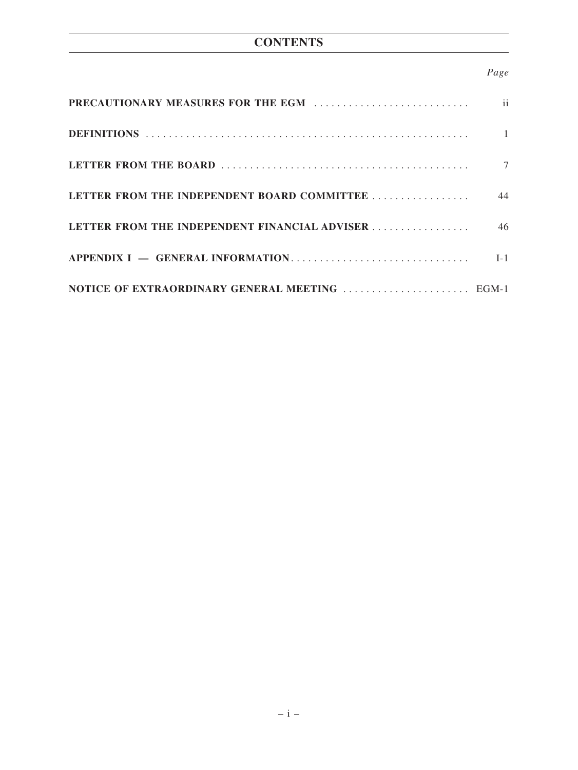# **CONTENTS**

# *Page*

|                                               | $\mathbf{ii}$ |
|-----------------------------------------------|---------------|
|                                               | $\mathbf{1}$  |
|                                               | 7             |
| LETTER FROM THE INDEPENDENT BOARD COMMITTEE   | 44            |
| LETTER FROM THE INDEPENDENT FINANCIAL ADVISER | 46            |
|                                               | $I-1$         |
|                                               |               |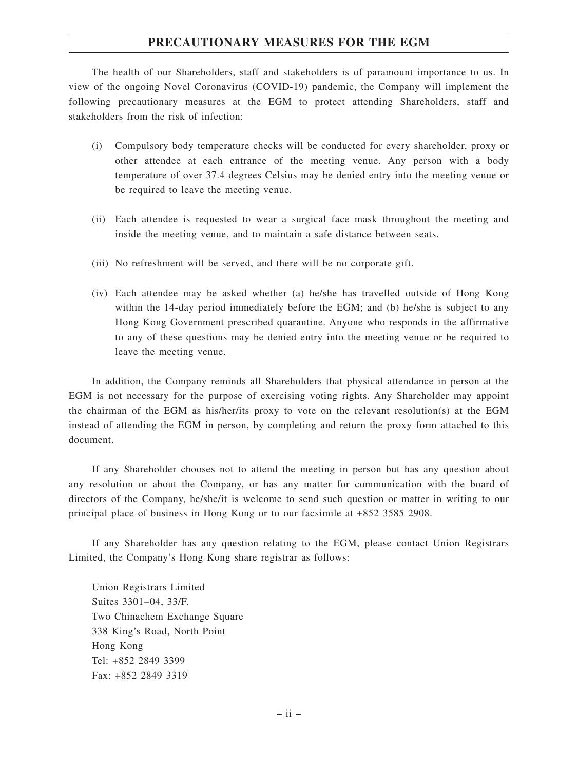## **PRECAUTIONARY MEASURES FOR THE EGM**

The health of our Shareholders, staff and stakeholders is of paramount importance to us. In view of the ongoing Novel Coronavirus (COVID-19) pandemic, the Company will implement the following precautionary measures at the EGM to protect attending Shareholders, staff and stakeholders from the risk of infection:

- (i) Compulsory body temperature checks will be conducted for every shareholder, proxy or other attendee at each entrance of the meeting venue. Any person with a body temperature of over 37.4 degrees Celsius may be denied entry into the meeting venue or be required to leave the meeting venue.
- (ii) Each attendee is requested to wear a surgical face mask throughout the meeting and inside the meeting venue, and to maintain a safe distance between seats.
- (iii) No refreshment will be served, and there will be no corporate gift.
- (iv) Each attendee may be asked whether (a) he/she has travelled outside of Hong Kong within the 14-day period immediately before the EGM; and (b) he/she is subject to any Hong Kong Government prescribed quarantine. Anyone who responds in the affirmative to any of these questions may be denied entry into the meeting venue or be required to leave the meeting venue.

In addition, the Company reminds all Shareholders that physical attendance in person at the EGM is not necessary for the purpose of exercising voting rights. Any Shareholder may appoint the chairman of the EGM as his/her/its proxy to vote on the relevant resolution(s) at the EGM instead of attending the EGM in person, by completing and return the proxy form attached to this document.

If any Shareholder chooses not to attend the meeting in person but has any question about any resolution or about the Company, or has any matter for communication with the board of directors of the Company, he/she/it is welcome to send such question or matter in writing to our principal place of business in Hong Kong or to our facsimile at +852 3585 2908.

If any Shareholder has any question relating to the EGM, please contact Union Registrars Limited, the Company's Hong Kong share registrar as follows:

Union Registrars Limited Suites 3301−04, 33/F. Two Chinachem Exchange Square 338 King's Road, North Point Hong Kong Tel: +852 2849 3399 Fax: +852 2849 3319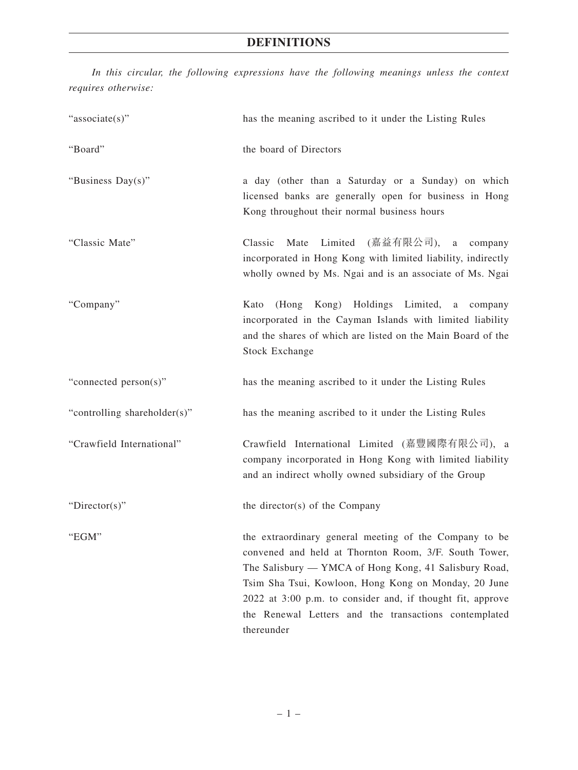*In this circular, the following expressions have the following meanings unless the context requires otherwise:*

| "associate(s)"               | has the meaning ascribed to it under the Listing Rules                                                                                                                                                                                                                                                                                                                |
|------------------------------|-----------------------------------------------------------------------------------------------------------------------------------------------------------------------------------------------------------------------------------------------------------------------------------------------------------------------------------------------------------------------|
| "Board"                      | the board of Directors                                                                                                                                                                                                                                                                                                                                                |
| "Business Day(s)"            | a day (other than a Saturday or a Sunday) on which<br>licensed banks are generally open for business in Hong<br>Kong throughout their normal business hours                                                                                                                                                                                                           |
| "Classic Mate"               | Limited (嘉益有限公司),<br>Classic<br>Mate<br>a company<br>incorporated in Hong Kong with limited liability, indirectly<br>wholly owned by Ms. Ngai and is an associate of Ms. Ngai                                                                                                                                                                                         |
| "Company"                    | (Hong Kong) Holdings Limited, a company<br>Kato<br>incorporated in the Cayman Islands with limited liability<br>and the shares of which are listed on the Main Board of the<br><b>Stock Exchange</b>                                                                                                                                                                  |
| "connected person(s)"        | has the meaning ascribed to it under the Listing Rules                                                                                                                                                                                                                                                                                                                |
| "controlling shareholder(s)" | has the meaning ascribed to it under the Listing Rules                                                                                                                                                                                                                                                                                                                |
| "Crawfield International"    | Crawfield International Limited (嘉豐國際有限公司), a<br>company incorporated in Hong Kong with limited liability<br>and an indirect wholly owned subsidiary of the Group                                                                                                                                                                                                     |
| "Director(s)"                | the director(s) of the Company                                                                                                                                                                                                                                                                                                                                        |
| "EGM"                        | the extraordinary general meeting of the Company to be<br>convened and held at Thornton Room, 3/F. South Tower,<br>The Salisbury — YMCA of Hong Kong, 41 Salisbury Road,<br>Tsim Sha Tsui, Kowloon, Hong Kong on Monday, 20 June<br>2022 at 3:00 p.m. to consider and, if thought fit, approve<br>the Renewal Letters and the transactions contemplated<br>thereunder |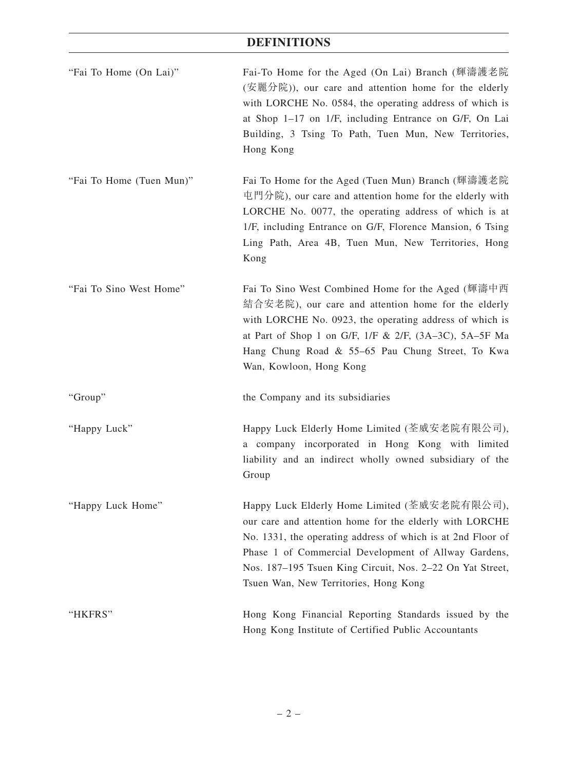| "Fai To Home (On Lai)"   | Fai-To Home for the Aged (On Lai) Branch (輝濤護老院<br>(安麗分院)), our care and attention home for the elderly<br>with LORCHE No. 0584, the operating address of which is<br>at Shop 1-17 on 1/F, including Entrance on G/F, On Lai<br>Building, 3 Tsing To Path, Tuen Mun, New Territories,<br>Hong Kong                                   |
|--------------------------|--------------------------------------------------------------------------------------------------------------------------------------------------------------------------------------------------------------------------------------------------------------------------------------------------------------------------------------|
| "Fai To Home (Tuen Mun)" | Fai To Home for the Aged (Tuen Mun) Branch (輝濤護老院<br>屯門分院), our care and attention home for the elderly with<br>LORCHE No. 0077, the operating address of which is at<br>1/F, including Entrance on G/F, Florence Mansion, 6 Tsing<br>Ling Path, Area 4B, Tuen Mun, New Territories, Hong<br>Kong                                    |
| "Fai To Sino West Home"  | Fai To Sino West Combined Home for the Aged (輝濤中西<br>結合安老院), our care and attention home for the elderly<br>with LORCHE No. 0923, the operating address of which is<br>at Part of Shop 1 on G/F, $1/F & 2/F$ , $(3A-3C)$ , $5A-5F$ Ma<br>Hang Chung Road & 55-65 Pau Chung Street, To Kwa<br>Wan, Kowloon, Hong Kong                 |
| "Group"                  | the Company and its subsidiaries                                                                                                                                                                                                                                                                                                     |
| "Happy Luck"             | Happy Luck Elderly Home Limited (荃威安老院有限公司),<br>a company incorporated in Hong Kong with limited<br>liability and an indirect wholly owned subsidiary of the<br>Group                                                                                                                                                                |
| "Happy Luck Home"        | Happy Luck Elderly Home Limited (荃威安老院有限公司),<br>our care and attention home for the elderly with LORCHE<br>No. 1331, the operating address of which is at 2nd Floor of<br>Phase 1 of Commercial Development of Allway Gardens,<br>Nos. 187–195 Tsuen King Circuit, Nos. 2–22 On Yat Street,<br>Tsuen Wan, New Territories, Hong Kong |
| "HKFRS"                  | Hong Kong Financial Reporting Standards issued by the<br>Hong Kong Institute of Certified Public Accountants                                                                                                                                                                                                                         |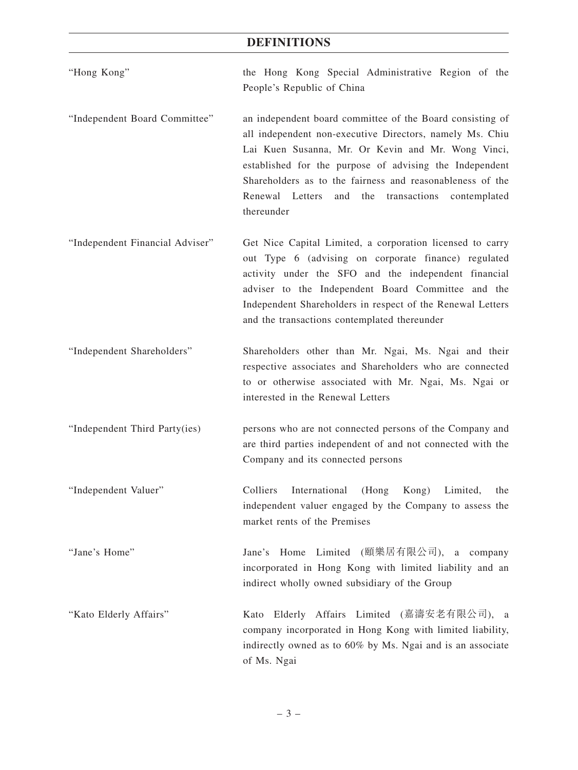- "Hong Kong" the Hong Kong Special Administrative Region of the People's Republic of China
- "Independent Board Committee" an independent board committee of the Board consisting of all independent non-executive Directors, namely Ms. Chiu Lai Kuen Susanna, Mr. Or Kevin and Mr. Wong Vinci, established for the purpose of advising the Independent Shareholders as to the fairness and reasonableness of the Renewal Letters and the transactions contemplated thereunder
- "Independent Financial Adviser" Get Nice Capital Limited, a corporation licensed to carry out Type 6 (advising on corporate finance) regulated activity under the SFO and the independent financial adviser to the Independent Board Committee and the Independent Shareholders in respect of the Renewal Letters and the transactions contemplated thereunder
- "Independent Shareholders" Shareholders other than Mr. Ngai, Ms. Ngai and their respective associates and Shareholders who are connected to or otherwise associated with Mr. Ngai, Ms. Ngai or interested in the Renewal Letters
- "Independent Third Party(ies) persons who are not connected persons of the Company and are third parties independent of and not connected with the Company and its connected persons
- "Independent Valuer" Colliers International (Hong Kong) Limited, the independent valuer engaged by the Company to assess the market rents of the Premises
- "Jane's Home" Jane's Home Limited (頤樂居有限公司), a company incorporated in Hong Kong with limited liability and an indirect wholly owned subsidiary of the Group
- "Kato Elderly Affairs" Kato Elderly Affairs Limited (嘉濤安老有限公司), a company incorporated in Hong Kong with limited liability, indirectly owned as to 60% by Ms. Ngai and is an associate of Ms. Ngai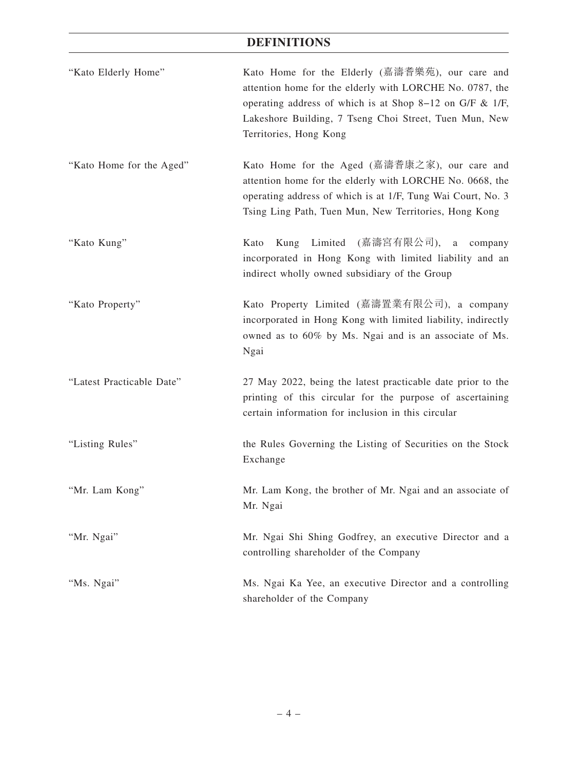| "Kato Elderly Home"       | Kato Home for the Elderly (嘉濤耆樂苑), our care and<br>attention home for the elderly with LORCHE No. 0787, the<br>operating address of which is at Shop 8-12 on G/F $\&$ 1/F,<br>Lakeshore Building, 7 Tseng Choi Street, Tuen Mun, New<br>Territories, Hong Kong |
|---------------------------|----------------------------------------------------------------------------------------------------------------------------------------------------------------------------------------------------------------------------------------------------------------|
| "Kato Home for the Aged"  | Kato Home for the Aged (嘉濤耆康之家), our care and<br>attention home for the elderly with LORCHE No. 0668, the<br>operating address of which is at 1/F, Tung Wai Court, No. 3<br>Tsing Ling Path, Tuen Mun, New Territories, Hong Kong                              |
| "Kato Kung"               | Kung Limited (嘉濤宮有限公司),<br>a company<br>Kato<br>incorporated in Hong Kong with limited liability and an<br>indirect wholly owned subsidiary of the Group                                                                                                       |
| "Kato Property"           | Kato Property Limited (嘉濤置業有限公司), a company<br>incorporated in Hong Kong with limited liability, indirectly<br>owned as to 60% by Ms. Ngai and is an associate of Ms.<br>Ngai                                                                                  |
| "Latest Practicable Date" | 27 May 2022, being the latest practicable date prior to the<br>printing of this circular for the purpose of ascertaining<br>certain information for inclusion in this circular                                                                                 |
| "Listing Rules"           | the Rules Governing the Listing of Securities on the Stock<br>Exchange                                                                                                                                                                                         |
| "Mr. Lam Kong"            | Mr. Lam Kong, the brother of Mr. Ngai and an associate of<br>Mr. Ngai                                                                                                                                                                                          |
| "Mr. Ngai"                | Mr. Ngai Shi Shing Godfrey, an executive Director and a<br>controlling shareholder of the Company                                                                                                                                                              |
| "Ms. Ngai"                | Ms. Ngai Ka Yee, an executive Director and a controlling<br>shareholder of the Company                                                                                                                                                                         |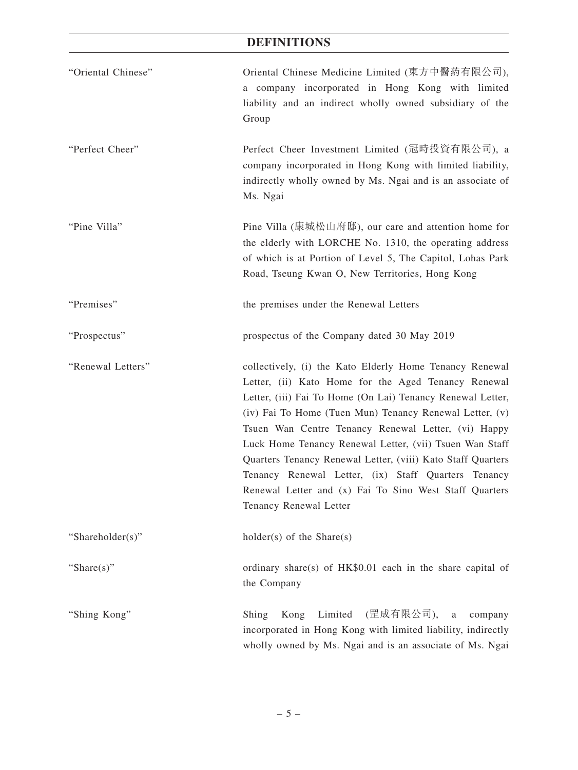| "Oriental Chinese" | Oriental Chinese Medicine Limited (東方中醫葯有限公司),<br>a company incorporated in Hong Kong with limited<br>liability and an indirect wholly owned subsidiary of the<br>Group                                                                                                                                                                                                                                                                                                                                                                                             |
|--------------------|---------------------------------------------------------------------------------------------------------------------------------------------------------------------------------------------------------------------------------------------------------------------------------------------------------------------------------------------------------------------------------------------------------------------------------------------------------------------------------------------------------------------------------------------------------------------|
| "Perfect Cheer"    | Perfect Cheer Investment Limited (冠時投資有限公司), a<br>company incorporated in Hong Kong with limited liability,<br>indirectly wholly owned by Ms. Ngai and is an associate of<br>Ms. Ngai                                                                                                                                                                                                                                                                                                                                                                               |
| "Pine Villa"       | Pine Villa (康城松山府邸), our care and attention home for<br>the elderly with LORCHE No. 1310, the operating address<br>of which is at Portion of Level 5, The Capitol, Lohas Park<br>Road, Tseung Kwan O, New Territories, Hong Kong                                                                                                                                                                                                                                                                                                                                    |
| "Premises"         | the premises under the Renewal Letters                                                                                                                                                                                                                                                                                                                                                                                                                                                                                                                              |
| "Prospectus"       | prospectus of the Company dated 30 May 2019                                                                                                                                                                                                                                                                                                                                                                                                                                                                                                                         |
| "Renewal Letters"  | collectively, (i) the Kato Elderly Home Tenancy Renewal<br>Letter, (ii) Kato Home for the Aged Tenancy Renewal<br>Letter, (iii) Fai To Home (On Lai) Tenancy Renewal Letter,<br>(iv) Fai To Home (Tuen Mun) Tenancy Renewal Letter, (v)<br>Tsuen Wan Centre Tenancy Renewal Letter, (vi) Happy<br>Luck Home Tenancy Renewal Letter, (vii) Tsuen Wan Staff<br>Quarters Tenancy Renewal Letter, (viii) Kato Staff Quarters<br>Tenancy Renewal Letter, (ix) Staff Quarters Tenancy<br>Renewal Letter and (x) Fai To Sino West Staff Quarters<br>Tenancy Renewal Letter |
| "Shareholder(s)"   | $holder(s)$ of the Share(s)                                                                                                                                                                                                                                                                                                                                                                                                                                                                                                                                         |
| "Share $(s)$ "     | ordinary share(s) of HK\$0.01 each in the share capital of<br>the Company                                                                                                                                                                                                                                                                                                                                                                                                                                                                                           |
| "Shing Kong"       | (罡成有限公司),<br>Limited<br>Kong<br>Shing<br>$\mathbf{a}$<br>company<br>incorporated in Hong Kong with limited liability, indirectly<br>wholly owned by Ms. Ngai and is an associate of Ms. Ngai                                                                                                                                                                                                                                                                                                                                                                        |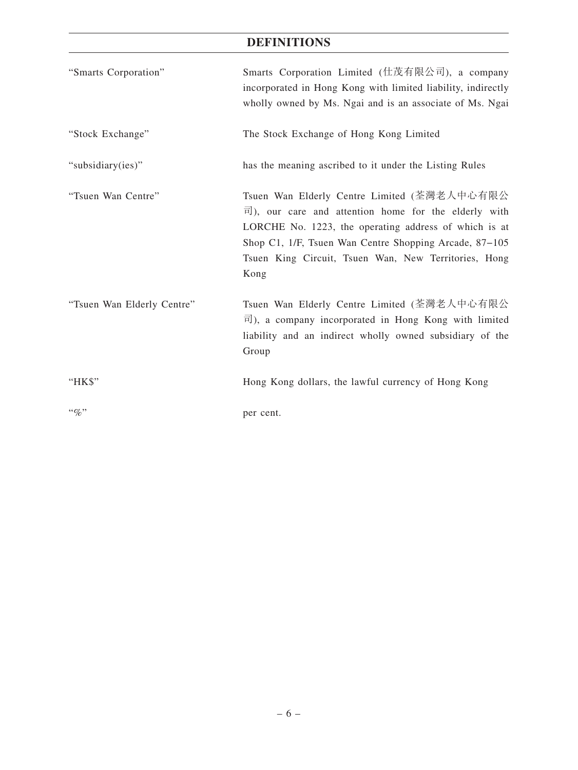| "Smarts Corporation"       | Smarts Corporation Limited (仕茂有限公司), a company<br>incorporated in Hong Kong with limited liability, indirectly<br>wholly owned by Ms. Ngai and is an associate of Ms. Ngai                                                                                                                           |
|----------------------------|------------------------------------------------------------------------------------------------------------------------------------------------------------------------------------------------------------------------------------------------------------------------------------------------------|
| "Stock Exchange"           | The Stock Exchange of Hong Kong Limited                                                                                                                                                                                                                                                              |
| "subsidiary(ies)"          | has the meaning ascribed to it under the Listing Rules                                                                                                                                                                                                                                               |
| "Tsuen Wan Centre"         | Tsuen Wan Elderly Centre Limited (荃灣老人中心有限公<br>$\overline{r}$ ), our care and attention home for the elderly with<br>LORCHE No. 1223, the operating address of which is at<br>Shop C1, 1/F, Tsuen Wan Centre Shopping Arcade, 87–105<br>Tsuen King Circuit, Tsuen Wan, New Territories, Hong<br>Kong |
| "Tsuen Wan Elderly Centre" | Tsuen Wan Elderly Centre Limited (荃灣老人中心有限公<br>$\overline{\mathbb{E}}$ ), a company incorporated in Hong Kong with limited<br>liability and an indirect wholly owned subsidiary of the<br>Group                                                                                                      |
| "HK\$"                     | Hong Kong dollars, the lawful currency of Hong Kong                                                                                                                                                                                                                                                  |
| $``\%"$                    | per cent.                                                                                                                                                                                                                                                                                            |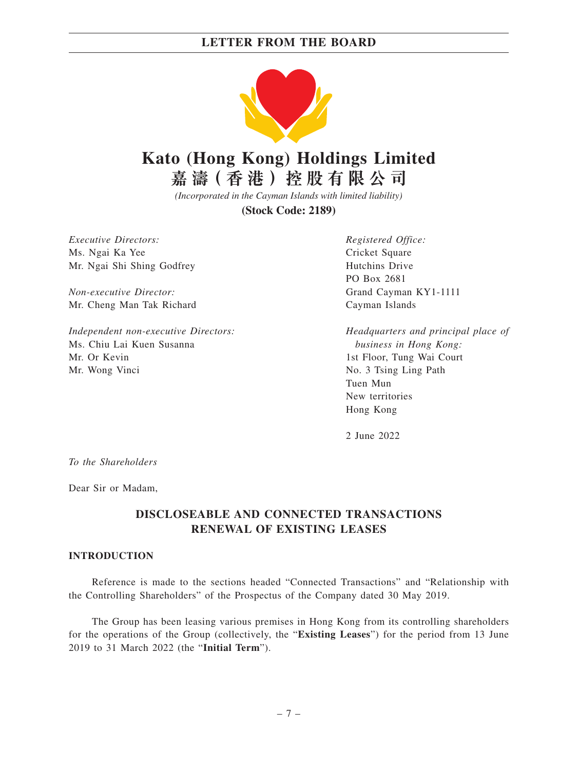

# **Kato (Hong Kong) Holdings Limited**

**嘉 濤( 香 港 )控 股 有 限 公 司**

*(Incorporated in the Cayman Islands with limited liability)*

**(Stock Code: 2189)**

*Executive Directors:* Ms. Ngai Ka Yee Mr. Ngai Shi Shing Godfrey

*Non-executive Director:* Mr. Cheng Man Tak Richard

*Independent non-executive Directors:* Ms. Chiu Lai Kuen Susanna Mr. Or Kevin Mr. Wong Vinci

*Registered Office:* Cricket Square Hutchins Drive PO Box 2681 Grand Cayman KY1-1111 Cayman Islands

*Headquarters and principal place of business in Hong Kong:* 1st Floor, Tung Wai Court No. 3 Tsing Ling Path Tuen Mun New territories Hong Kong

2 June 2022

*To the Shareholders*

Dear Sir or Madam,

# **DISCLOSEABLE AND CONNECTED TRANSACTIONS RENEWAL OF EXISTING LEASES**

#### **INTRODUCTION**

Reference is made to the sections headed "Connected Transactions" and "Relationship with the Controlling Shareholders" of the Prospectus of the Company dated 30 May 2019.

The Group has been leasing various premises in Hong Kong from its controlling shareholders for the operations of the Group (collectively, the "**Existing Leases**") for the period from 13 June 2019 to 31 March 2022 (the "**Initial Term**").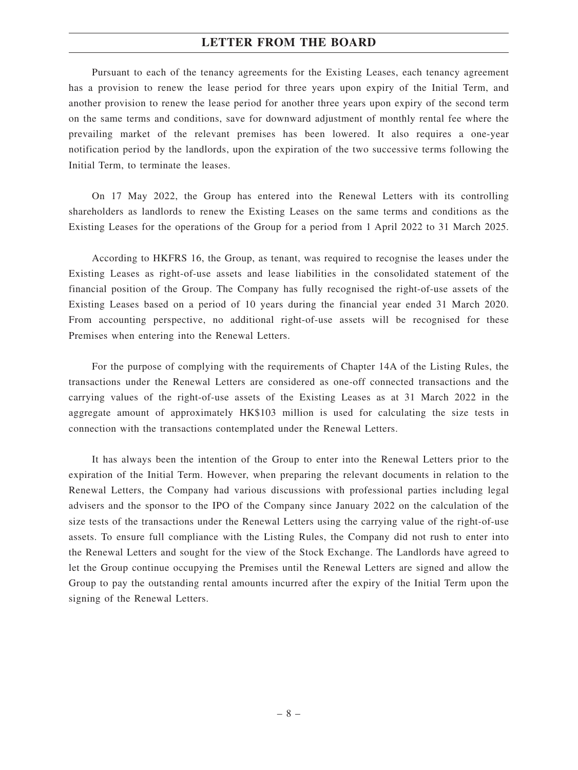Pursuant to each of the tenancy agreements for the Existing Leases, each tenancy agreement has a provision to renew the lease period for three years upon expiry of the Initial Term, and another provision to renew the lease period for another three years upon expiry of the second term on the same terms and conditions, save for downward adjustment of monthly rental fee where the prevailing market of the relevant premises has been lowered. It also requires a one-year notification period by the landlords, upon the expiration of the two successive terms following the Initial Term, to terminate the leases.

On 17 May 2022, the Group has entered into the Renewal Letters with its controlling shareholders as landlords to renew the Existing Leases on the same terms and conditions as the Existing Leases for the operations of the Group for a period from 1 April 2022 to 31 March 2025.

According to HKFRS 16, the Group, as tenant, was required to recognise the leases under the Existing Leases as right-of-use assets and lease liabilities in the consolidated statement of the financial position of the Group. The Company has fully recognised the right-of-use assets of the Existing Leases based on a period of 10 years during the financial year ended 31 March 2020. From accounting perspective, no additional right-of-use assets will be recognised for these Premises when entering into the Renewal Letters.

For the purpose of complying with the requirements of Chapter 14A of the Listing Rules, the transactions under the Renewal Letters are considered as one-off connected transactions and the carrying values of the right-of-use assets of the Existing Leases as at 31 March 2022 in the aggregate amount of approximately HK\$103 million is used for calculating the size tests in connection with the transactions contemplated under the Renewal Letters.

It has always been the intention of the Group to enter into the Renewal Letters prior to the expiration of the Initial Term. However, when preparing the relevant documents in relation to the Renewal Letters, the Company had various discussions with professional parties including legal advisers and the sponsor to the IPO of the Company since January 2022 on the calculation of the size tests of the transactions under the Renewal Letters using the carrying value of the right-of-use assets. To ensure full compliance with the Listing Rules, the Company did not rush to enter into the Renewal Letters and sought for the view of the Stock Exchange. The Landlords have agreed to let the Group continue occupying the Premises until the Renewal Letters are signed and allow the Group to pay the outstanding rental amounts incurred after the expiry of the Initial Term upon the signing of the Renewal Letters.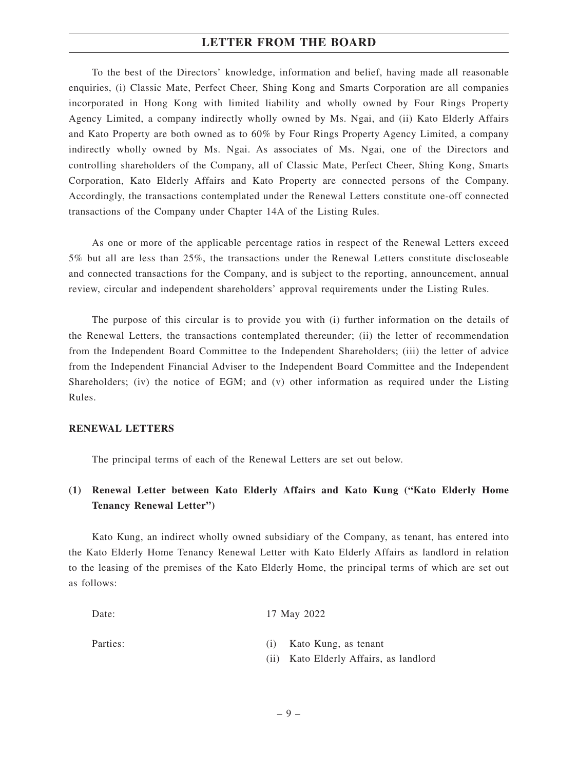To the best of the Directors' knowledge, information and belief, having made all reasonable enquiries, (i) Classic Mate, Perfect Cheer, Shing Kong and Smarts Corporation are all companies incorporated in Hong Kong with limited liability and wholly owned by Four Rings Property Agency Limited, a company indirectly wholly owned by Ms. Ngai, and (ii) Kato Elderly Affairs and Kato Property are both owned as to 60% by Four Rings Property Agency Limited, a company indirectly wholly owned by Ms. Ngai. As associates of Ms. Ngai, one of the Directors and controlling shareholders of the Company, all of Classic Mate, Perfect Cheer, Shing Kong, Smarts Corporation, Kato Elderly Affairs and Kato Property are connected persons of the Company. Accordingly, the transactions contemplated under the Renewal Letters constitute one-off connected transactions of the Company under Chapter 14A of the Listing Rules.

As one or more of the applicable percentage ratios in respect of the Renewal Letters exceed 5% but all are less than 25%, the transactions under the Renewal Letters constitute discloseable and connected transactions for the Company, and is subject to the reporting, announcement, annual review, circular and independent shareholders' approval requirements under the Listing Rules.

The purpose of this circular is to provide you with (i) further information on the details of the Renewal Letters, the transactions contemplated thereunder; (ii) the letter of recommendation from the Independent Board Committee to the Independent Shareholders; (iii) the letter of advice from the Independent Financial Adviser to the Independent Board Committee and the Independent Shareholders; (iv) the notice of EGM; and (v) other information as required under the Listing Rules.

#### **RENEWAL LETTERS**

The principal terms of each of the Renewal Letters are set out below.

# **(1) Renewal Letter between Kato Elderly Affairs and Kato Kung ("Kato Elderly Home Tenancy Renewal Letter")**

Kato Kung, an indirect wholly owned subsidiary of the Company, as tenant, has entered into the Kato Elderly Home Tenancy Renewal Letter with Kato Elderly Affairs as landlord in relation to the leasing of the premises of the Kato Elderly Home, the principal terms of which are set out as follows:

| Date:    | 17 May 2022                            |
|----------|----------------------------------------|
| Parties: | Kato Kung, as tenant                   |
|          | (ii) Kato Elderly Affairs, as landlord |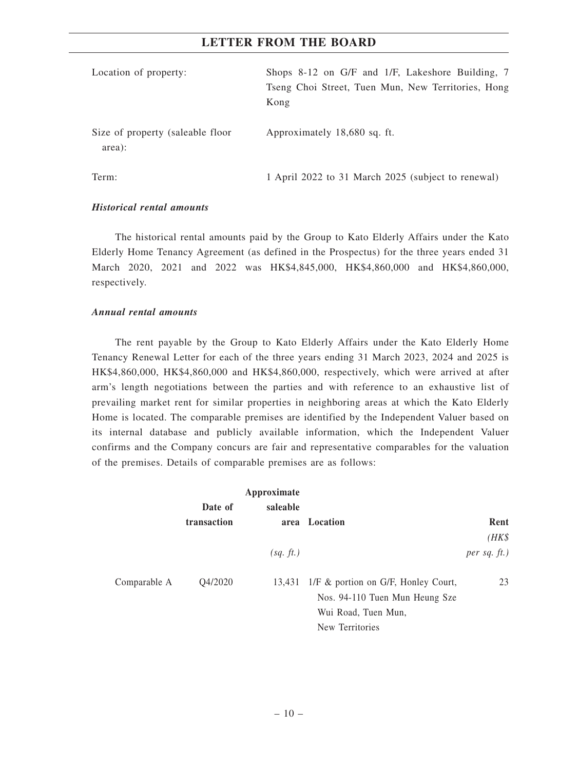| Location of property:                      | Shops 8-12 on G/F and 1/F, Lakeshore Building, 7<br>Tseng Choi Street, Tuen Mun, New Territories, Hong<br>Kong |
|--------------------------------------------|----------------------------------------------------------------------------------------------------------------|
| Size of property (saleable floor<br>area): | Approximately 18,680 sq. ft.                                                                                   |
| Term:                                      | 1 April 2022 to 31 March 2025 (subject to renewal)                                                             |

#### *Historical rental amounts*

The historical rental amounts paid by the Group to Kato Elderly Affairs under the Kato Elderly Home Tenancy Agreement (as defined in the Prospectus) for the three years ended 31 March 2020, 2021 and 2022 was HK\$4,845,000, HK\$4,860,000 and HK\$4,860,000, respectively.

## *Annual rental amounts*

The rent payable by the Group to Kato Elderly Affairs under the Kato Elderly Home Tenancy Renewal Letter for each of the three years ending 31 March 2023, 2024 and 2025 is HK\$4,860,000, HK\$4,860,000 and HK\$4,860,000, respectively, which were arrived at after arm's length negotiations between the parties and with reference to an exhaustive list of prevailing market rent for similar properties in neighboring areas at which the Kato Elderly Home is located. The comparable premises are identified by the Independent Valuer based on its internal database and publicly available information, which the Independent Valuer confirms and the Company concurs are fair and representative comparables for the valuation of the premises. Details of comparable premises are as follows:

|              |             | Approximate |                                     |                   |
|--------------|-------------|-------------|-------------------------------------|-------------------|
|              | Date of     | saleable    |                                     |                   |
|              | transaction |             | area Location                       | Rent              |
|              |             |             |                                     | $(HK\$            |
|              |             | (sq. ft.)   |                                     | $per$ sq. $ft.$ ) |
| Comparable A | Q4/2020     | 13,431      | 1/F & portion on G/F, Honley Court, | 23                |
|              |             |             | Nos. 94-110 Tuen Mun Heung Sze      |                   |
|              |             |             | Wui Road, Tuen Mun,                 |                   |
|              |             |             | New Territories                     |                   |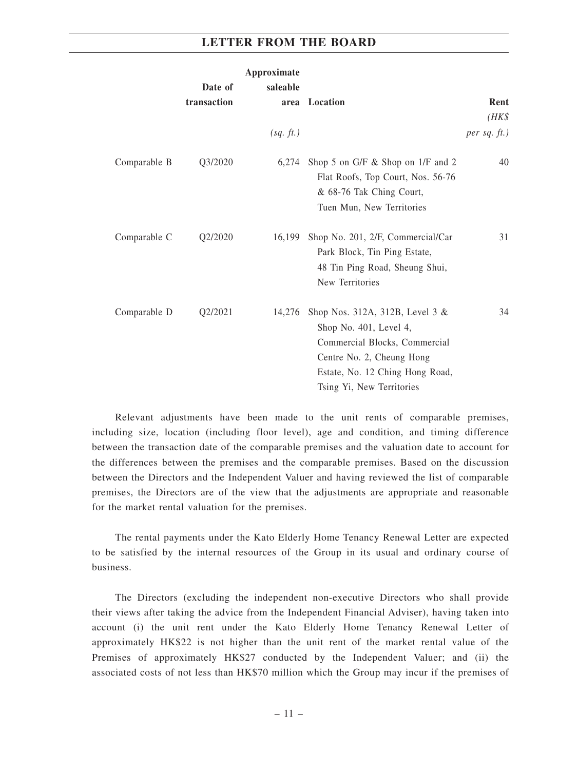|              |             | Approximate |                                                                                                                                                                                         |                   |
|--------------|-------------|-------------|-----------------------------------------------------------------------------------------------------------------------------------------------------------------------------------------|-------------------|
|              | Date of     | saleable    |                                                                                                                                                                                         |                   |
|              | transaction |             | area Location                                                                                                                                                                           | Rent              |
|              |             |             |                                                                                                                                                                                         | $(HK\$            |
|              |             | (sq. ft.)   |                                                                                                                                                                                         | $per$ sq. $ft.$ ) |
| Comparable B | Q3/2020     |             | $6,274$ Shop 5 on G/F & Shop on 1/F and 2<br>Flat Roofs, Top Court, Nos. 56-76<br>& 68-76 Tak Ching Court,<br>Tuen Mun, New Territories                                                 | 40                |
| Comparable C | Q2/2020     | 16,199      | Shop No. 201, 2/F, Commercial/Car<br>Park Block, Tin Ping Estate,<br>48 Tin Ping Road, Sheung Shui,<br>New Territories                                                                  | 31                |
| Comparable D | Q2/2021     | 14,276      | Shop Nos. 312A, 312B, Level 3 &<br>Shop No. 401, Level 4,<br>Commercial Blocks, Commercial<br>Centre No. 2, Cheung Hong<br>Estate, No. 12 Ching Hong Road,<br>Tsing Yi, New Territories | 34                |

Relevant adjustments have been made to the unit rents of comparable premises, including size, location (including floor level), age and condition, and timing difference between the transaction date of the comparable premises and the valuation date to account for the differences between the premises and the comparable premises. Based on the discussion between the Directors and the Independent Valuer and having reviewed the list of comparable premises, the Directors are of the view that the adjustments are appropriate and reasonable for the market rental valuation for the premises.

The rental payments under the Kato Elderly Home Tenancy Renewal Letter are expected to be satisfied by the internal resources of the Group in its usual and ordinary course of business.

The Directors (excluding the independent non-executive Directors who shall provide their views after taking the advice from the Independent Financial Adviser), having taken into account (i) the unit rent under the Kato Elderly Home Tenancy Renewal Letter of approximately HK\$22 is not higher than the unit rent of the market rental value of the Premises of approximately HK\$27 conducted by the Independent Valuer; and (ii) the associated costs of not less than HK\$70 million which the Group may incur if the premises of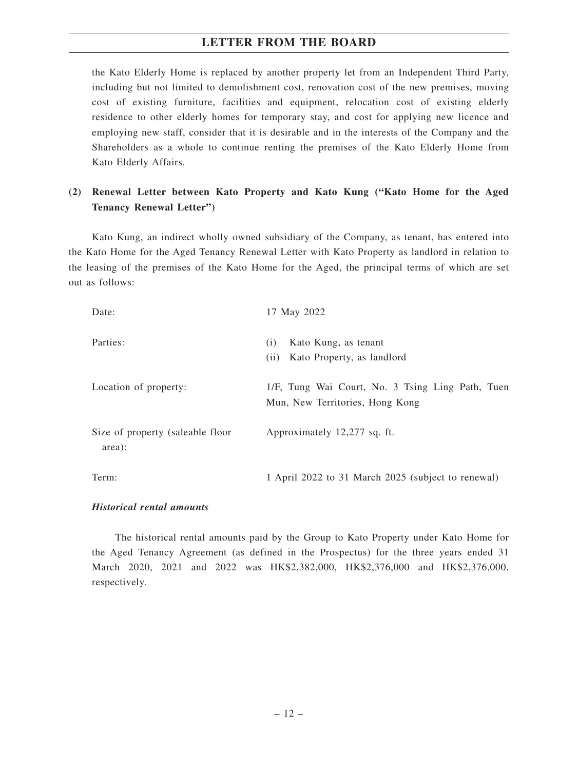the Kato Elderly Home is replaced by another property let from an Independent Third Party, including but not limited to demolishment cost, renovation cost of the new premises, moving cost of existing furniture, facilities and equipment, relocation cost of existing elderly residence to other elderly homes for temporary stay, and cost for applying new licence and employing new staff, consider that it is desirable and in the interests of the Company and the Shareholders as a whole to continue renting the premises of the Kato Elderly Home from Kato Elderly Affairs.

# **(2) Renewal Letter between Kato Property and Kato Kung ("Kato Home for the Aged Tenancy Renewal Letter")**

Kato Kung, an indirect wholly owned subsidiary of the Company, as tenant, has entered into the Kato Home for the Aged Tenancy Renewal Letter with Kato Property as landlord in relation to the leasing of the premises of the Kato Home for the Aged, the principal terms of which are set out as follows:

| Date:                                      | 17 May 2022                                                                         |
|--------------------------------------------|-------------------------------------------------------------------------------------|
| Parties:                                   | Kato Kung, as tenant<br>(i)<br>Kato Property, as landlord<br>(11)                   |
| Location of property:                      | 1/F, Tung Wai Court, No. 3 Tsing Ling Path, Tuen<br>Mun, New Territories, Hong Kong |
| Size of property (saleable floor<br>area): | Approximately 12,277 sq. ft.                                                        |
| Term:                                      | 1 April 2022 to 31 March 2025 (subject to renewal)                                  |

#### *Historical rental amounts*

The historical rental amounts paid by the Group to Kato Property under Kato Home for the Aged Tenancy Agreement (as defined in the Prospectus) for the three years ended 31 March 2020, 2021 and 2022 was HK\$2,382,000, HK\$2,376,000 and HK\$2,376,000, respectively.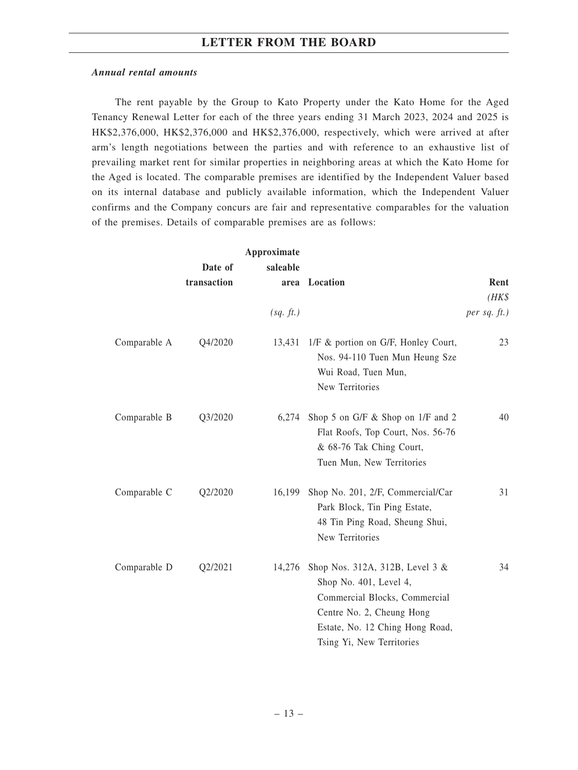#### *Annual rental amounts*

The rent payable by the Group to Kato Property under the Kato Home for the Aged Tenancy Renewal Letter for each of the three years ending 31 March 2023, 2024 and 2025 is HK\$2,376,000, HK\$2,376,000 and HK\$2,376,000, respectively, which were arrived at after arm's length negotiations between the parties and with reference to an exhaustive list of prevailing market rent for similar properties in neighboring areas at which the Kato Home for the Aged is located. The comparable premises are identified by the Independent Valuer based on its internal database and publicly available information, which the Independent Valuer confirms and the Company concurs are fair and representative comparables for the valuation of the premises. Details of comparable premises are as follows:

|              | Date of     | Approximate<br>saleable |                                                                                                                                                                                         |                 |
|--------------|-------------|-------------------------|-----------------------------------------------------------------------------------------------------------------------------------------------------------------------------------------|-----------------|
|              | transaction | area                    | Location                                                                                                                                                                                | Rent            |
|              |             |                         |                                                                                                                                                                                         | $(HK\$          |
|              |             | (sq. ft.)               |                                                                                                                                                                                         | per sq. $ft.$ ) |
| Comparable A | Q4/2020     |                         | 13,431 1/F & portion on G/F, Honley Court,<br>Nos. 94-110 Tuen Mun Heung Sze<br>Wui Road, Tuen Mun,<br>New Territories                                                                  | 23              |
| Comparable B | Q3/2020     | 6,274                   | Shop 5 on G/F & Shop on 1/F and 2<br>Flat Roofs, Top Court, Nos. 56-76<br>& 68-76 Tak Ching Court,<br>Tuen Mun, New Territories                                                         | 40              |
| Comparable C | Q2/2020     | 16,199                  | Shop No. 201, 2/F, Commercial/Car<br>Park Block, Tin Ping Estate,<br>48 Tin Ping Road, Sheung Shui,<br>New Territories                                                                  | 31              |
| Comparable D | Q2/2021     | 14,276                  | Shop Nos. 312A, 312B, Level 3 &<br>Shop No. 401, Level 4,<br>Commercial Blocks, Commercial<br>Centre No. 2, Cheung Hong<br>Estate, No. 12 Ching Hong Road,<br>Tsing Yi, New Territories | 34              |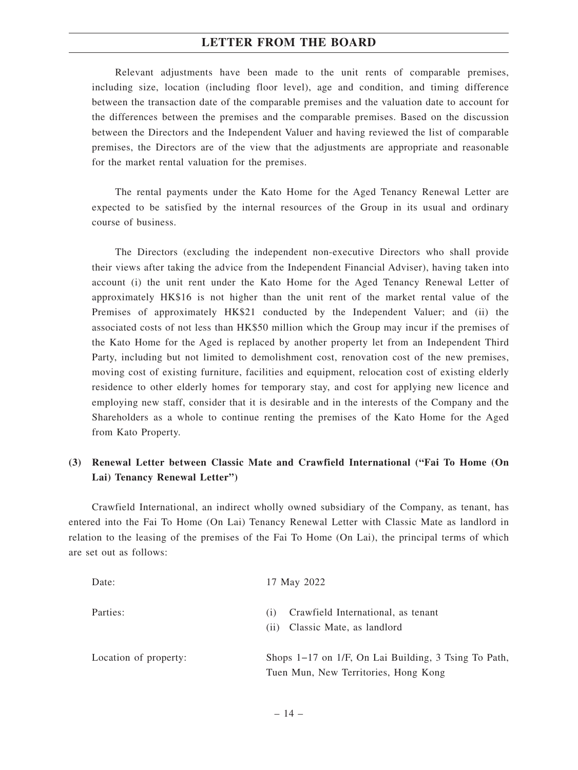Relevant adjustments have been made to the unit rents of comparable premises, including size, location (including floor level), age and condition, and timing difference between the transaction date of the comparable premises and the valuation date to account for the differences between the premises and the comparable premises. Based on the discussion between the Directors and the Independent Valuer and having reviewed the list of comparable premises, the Directors are of the view that the adjustments are appropriate and reasonable for the market rental valuation for the premises.

The rental payments under the Kato Home for the Aged Tenancy Renewal Letter are expected to be satisfied by the internal resources of the Group in its usual and ordinary course of business.

The Directors (excluding the independent non-executive Directors who shall provide their views after taking the advice from the Independent Financial Adviser), having taken into account (i) the unit rent under the Kato Home for the Aged Tenancy Renewal Letter of approximately HK\$16 is not higher than the unit rent of the market rental value of the Premises of approximately HK\$21 conducted by the Independent Valuer; and (ii) the associated costs of not less than HK\$50 million which the Group may incur if the premises of the Kato Home for the Aged is replaced by another property let from an Independent Third Party, including but not limited to demolishment cost, renovation cost of the new premises, moving cost of existing furniture, facilities and equipment, relocation cost of existing elderly residence to other elderly homes for temporary stay, and cost for applying new licence and employing new staff, consider that it is desirable and in the interests of the Company and the Shareholders as a whole to continue renting the premises of the Kato Home for the Aged from Kato Property.

## **(3) Renewal Letter between Classic Mate and Crawfield International ("Fai To Home (On Lai) Tenancy Renewal Letter")**

Crawfield International, an indirect wholly owned subsidiary of the Company, as tenant, has entered into the Fai To Home (On Lai) Tenancy Renewal Letter with Classic Mate as landlord in relation to the leasing of the premises of the Fai To Home (On Lai), the principal terms of which are set out as follows:

| Date:                 | 17 May 2022                                                                                       |
|-----------------------|---------------------------------------------------------------------------------------------------|
| Parties:              | Crawfield International, as tenant<br>(1)<br>Classic Mate, as landlord<br>(11)                    |
| Location of property: | Shops $1-17$ on $1/F$ , On Lai Building, 3 Tsing To Path,<br>Tuen Mun, New Territories, Hong Kong |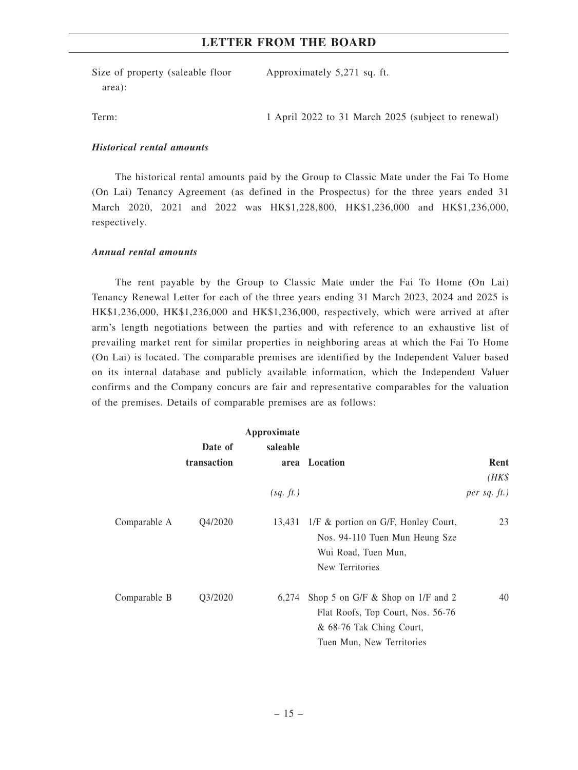Size of property (saleable floor area):

Approximately 5,271 sq. ft.

Term: 1 April 2022 to 31 March 2025 (subject to renewal)

## *Historical rental amounts*

The historical rental amounts paid by the Group to Classic Mate under the Fai To Home (On Lai) Tenancy Agreement (as defined in the Prospectus) for the three years ended 31 March 2020, 2021 and 2022 was HK\$1,228,800, HK\$1,236,000 and HK\$1,236,000, respectively.

#### *Annual rental amounts*

The rent payable by the Group to Classic Mate under the Fai To Home (On Lai) Tenancy Renewal Letter for each of the three years ending 31 March 2023, 2024 and 2025 is HK\$1,236,000, HK\$1,236,000 and HK\$1,236,000, respectively, which were arrived at after arm's length negotiations between the parties and with reference to an exhaustive list of prevailing market rent for similar properties in neighboring areas at which the Fai To Home (On Lai) is located. The comparable premises are identified by the Independent Valuer based on its internal database and publicly available information, which the Independent Valuer confirms and the Company concurs are fair and representative comparables for the valuation of the premises. Details of comparable premises are as follows:

|              |             | Approximate |                                                                                              |                 |
|--------------|-------------|-------------|----------------------------------------------------------------------------------------------|-----------------|
|              | Date of     | saleable    |                                                                                              |                 |
|              | transaction |             | area Location                                                                                | Rent            |
|              |             |             |                                                                                              | $(HK\$          |
|              |             | (sq. ft.)   |                                                                                              | per sq. $ft.$ ) |
| Comparable A | Q4/2020     | 13,431      | 1/F & portion on G/F, Honley Court,<br>Nos. 94-110 Tuen Mun Heung Sze<br>Wui Road, Tuen Mun, | 23              |
|              |             |             | New Territories                                                                              |                 |
| Comparable B | Q3/2020     | 6,274       | Shop 5 on G/F $\&$ Shop on 1/F and 2                                                         | 40              |
|              |             |             | Flat Roofs, Top Court, Nos. 56-76                                                            |                 |
|              |             |             | & 68-76 Tak Ching Court,                                                                     |                 |
|              |             |             | Tuen Mun, New Territories                                                                    |                 |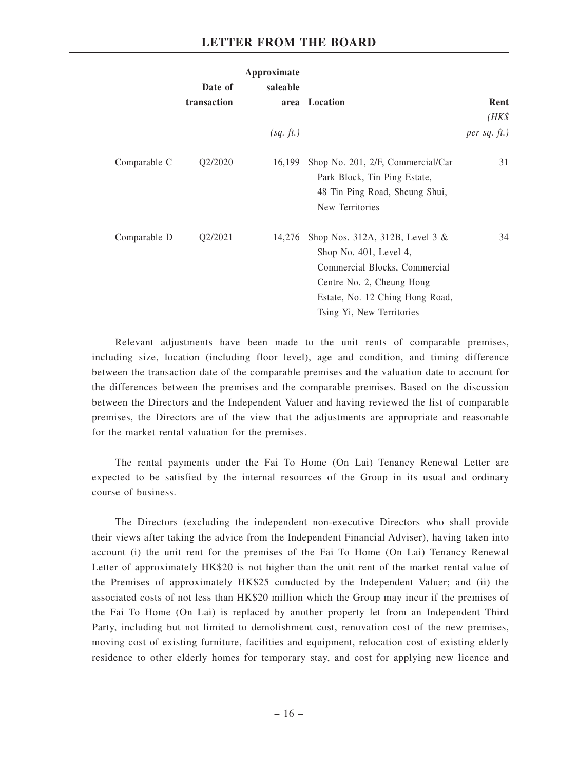| Approximate  |             |           |                                                                                                                                                                                           |                 |
|--------------|-------------|-----------|-------------------------------------------------------------------------------------------------------------------------------------------------------------------------------------------|-----------------|
|              | Date of     | saleable  |                                                                                                                                                                                           |                 |
|              | transaction |           | area Location                                                                                                                                                                             | Rent            |
|              |             |           |                                                                                                                                                                                           | $(HK\$          |
|              |             | (sq. ft.) |                                                                                                                                                                                           | per sq. $ft.$ ) |
| Comparable C | Q2/2020     | 16,199    | Shop No. 201, 2/F, Commercial/Car<br>Park Block, Tin Ping Estate,<br>48 Tin Ping Road, Sheung Shui,<br>New Territories                                                                    | 31              |
| Comparable D | Q2/2021     | 14,276    | Shop Nos. 312A, 312B, Level $3 &$<br>Shop No. 401, Level 4,<br>Commercial Blocks, Commercial<br>Centre No. 2, Cheung Hong<br>Estate, No. 12 Ching Hong Road,<br>Tsing Yi, New Territories | 34              |

Relevant adjustments have been made to the unit rents of comparable premises, including size, location (including floor level), age and condition, and timing difference between the transaction date of the comparable premises and the valuation date to account for the differences between the premises and the comparable premises. Based on the discussion between the Directors and the Independent Valuer and having reviewed the list of comparable premises, the Directors are of the view that the adjustments are appropriate and reasonable for the market rental valuation for the premises.

The rental payments under the Fai To Home (On Lai) Tenancy Renewal Letter are expected to be satisfied by the internal resources of the Group in its usual and ordinary course of business.

The Directors (excluding the independent non-executive Directors who shall provide their views after taking the advice from the Independent Financial Adviser), having taken into account (i) the unit rent for the premises of the Fai To Home (On Lai) Tenancy Renewal Letter of approximately HK\$20 is not higher than the unit rent of the market rental value of the Premises of approximately HK\$25 conducted by the Independent Valuer; and (ii) the associated costs of not less than HK\$20 million which the Group may incur if the premises of the Fai To Home (On Lai) is replaced by another property let from an Independent Third Party, including but not limited to demolishment cost, renovation cost of the new premises, moving cost of existing furniture, facilities and equipment, relocation cost of existing elderly residence to other elderly homes for temporary stay, and cost for applying new licence and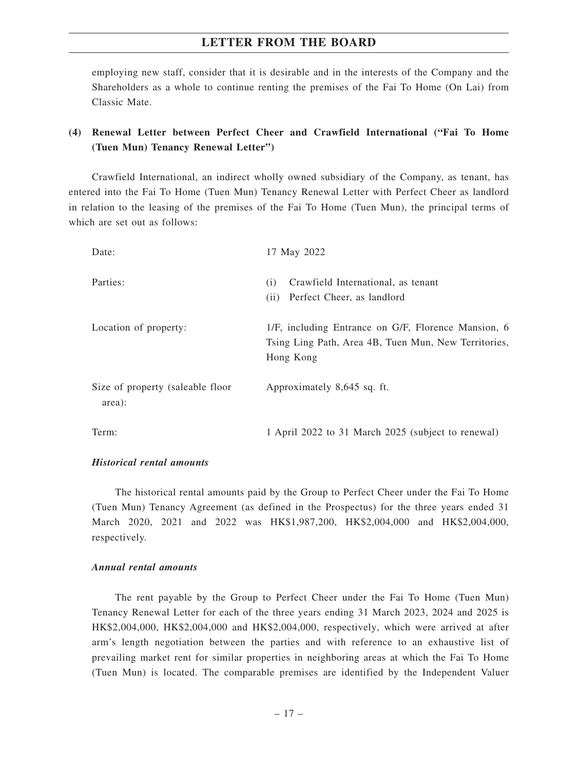employing new staff, consider that it is desirable and in the interests of the Company and the Shareholders as a whole to continue renting the premises of the Fai To Home (On Lai) from Classic Mate.

# **(4) Renewal Letter between Perfect Cheer and Crawfield International ("Fai To Home (Tuen Mun) Tenancy Renewal Letter")**

Crawfield International, an indirect wholly owned subsidiary of the Company, as tenant, has entered into the Fai To Home (Tuen Mun) Tenancy Renewal Letter with Perfect Cheer as landlord in relation to the leasing of the premises of the Fai To Home (Tuen Mun), the principal terms of which are set out as follows:

| Date:                                      | 17 May 2022                                                                                                              |
|--------------------------------------------|--------------------------------------------------------------------------------------------------------------------------|
| Parties:                                   | Crawfield International, as tenant<br>(i)<br>Perfect Cheer, as landlord<br>(i)                                           |
| Location of property:                      | 1/F, including Entrance on G/F, Florence Mansion, 6<br>Tsing Ling Path, Area 4B, Tuen Mun, New Territories,<br>Hong Kong |
| Size of property (saleable floor<br>area): | Approximately 8,645 sq. ft.                                                                                              |
| Term:                                      | 1 April 2022 to 31 March 2025 (subject to renewal)                                                                       |

#### *Historical rental amounts*

The historical rental amounts paid by the Group to Perfect Cheer under the Fai To Home (Tuen Mun) Tenancy Agreement (as defined in the Prospectus) for the three years ended 31 March 2020, 2021 and 2022 was HK\$1,987,200, HK\$2,004,000 and HK\$2,004,000, respectively.

#### *Annual rental amounts*

The rent payable by the Group to Perfect Cheer under the Fai To Home (Tuen Mun) Tenancy Renewal Letter for each of the three years ending 31 March 2023, 2024 and 2025 is HK\$2,004,000, HK\$2,004,000 and HK\$2,004,000, respectively, which were arrived at after arm's length negotiation between the parties and with reference to an exhaustive list of prevailing market rent for similar properties in neighboring areas at which the Fai To Home (Tuen Mun) is located. The comparable premises are identified by the Independent Valuer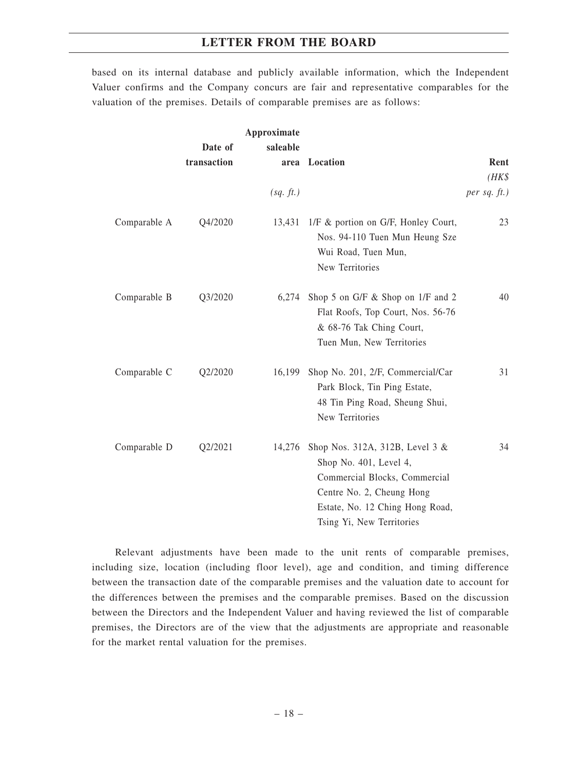based on its internal database and publicly available information, which the Independent Valuer confirms and the Company concurs are fair and representative comparables for the valuation of the premises. Details of comparable premises are as follows:

|              | Date of<br>transaction | Approximate<br>saleable | area Location                                                                                                                                                                           | Rent<br>$(HK\$  |
|--------------|------------------------|-------------------------|-----------------------------------------------------------------------------------------------------------------------------------------------------------------------------------------|-----------------|
|              |                        | (sq. ft.)               |                                                                                                                                                                                         | per sq. $ft.$ ) |
| Comparable A | Q4/2020                |                         | 13,431 1/F & portion on G/F, Honley Court,<br>Nos. 94-110 Tuen Mun Heung Sze<br>Wui Road, Tuen Mun,<br>New Territories                                                                  | 23              |
| Comparable B | Q3/2020                | 6,274                   | Shop 5 on G/F & Shop on 1/F and 2<br>Flat Roofs, Top Court, Nos. 56-76<br>& 68-76 Tak Ching Court,<br>Tuen Mun, New Territories                                                         | 40              |
| Comparable C | Q2/2020                | 16,199                  | Shop No. 201, 2/F, Commercial/Car<br>Park Block, Tin Ping Estate,<br>48 Tin Ping Road, Sheung Shui,<br>New Territories                                                                  | 31              |
| Comparable D | Q2/2021                | 14,276                  | Shop Nos. 312A, 312B, Level 3 &<br>Shop No. 401, Level 4,<br>Commercial Blocks, Commercial<br>Centre No. 2, Cheung Hong<br>Estate, No. 12 Ching Hong Road,<br>Tsing Yi, New Territories | 34              |

Relevant adjustments have been made to the unit rents of comparable premises, including size, location (including floor level), age and condition, and timing difference between the transaction date of the comparable premises and the valuation date to account for the differences between the premises and the comparable premises. Based on the discussion between the Directors and the Independent Valuer and having reviewed the list of comparable premises, the Directors are of the view that the adjustments are appropriate and reasonable for the market rental valuation for the premises.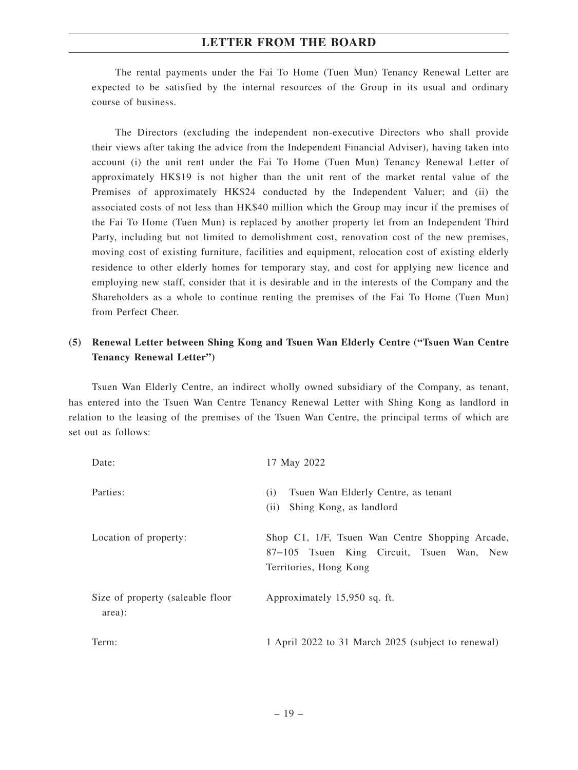The rental payments under the Fai To Home (Tuen Mun) Tenancy Renewal Letter are expected to be satisfied by the internal resources of the Group in its usual and ordinary course of business.

The Directors (excluding the independent non-executive Directors who shall provide their views after taking the advice from the Independent Financial Adviser), having taken into account (i) the unit rent under the Fai To Home (Tuen Mun) Tenancy Renewal Letter of approximately HK\$19 is not higher than the unit rent of the market rental value of the Premises of approximately HK\$24 conducted by the Independent Valuer; and (ii) the associated costs of not less than HK\$40 million which the Group may incur if the premises of the Fai To Home (Tuen Mun) is replaced by another property let from an Independent Third Party, including but not limited to demolishment cost, renovation cost of the new premises, moving cost of existing furniture, facilities and equipment, relocation cost of existing elderly residence to other elderly homes for temporary stay, and cost for applying new licence and employing new staff, consider that it is desirable and in the interests of the Company and the Shareholders as a whole to continue renting the premises of the Fai To Home (Tuen Mun) from Perfect Cheer.

# **(5) Renewal Letter between Shing Kong and Tsuen Wan Elderly Centre ("Tsuen Wan Centre Tenancy Renewal Letter")**

Tsuen Wan Elderly Centre, an indirect wholly owned subsidiary of the Company, as tenant, has entered into the Tsuen Wan Centre Tenancy Renewal Letter with Shing Kong as landlord in relation to the leasing of the premises of the Tsuen Wan Centre, the principal terms of which are set out as follows:

| Date:                                      | 17 May 2022                                                                                                            |
|--------------------------------------------|------------------------------------------------------------------------------------------------------------------------|
| Parties:                                   | Tsuen Wan Elderly Centre, as tenant<br>(i)<br>Shing Kong, as landlord<br>(i)                                           |
| Location of property:                      | Shop C1, 1/F, Tsuen Wan Centre Shopping Arcade,<br>87–105 Tsuen King Circuit, Tsuen Wan, New<br>Territories, Hong Kong |
| Size of property (saleable floor<br>area): | Approximately 15,950 sq. ft.                                                                                           |
| Term:                                      | 1 April 2022 to 31 March 2025 (subject to renewal)                                                                     |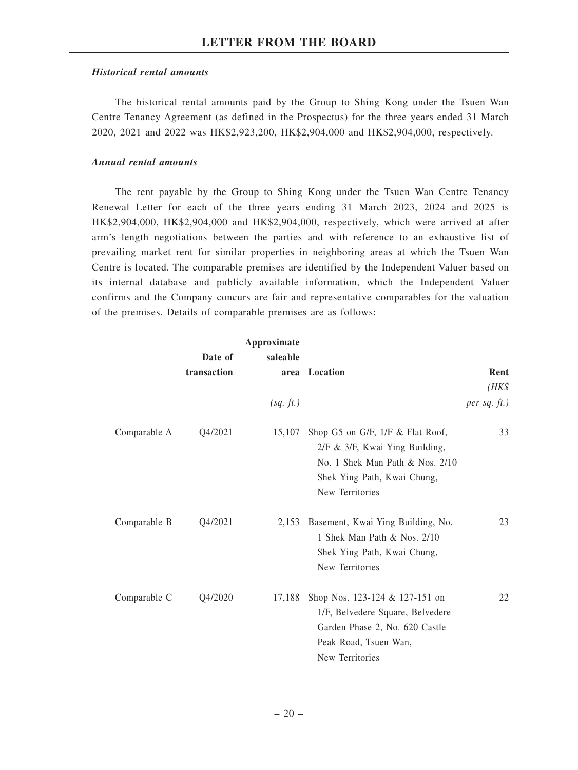#### *Historical rental amounts*

The historical rental amounts paid by the Group to Shing Kong under the Tsuen Wan Centre Tenancy Agreement (as defined in the Prospectus) for the three years ended 31 March 2020, 2021 and 2022 was HK\$2,923,200, HK\$2,904,000 and HK\$2,904,000, respectively.

#### *Annual rental amounts*

The rent payable by the Group to Shing Kong under the Tsuen Wan Centre Tenancy Renewal Letter for each of the three years ending 31 March 2023, 2024 and 2025 is HK\$2,904,000, HK\$2,904,000 and HK\$2,904,000, respectively, which were arrived at after arm's length negotiations between the parties and with reference to an exhaustive list of prevailing market rent for similar properties in neighboring areas at which the Tsuen Wan Centre is located. The comparable premises are identified by the Independent Valuer based on its internal database and publicly available information, which the Independent Valuer confirms and the Company concurs are fair and representative comparables for the valuation of the premises. Details of comparable premises are as follows:

|              |             | Approximate |                                                                                                                                                            |                   |
|--------------|-------------|-------------|------------------------------------------------------------------------------------------------------------------------------------------------------------|-------------------|
|              | Date of     | saleable    |                                                                                                                                                            |                   |
|              | transaction |             | area Location                                                                                                                                              | Rent              |
|              |             |             |                                                                                                                                                            | $(HK\$            |
|              |             | (sq. ft.)   |                                                                                                                                                            | $per$ sq. $ft.$ ) |
| Comparable A | Q4/2021     | 15,107      | Shop G5 on G/F, 1/F & Flat Roof,<br>$2/F & 3/F$ , Kwai Ying Building,<br>No. 1 Shek Man Path & Nos. 2/10<br>Shek Ying Path, Kwai Chung,<br>New Territories | 33                |
| Comparable B | Q4/2021     | 2,153       | Basement, Kwai Ying Building, No.<br>1 Shek Man Path & Nos. 2/10<br>Shek Ying Path, Kwai Chung,<br>New Territories                                         | 23                |
| Comparable C | Q4/2020     | 17,188      | Shop Nos. 123-124 & 127-151 on<br>1/F, Belvedere Square, Belvedere<br>Garden Phase 2, No. 620 Castle<br>Peak Road, Tsuen Wan,<br>New Territories           | 22                |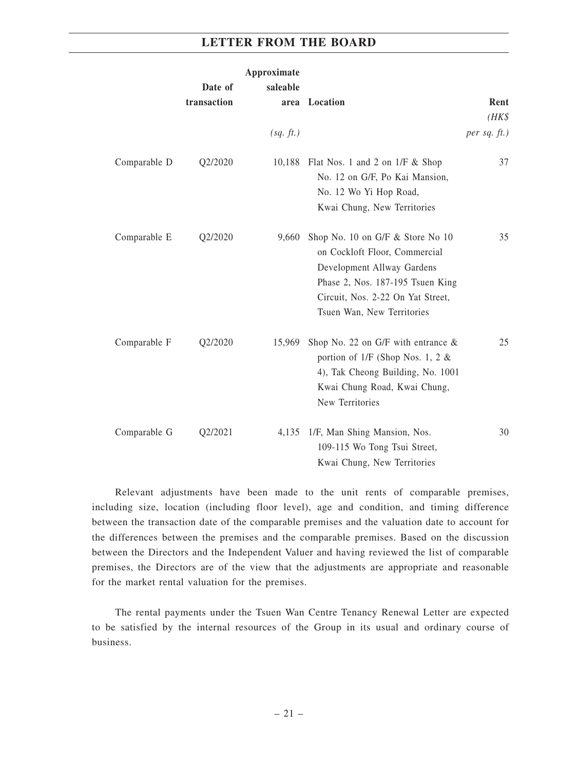|              |                        | Approximate      |                                                                                                                                                                                                        |                   |
|--------------|------------------------|------------------|--------------------------------------------------------------------------------------------------------------------------------------------------------------------------------------------------------|-------------------|
|              | Date of<br>transaction | saleable<br>area | Location                                                                                                                                                                                               | Rent<br>$(HK\$    |
|              |                        | (sq. ft.)        |                                                                                                                                                                                                        | $per$ sq. $ft.$ ) |
| Comparable D | Q2/2020                |                  | 10,188 Flat Nos. 1 and 2 on 1/F & Shop<br>No. 12 on G/F, Po Kai Mansion,<br>No. 12 Wo Yi Hop Road,<br>Kwai Chung, New Territories                                                                      | 37                |
| Comparable E | Q2/2020                | 9,660            | Shop No. 10 on G/F & Store No 10<br>on Cockloft Floor, Commercial<br>Development Allway Gardens<br>Phase 2, Nos. 187-195 Tsuen King<br>Circuit, Nos. 2-22 On Yat Street,<br>Tsuen Wan, New Territories | 35                |
| Comparable F | Q2/2020                | 15,969           | Shop No. 22 on G/F with entrance $\&$<br>portion of $1/F$ (Shop Nos. 1, 2 &<br>4), Tak Cheong Building, No. 1001<br>Kwai Chung Road, Kwai Chung,<br>New Territories                                    | 25                |
| Comparable G | Q2/2021                |                  | 4,135 1/F, Man Shing Mansion, Nos.<br>109-115 Wo Tong Tsui Street,<br>Kwai Chung, New Territories                                                                                                      | 30                |

Relevant adjustments have been made to the unit rents of comparable premises, including size, location (including floor level), age and condition, and timing difference between the transaction date of the comparable premises and the valuation date to account for the differences between the premises and the comparable premises. Based on the discussion between the Directors and the Independent Valuer and having reviewed the list of comparable premises, the Directors are of the view that the adjustments are appropriate and reasonable for the market rental valuation for the premises.

The rental payments under the Tsuen Wan Centre Tenancy Renewal Letter are expected to be satisfied by the internal resources of the Group in its usual and ordinary course of business.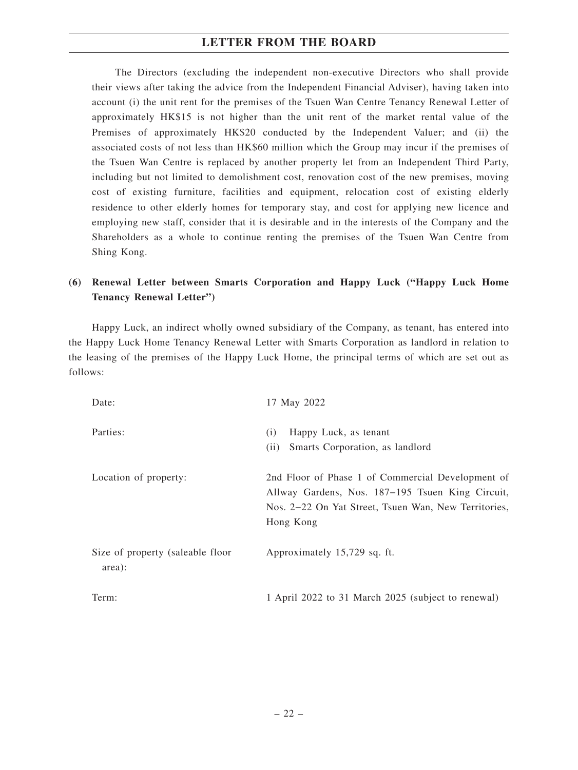The Directors (excluding the independent non-executive Directors who shall provide their views after taking the advice from the Independent Financial Adviser), having taken into account (i) the unit rent for the premises of the Tsuen Wan Centre Tenancy Renewal Letter of approximately HK\$15 is not higher than the unit rent of the market rental value of the Premises of approximately HK\$20 conducted by the Independent Valuer; and (ii) the associated costs of not less than HK\$60 million which the Group may incur if the premises of the Tsuen Wan Centre is replaced by another property let from an Independent Third Party, including but not limited to demolishment cost, renovation cost of the new premises, moving cost of existing furniture, facilities and equipment, relocation cost of existing elderly residence to other elderly homes for temporary stay, and cost for applying new licence and employing new staff, consider that it is desirable and in the interests of the Company and the Shareholders as a whole to continue renting the premises of the Tsuen Wan Centre from Shing Kong.

# **(6) Renewal Letter between Smarts Corporation and Happy Luck ("Happy Luck Home Tenancy Renewal Letter")**

Happy Luck, an indirect wholly owned subsidiary of the Company, as tenant, has entered into the Happy Luck Home Tenancy Renewal Letter with Smarts Corporation as landlord in relation to the leasing of the premises of the Happy Luck Home, the principal terms of which are set out as follows:

| Date:                                      | 17 May 2022                                                                                                                                                                |
|--------------------------------------------|----------------------------------------------------------------------------------------------------------------------------------------------------------------------------|
| Parties:                                   | Happy Luck, as tenant<br>(i)<br>Smarts Corporation, as landlord<br>(ii)                                                                                                    |
| Location of property:                      | 2nd Floor of Phase 1 of Commercial Development of<br>Allway Gardens, Nos. 187–195 Tsuen King Circuit,<br>Nos. 2–22 On Yat Street, Tsuen Wan, New Territories,<br>Hong Kong |
| Size of property (saleable floor<br>area): | Approximately 15,729 sq. ft.                                                                                                                                               |
| Term:                                      | 1 April 2022 to 31 March 2025 (subject to renewal)                                                                                                                         |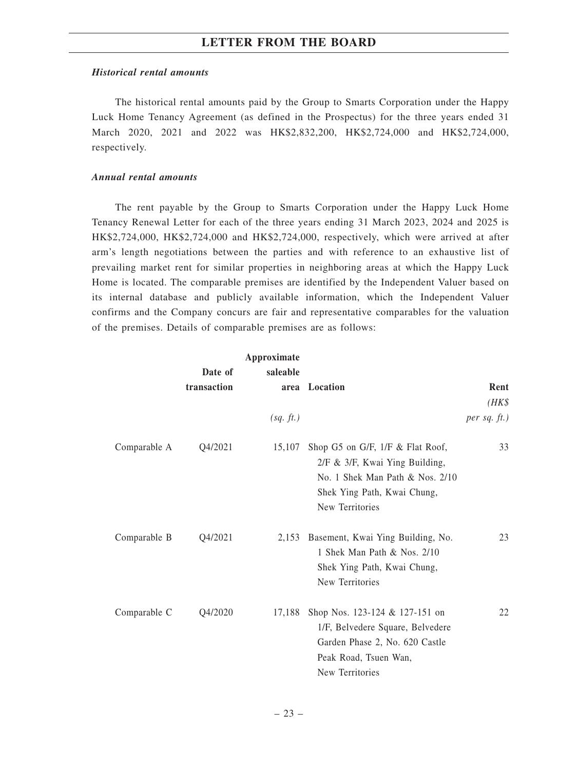#### *Historical rental amounts*

The historical rental amounts paid by the Group to Smarts Corporation under the Happy Luck Home Tenancy Agreement (as defined in the Prospectus) for the three years ended 31 March 2020, 2021 and 2022 was HK\$2,832,200, HK\$2,724,000 and HK\$2,724,000, respectively.

#### *Annual rental amounts*

The rent payable by the Group to Smarts Corporation under the Happy Luck Home Tenancy Renewal Letter for each of the three years ending 31 March 2023, 2024 and 2025 is HK\$2,724,000, HK\$2,724,000 and HK\$2,724,000, respectively, which were arrived at after arm's length negotiations between the parties and with reference to an exhaustive list of prevailing market rent for similar properties in neighboring areas at which the Happy Luck Home is located. The comparable premises are identified by the Independent Valuer based on its internal database and publicly available information, which the Independent Valuer confirms and the Company concurs are fair and representative comparables for the valuation of the premises. Details of comparable premises are as follows:

|              |             | Approximate |                                                                                                                                                               |                   |
|--------------|-------------|-------------|---------------------------------------------------------------------------------------------------------------------------------------------------------------|-------------------|
|              | Date of     | saleable    |                                                                                                                                                               |                   |
|              | transaction |             | area Location                                                                                                                                                 | Rent              |
|              |             |             |                                                                                                                                                               | $(HK\$            |
|              |             | (sq. ft.)   |                                                                                                                                                               | $per$ sq. $ft$ .) |
| Comparable A | Q4/2021     | 15,107      | Shop G5 on G/F, 1/F & Flat Roof,<br>$2/F & 3/F$ , Kwai Ying Building,<br>No. 1 Shek Man Path $\&$ Nos. 2/10<br>Shek Ying Path, Kwai Chung,<br>New Territories | 33                |
| Comparable B | Q4/2021     | 2,153       | Basement, Kwai Ying Building, No.<br>1 Shek Man Path & Nos. 2/10<br>Shek Ying Path, Kwai Chung,<br>New Territories                                            | 23                |
| Comparable C | Q4/2020     | 17,188      | Shop Nos. 123-124 & 127-151 on<br>1/F, Belvedere Square, Belvedere<br>Garden Phase 2, No. 620 Castle<br>Peak Road, Tsuen Wan,<br>New Territories              | 22                |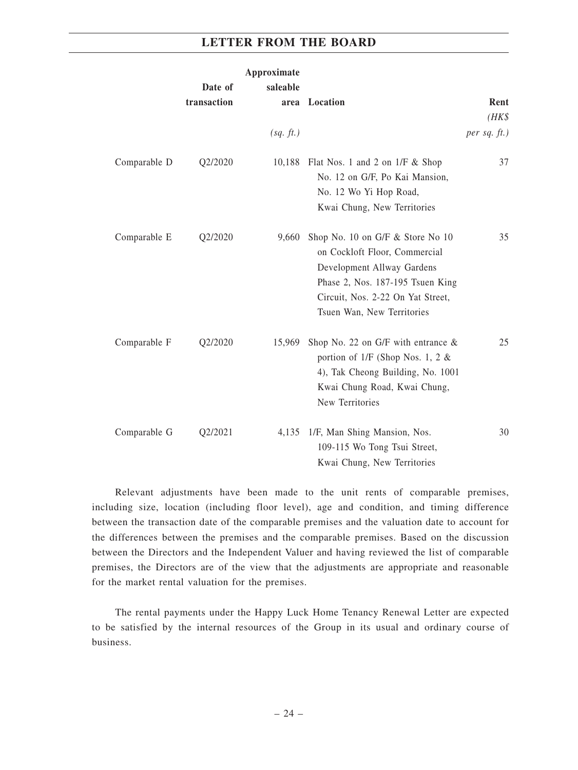|              | Date of     | Approximate<br>saleable |                                                                                                                                                                                                        |                   |
|--------------|-------------|-------------------------|--------------------------------------------------------------------------------------------------------------------------------------------------------------------------------------------------------|-------------------|
|              | transaction | area                    | Location                                                                                                                                                                                               | Rent<br>$(HK\$    |
|              |             | (sq. ft.)               |                                                                                                                                                                                                        | $per$ sq. $ft.$ ) |
| Comparable D | Q2/2020     |                         | 10,188 Flat Nos. 1 and 2 on 1/F & Shop<br>No. 12 on G/F, Po Kai Mansion,<br>No. 12 Wo Yi Hop Road,<br>Kwai Chung, New Territories                                                                      | 37                |
| Comparable E | Q2/2020     | 9,660                   | Shop No. 10 on G/F & Store No 10<br>on Cockloft Floor, Commercial<br>Development Allway Gardens<br>Phase 2, Nos. 187-195 Tsuen King<br>Circuit, Nos. 2-22 On Yat Street,<br>Tsuen Wan, New Territories | 35                |
| Comparable F | Q2/2020     | 15,969                  | Shop No. 22 on G/F with entrance $\&$<br>portion of $1/F$ (Shop Nos. 1, 2 &<br>4), Tak Cheong Building, No. 1001<br>Kwai Chung Road, Kwai Chung,<br>New Territories                                    | 25                |
| Comparable G | Q2/2021     |                         | 4,135 1/F, Man Shing Mansion, Nos.<br>109-115 Wo Tong Tsui Street,<br>Kwai Chung, New Territories                                                                                                      | 30                |

Relevant adjustments have been made to the unit rents of comparable premises, including size, location (including floor level), age and condition, and timing difference between the transaction date of the comparable premises and the valuation date to account for the differences between the premises and the comparable premises. Based on the discussion between the Directors and the Independent Valuer and having reviewed the list of comparable premises, the Directors are of the view that the adjustments are appropriate and reasonable for the market rental valuation for the premises.

The rental payments under the Happy Luck Home Tenancy Renewal Letter are expected to be satisfied by the internal resources of the Group in its usual and ordinary course of business.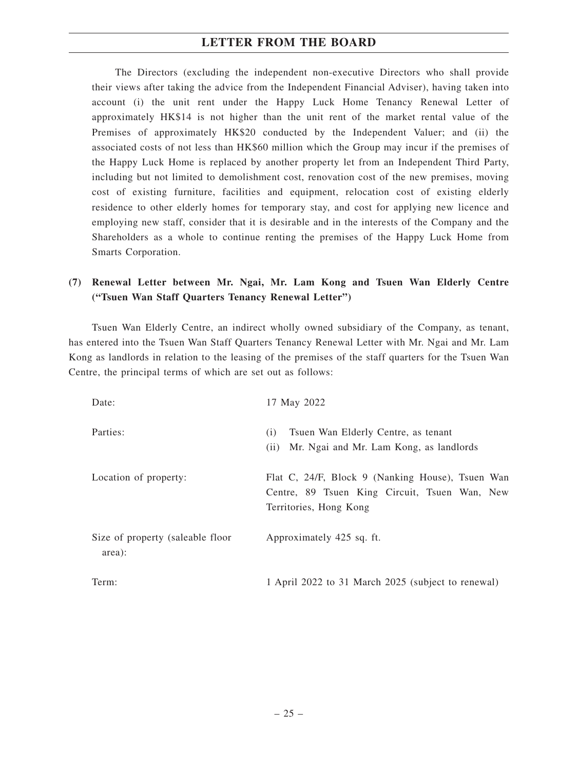The Directors (excluding the independent non-executive Directors who shall provide their views after taking the advice from the Independent Financial Adviser), having taken into account (i) the unit rent under the Happy Luck Home Tenancy Renewal Letter of approximately HK\$14 is not higher than the unit rent of the market rental value of the Premises of approximately HK\$20 conducted by the Independent Valuer; and (ii) the associated costs of not less than HK\$60 million which the Group may incur if the premises of the Happy Luck Home is replaced by another property let from an Independent Third Party, including but not limited to demolishment cost, renovation cost of the new premises, moving cost of existing furniture, facilities and equipment, relocation cost of existing elderly residence to other elderly homes for temporary stay, and cost for applying new licence and employing new staff, consider that it is desirable and in the interests of the Company and the Shareholders as a whole to continue renting the premises of the Happy Luck Home from Smarts Corporation.

# **(7) Renewal Letter between Mr. Ngai, Mr. Lam Kong and Tsuen Wan Elderly Centre ("Tsuen Wan Staff Quarters Tenancy Renewal Letter")**

Tsuen Wan Elderly Centre, an indirect wholly owned subsidiary of the Company, as tenant, has entered into the Tsuen Wan Staff Quarters Tenancy Renewal Letter with Mr. Ngai and Mr. Lam Kong as landlords in relation to the leasing of the premises of the staff quarters for the Tsuen Wan Centre, the principal terms of which are set out as follows:

| Date:                                      | 17 May 2022                                                                                                                 |
|--------------------------------------------|-----------------------------------------------------------------------------------------------------------------------------|
| Parties:                                   | Tsuen Wan Elderly Centre, as tenant<br>(i)<br>Mr. Ngai and Mr. Lam Kong, as landlords<br>(i)                                |
| Location of property:                      | Flat C, 24/F, Block 9 (Nanking House), Tsuen Wan<br>Centre, 89 Tsuen King Circuit, Tsuen Wan, New<br>Territories, Hong Kong |
| Size of property (saleable floor<br>area): | Approximately 425 sq. ft.                                                                                                   |
| Term:                                      | 1 April 2022 to 31 March 2025 (subject to renewal)                                                                          |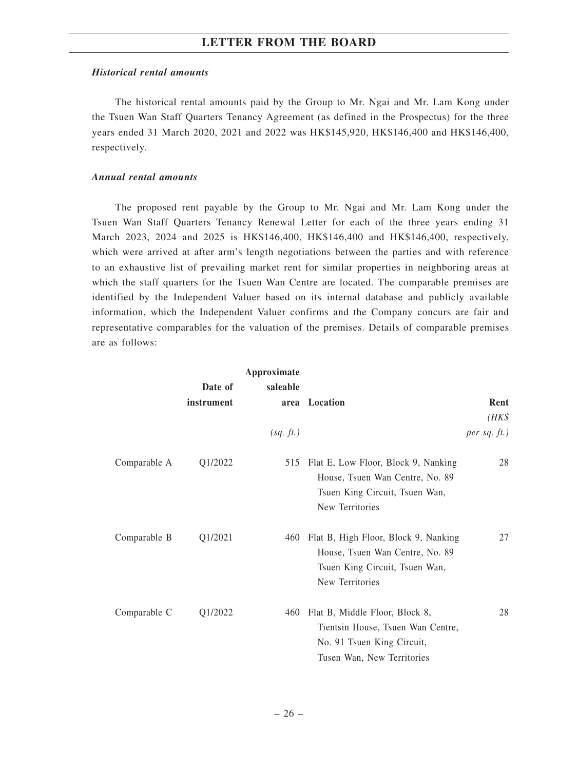#### *Historical rental amounts*

The historical rental amounts paid by the Group to Mr. Ngai and Mr. Lam Kong under the Tsuen Wan Staff Quarters Tenancy Agreement (as defined in the Prospectus) for the three years ended 31 March 2020, 2021 and 2022 was HK\$145,920, HK\$146,400 and HK\$146,400, respectively.

#### *Annual rental amounts*

The proposed rent payable by the Group to Mr. Ngai and Mr. Lam Kong under the Tsuen Wan Staff Quarters Tenancy Renewal Letter for each of the three years ending 31 March 2023, 2024 and 2025 is HK\$146,400, HK\$146,400 and HK\$146,400, respectively, which were arrived at after arm's length negotiations between the parties and with reference to an exhaustive list of prevailing market rent for similar properties in neighboring areas at which the staff quarters for the Tsuen Wan Centre are located. The comparable premises are identified by the Independent Valuer based on its internal database and publicly available information, which the Independent Valuer confirms and the Company concurs are fair and representative comparables for the valuation of the premises. Details of comparable premises are as follows:

|              | Date of<br>instrument | Approximate<br>saleable | area Location                                                                                                                   | Rent<br>$(HK\$    |
|--------------|-----------------------|-------------------------|---------------------------------------------------------------------------------------------------------------------------------|-------------------|
|              |                       | (sq. ft.)               |                                                                                                                                 | $per$ sq. $ft.$ ) |
| Comparable A | Q1/2022               | 515                     | Flat E, Low Floor, Block 9, Nanking<br>House, Tsuen Wan Centre, No. 89<br>Tsuen King Circuit, Tsuen Wan,<br>New Territories     | 28                |
| Comparable B | Q1/2021               | 460                     | Flat B, High Floor, Block 9, Nanking<br>House, Tsuen Wan Centre, No. 89<br>Tsuen King Circuit, Tsuen Wan,<br>New Territories    | 27                |
| Comparable C | Q1/2022               | 460                     | Flat B, Middle Floor, Block 8,<br>Tientsin House, Tsuen Wan Centre,<br>No. 91 Tsuen King Circuit,<br>Tusen Wan, New Territories | 28                |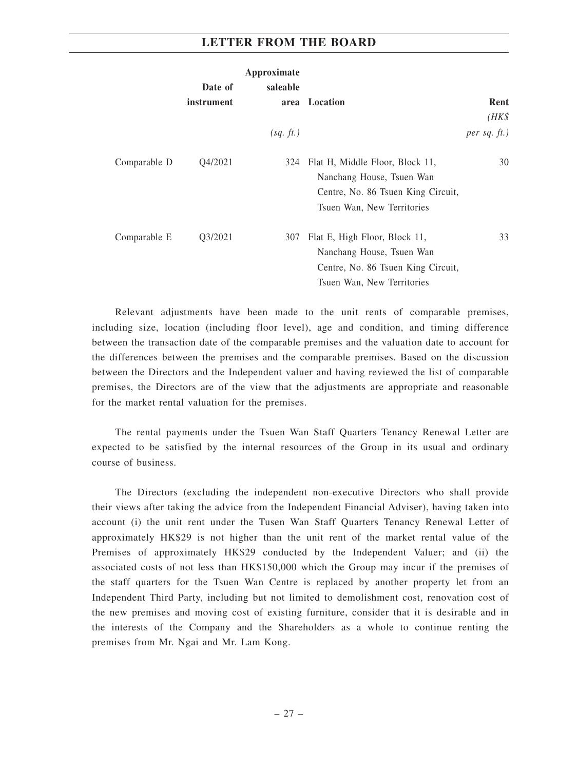|              |            | Approximate |                                                                                                                                  |                   |
|--------------|------------|-------------|----------------------------------------------------------------------------------------------------------------------------------|-------------------|
|              | Date of    | saleable    |                                                                                                                                  |                   |
|              | instrument |             | area Location                                                                                                                    | Rent              |
|              |            |             |                                                                                                                                  | $(HK\$            |
|              |            | (sq. ft.)   |                                                                                                                                  | $per$ sq. $ft.$ ) |
| Comparable D | 04/2021    | 324         | Flat H, Middle Floor, Block 11,<br>Nanchang House, Tsuen Wan<br>Centre, No. 86 Tsuen King Circuit,<br>Tsuen Wan, New Territories | 30                |
| Comparable E | Q3/2021    | 307         | Flat E, High Floor, Block 11,<br>Nanchang House, Tsuen Wan<br>Centre, No. 86 Tsuen King Circuit,<br>Tsuen Wan, New Territories   | 33                |

Relevant adjustments have been made to the unit rents of comparable premises, including size, location (including floor level), age and condition, and timing difference between the transaction date of the comparable premises and the valuation date to account for the differences between the premises and the comparable premises. Based on the discussion between the Directors and the Independent valuer and having reviewed the list of comparable premises, the Directors are of the view that the adjustments are appropriate and reasonable for the market rental valuation for the premises.

The rental payments under the Tsuen Wan Staff Quarters Tenancy Renewal Letter are expected to be satisfied by the internal resources of the Group in its usual and ordinary course of business.

The Directors (excluding the independent non-executive Directors who shall provide their views after taking the advice from the Independent Financial Adviser), having taken into account (i) the unit rent under the Tusen Wan Staff Quarters Tenancy Renewal Letter of approximately HK\$29 is not higher than the unit rent of the market rental value of the Premises of approximately HK\$29 conducted by the Independent Valuer; and (ii) the associated costs of not less than HK\$150,000 which the Group may incur if the premises of the staff quarters for the Tsuen Wan Centre is replaced by another property let from an Independent Third Party, including but not limited to demolishment cost, renovation cost of the new premises and moving cost of existing furniture, consider that it is desirable and in the interests of the Company and the Shareholders as a whole to continue renting the premises from Mr. Ngai and Mr. Lam Kong.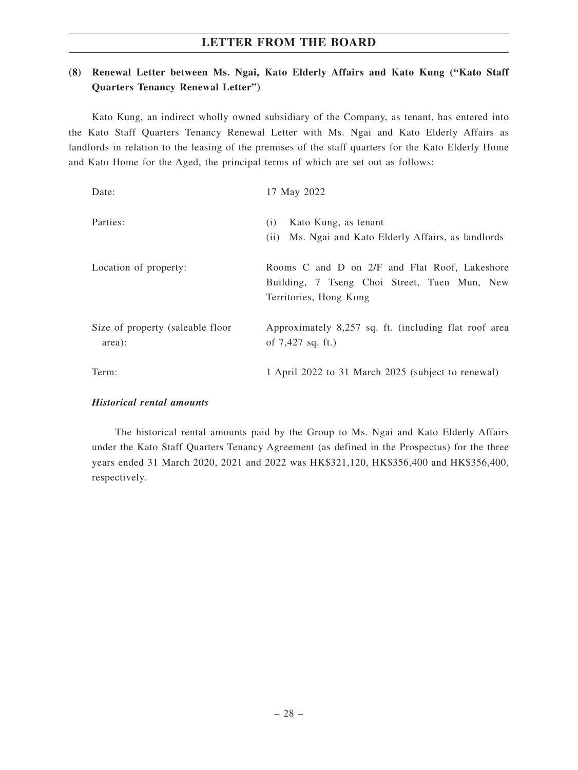# **(8) Renewal Letter between Ms. Ngai, Kato Elderly Affairs and Kato Kung ("Kato Staff Quarters Tenancy Renewal Letter")**

Kato Kung, an indirect wholly owned subsidiary of the Company, as tenant, has entered into the Kato Staff Quarters Tenancy Renewal Letter with Ms. Ngai and Kato Elderly Affairs as landlords in relation to the leasing of the premises of the staff quarters for the Kato Elderly Home and Kato Home for the Aged, the principal terms of which are set out as follows:

| Date:                                      | 17 May 2022                                                                                                             |
|--------------------------------------------|-------------------------------------------------------------------------------------------------------------------------|
| Parties:                                   | Kato Kung, as tenant<br>(i)<br>Ms. Ngai and Kato Elderly Affairs, as landlords<br>(i)                                   |
| Location of property:                      | Rooms C and D on 2/F and Flat Roof, Lakeshore<br>Building, 7 Tseng Choi Street, Tuen Mun, New<br>Territories, Hong Kong |
| Size of property (saleable floor<br>area): | Approximately 8,257 sq. ft. (including flat roof area<br>of $7,427$ sq. ft.)                                            |
| Term:                                      | 1 April 2022 to 31 March 2025 (subject to renewal)                                                                      |

#### *Historical rental amounts*

The historical rental amounts paid by the Group to Ms. Ngai and Kato Elderly Affairs under the Kato Staff Quarters Tenancy Agreement (as defined in the Prospectus) for the three years ended 31 March 2020, 2021 and 2022 was HK\$321,120, HK\$356,400 and HK\$356,400, respectively.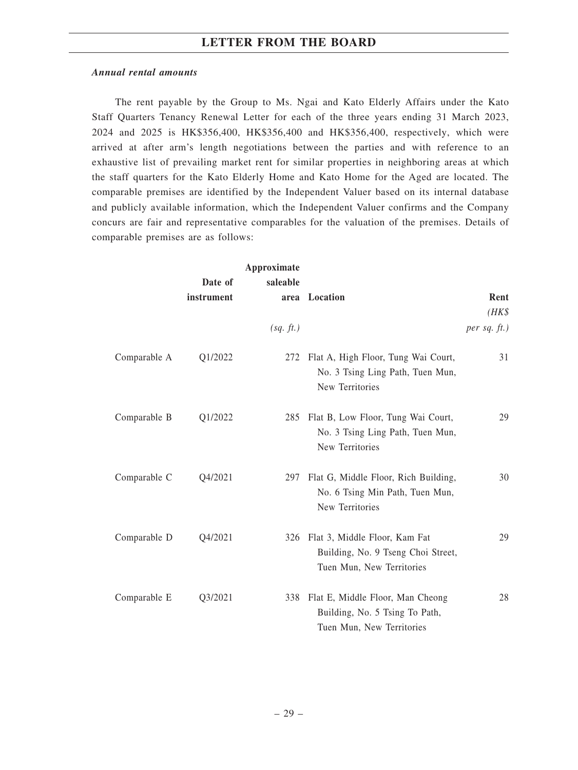#### *Annual rental amounts*

The rent payable by the Group to Ms. Ngai and Kato Elderly Affairs under the Kato Staff Quarters Tenancy Renewal Letter for each of the three years ending 31 March 2023, 2024 and 2025 is HK\$356,400, HK\$356,400 and HK\$356,400, respectively, which were arrived at after arm's length negotiations between the parties and with reference to an exhaustive list of prevailing market rent for similar properties in neighboring areas at which the staff quarters for the Kato Elderly Home and Kato Home for the Aged are located. The comparable premises are identified by the Independent Valuer based on its internal database and publicly available information, which the Independent Valuer confirms and the Company concurs are fair and representative comparables for the valuation of the premises. Details of comparable premises are as follows:

|              |            | Approximate |                                                                                                      |                 |
|--------------|------------|-------------|------------------------------------------------------------------------------------------------------|-----------------|
|              | Date of    | saleable    |                                                                                                      |                 |
|              | instrument |             | area Location                                                                                        | Rent            |
|              |            |             |                                                                                                      | $(HK\$          |
|              |            | (sq. ft.)   |                                                                                                      | per sq. $ft.$ ) |
| Comparable A | Q1/2022    |             | 272 Flat A, High Floor, Tung Wai Court,<br>No. 3 Tsing Ling Path, Tuen Mun,<br>New Territories       | 31              |
| Comparable B | Q1/2022    |             | 285 Flat B, Low Floor, Tung Wai Court,<br>No. 3 Tsing Ling Path, Tuen Mun,<br>New Territories        | 29              |
| Comparable C | Q4/2021    | 297         | Flat G, Middle Floor, Rich Building,<br>No. 6 Tsing Min Path, Tuen Mun,<br>New Territories           | 30              |
| Comparable D | Q4/2021    |             | 326 Flat 3, Middle Floor, Kam Fat<br>Building, No. 9 Tseng Choi Street,<br>Tuen Mun, New Territories | 29              |
| Comparable E | Q3/2021    |             | 338 Flat E, Middle Floor, Man Cheong<br>Building, No. 5 Tsing To Path,<br>Tuen Mun, New Territories  | 28              |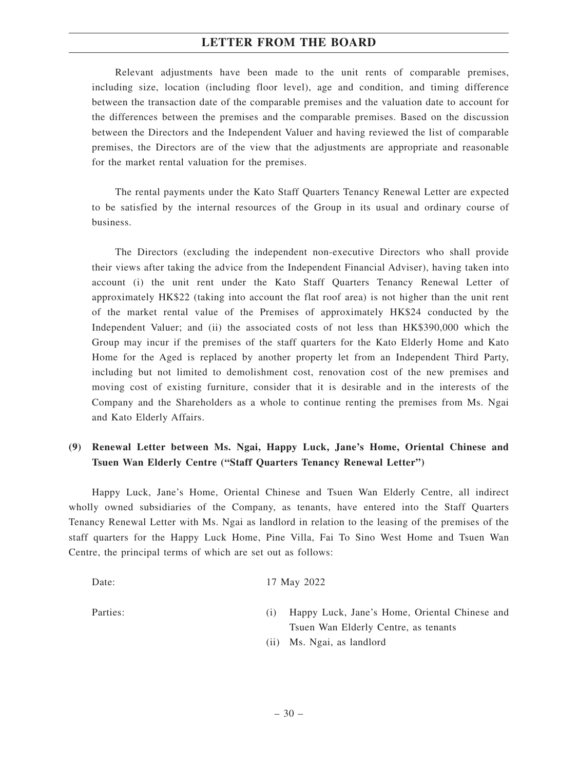Relevant adjustments have been made to the unit rents of comparable premises, including size, location (including floor level), age and condition, and timing difference between the transaction date of the comparable premises and the valuation date to account for the differences between the premises and the comparable premises. Based on the discussion between the Directors and the Independent Valuer and having reviewed the list of comparable premises, the Directors are of the view that the adjustments are appropriate and reasonable for the market rental valuation for the premises.

The rental payments under the Kato Staff Quarters Tenancy Renewal Letter are expected to be satisfied by the internal resources of the Group in its usual and ordinary course of business.

The Directors (excluding the independent non-executive Directors who shall provide their views after taking the advice from the Independent Financial Adviser), having taken into account (i) the unit rent under the Kato Staff Quarters Tenancy Renewal Letter of approximately HK\$22 (taking into account the flat roof area) is not higher than the unit rent of the market rental value of the Premises of approximately HK\$24 conducted by the Independent Valuer; and (ii) the associated costs of not less than HK\$390,000 which the Group may incur if the premises of the staff quarters for the Kato Elderly Home and Kato Home for the Aged is replaced by another property let from an Independent Third Party, including but not limited to demolishment cost, renovation cost of the new premises and moving cost of existing furniture, consider that it is desirable and in the interests of the Company and the Shareholders as a whole to continue renting the premises from Ms. Ngai and Kato Elderly Affairs.

## **(9) Renewal Letter between Ms. Ngai, Happy Luck, Jane's Home, Oriental Chinese and Tsuen Wan Elderly Centre ("Staff Quarters Tenancy Renewal Letter")**

Happy Luck, Jane's Home, Oriental Chinese and Tsuen Wan Elderly Centre, all indirect wholly owned subsidiaries of the Company, as tenants, have entered into the Staff Quarters Tenancy Renewal Letter with Ms. Ngai as landlord in relation to the leasing of the premises of the staff quarters for the Happy Luck Home, Pine Villa, Fai To Sino West Home and Tsuen Wan Centre, the principal terms of which are set out as follows:

| Date:    | 17 May 2022                                                                           |
|----------|---------------------------------------------------------------------------------------|
| Parties: | Happy Luck, Jane's Home, Oriental Chinese and<br>Tsuen Wan Elderly Centre, as tenants |
|          | (ii) Ms. Ngai, as landlord                                                            |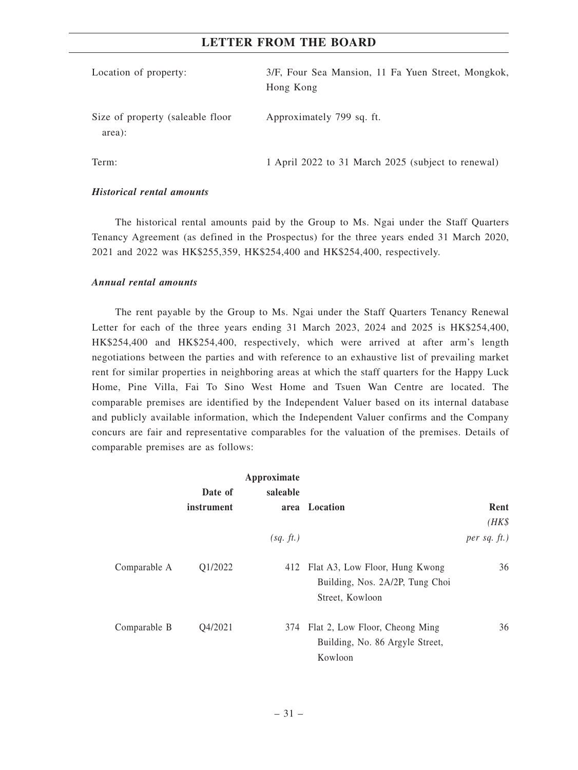| Location of property:                      | 3/F, Four Sea Mansion, 11 Fa Yuen Street, Mongkok,<br>Hong Kong |
|--------------------------------------------|-----------------------------------------------------------------|
| Size of property (saleable floor<br>area): | Approximately 799 sq. ft.                                       |
| Term:                                      | 1 April 2022 to 31 March 2025 (subject to renewal)              |

#### *Historical rental amounts*

The historical rental amounts paid by the Group to Ms. Ngai under the Staff Quarters Tenancy Agreement (as defined in the Prospectus) for the three years ended 31 March 2020, 2021 and 2022 was HK\$255,359, HK\$254,400 and HK\$254,400, respectively.

#### *Annual rental amounts*

The rent payable by the Group to Ms. Ngai under the Staff Quarters Tenancy Renewal Letter for each of the three years ending 31 March 2023, 2024 and 2025 is HK\$254,400, HK\$254,400 and HK\$254,400, respectively, which were arrived at after arm's length negotiations between the parties and with reference to an exhaustive list of prevailing market rent for similar properties in neighboring areas at which the staff quarters for the Happy Luck Home, Pine Villa, Fai To Sino West Home and Tsuen Wan Centre are located. The comparable premises are identified by the Independent Valuer based on its internal database and publicly available information, which the Independent Valuer confirms and the Company concurs are fair and representative comparables for the valuation of the premises. Details of comparable premises are as follows:

|              |            | Approximate |                                                                                      |                 |
|--------------|------------|-------------|--------------------------------------------------------------------------------------|-----------------|
|              | Date of    | saleable    |                                                                                      |                 |
|              | instrument |             | area Location                                                                        | Rent            |
|              |            |             |                                                                                      | $(HK\$          |
|              |            | (sq. ft.)   |                                                                                      | per sq. $ft.$ ) |
| Comparable A | Q1/2022    | 412         | Flat A3, Low Floor, Hung Kwong<br>Building, Nos. 2A/2P, Tung Choi<br>Street, Kowloon | 36              |
| Comparable B | Q4/2021    | 374         | Flat 2, Low Floor, Cheong Ming<br>Building, No. 86 Argyle Street,<br>Kowloon         | 36              |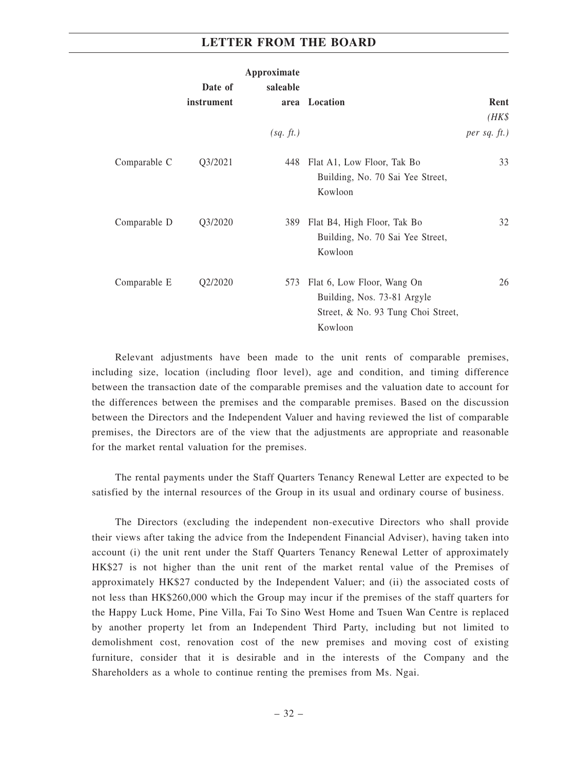|              |            | Approximate |                                                                                                            |                 |
|--------------|------------|-------------|------------------------------------------------------------------------------------------------------------|-----------------|
|              | Date of    | saleable    |                                                                                                            |                 |
|              | instrument |             | area Location                                                                                              | Rent            |
|              |            |             |                                                                                                            | $(HK\$          |
|              |            | (sq. ft.)   |                                                                                                            | per sq. $ft.$ ) |
| Comparable C | Q3/2021    | 448         | Flat A1, Low Floor, Tak Bo<br>Building, No. 70 Sai Yee Street,<br>Kowloon                                  | 33              |
| Comparable D | Q3/2020    | 389         | Flat B4, High Floor, Tak Bo<br>Building, No. 70 Sai Yee Street,<br>Kowloon                                 | 32              |
| Comparable E | Q2/2020    | 573         | Flat 6, Low Floor, Wang On<br>Building, Nos. 73-81 Argyle<br>Street, & No. 93 Tung Choi Street,<br>Kowloon | 26              |

Relevant adjustments have been made to the unit rents of comparable premises, including size, location (including floor level), age and condition, and timing difference between the transaction date of the comparable premises and the valuation date to account for the differences between the premises and the comparable premises. Based on the discussion between the Directors and the Independent Valuer and having reviewed the list of comparable premises, the Directors are of the view that the adjustments are appropriate and reasonable for the market rental valuation for the premises.

The rental payments under the Staff Quarters Tenancy Renewal Letter are expected to be satisfied by the internal resources of the Group in its usual and ordinary course of business.

The Directors (excluding the independent non-executive Directors who shall provide their views after taking the advice from the Independent Financial Adviser), having taken into account (i) the unit rent under the Staff Quarters Tenancy Renewal Letter of approximately HK\$27 is not higher than the unit rent of the market rental value of the Premises of approximately HK\$27 conducted by the Independent Valuer; and (ii) the associated costs of not less than HK\$260,000 which the Group may incur if the premises of the staff quarters for the Happy Luck Home, Pine Villa, Fai To Sino West Home and Tsuen Wan Centre is replaced by another property let from an Independent Third Party, including but not limited to demolishment cost, renovation cost of the new premises and moving cost of existing furniture, consider that it is desirable and in the interests of the Company and the Shareholders as a whole to continue renting the premises from Ms. Ngai.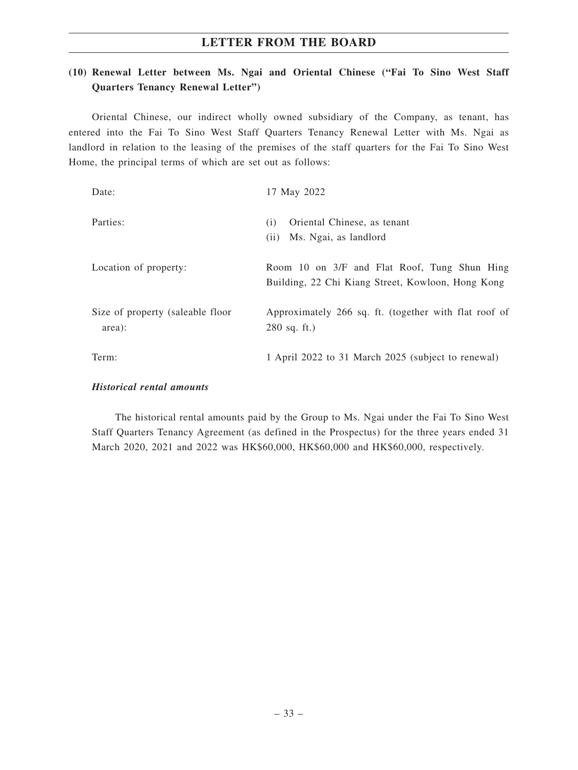# **(10) Renewal Letter between Ms. Ngai and Oriental Chinese ("Fai To Sino West Staff Quarters Tenancy Renewal Letter")**

Oriental Chinese, our indirect wholly owned subsidiary of the Company, as tenant, has entered into the Fai To Sino West Staff Quarters Tenancy Renewal Letter with Ms. Ngai as landlord in relation to the leasing of the premises of the staff quarters for the Fai To Sino West Home, the principal terms of which are set out as follows:

| Date:                                      | 17 May 2022                                                                                       |
|--------------------------------------------|---------------------------------------------------------------------------------------------------|
| Parties:                                   | Oriental Chinese, as tenant<br>(i)<br>Ms. Ngai, as landlord<br>(i)                                |
| Location of property:                      | Room 10 on 3/F and Flat Roof, Tung Shun Hing<br>Building, 22 Chi Kiang Street, Kowloon, Hong Kong |
| Size of property (saleable floor<br>area): | Approximately 266 sq. ft. (together with flat roof of<br>$280$ sq. ft.)                           |
| Term:                                      | 1 April 2022 to 31 March 2025 (subject to renewal)                                                |

#### *Historical rental amounts*

The historical rental amounts paid by the Group to Ms. Ngai under the Fai To Sino West Staff Quarters Tenancy Agreement (as defined in the Prospectus) for the three years ended 31 March 2020, 2021 and 2022 was HK\$60,000, HK\$60,000 and HK\$60,000, respectively.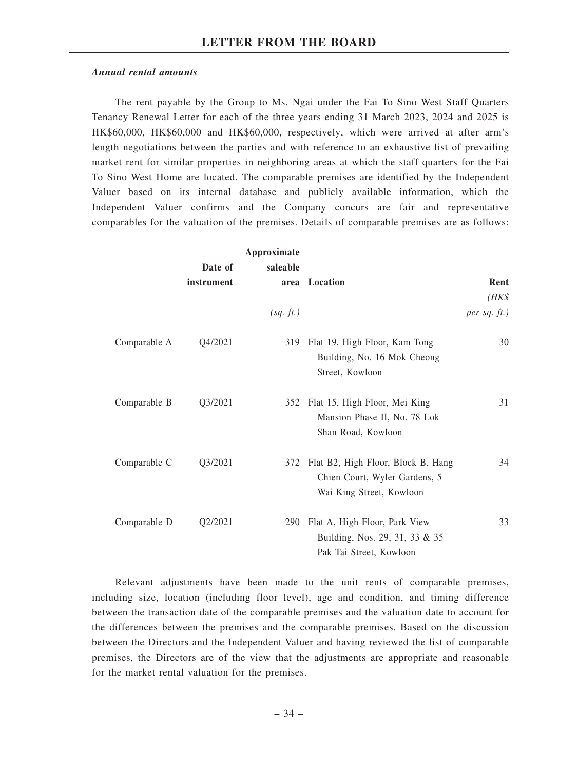#### *Annual rental amounts*

The rent payable by the Group to Ms. Ngai under the Fai To Sino West Staff Quarters Tenancy Renewal Letter for each of the three years ending 31 March 2023, 2024 and 2025 is HK\$60,000, HK\$60,000 and HK\$60,000, respectively, which were arrived at after arm's length negotiations between the parties and with reference to an exhaustive list of prevailing market rent for similar properties in neighboring areas at which the staff quarters for the Fai To Sino West Home are located. The comparable premises are identified by the Independent Valuer based on its internal database and publicly available information, which the Independent Valuer confirms and the Company concurs are fair and representative comparables for the valuation of the premises. Details of comparable premises are as follows:

|              |            | Approximate |                                                                                                 |                   |
|--------------|------------|-------------|-------------------------------------------------------------------------------------------------|-------------------|
|              | Date of    | saleable    |                                                                                                 |                   |
|              | instrument |             | area Location                                                                                   | Rent              |
|              |            |             |                                                                                                 | $(HK\$            |
|              |            | (sq. ft.)   |                                                                                                 | $per$ sq. $ft.$ ) |
| Comparable A | Q4/2021    | 319         | Flat 19, High Floor, Kam Tong<br>Building, No. 16 Mok Cheong<br>Street, Kowloon                 | 30                |
| Comparable B | Q3/2021    | 352         | Flat 15, High Floor, Mei King<br>Mansion Phase II, No. 78 Lok<br>Shan Road, Kowloon             | 31                |
| Comparable C | Q3/2021    | 372         | Flat B2, High Floor, Block B, Hang<br>Chien Court, Wyler Gardens, 5<br>Wai King Street, Kowloon | 34                |
| Comparable D | Q2/2021    | 290         | Flat A, High Floor, Park View<br>Building, Nos. 29, 31, 33 & 35<br>Pak Tai Street, Kowloon      | 33                |

Relevant adjustments have been made to the unit rents of comparable premises, including size, location (including floor level), age and condition, and timing difference between the transaction date of the comparable premises and the valuation date to account for the differences between the premises and the comparable premises. Based on the discussion between the Directors and the Independent Valuer and having reviewed the list of comparable premises, the Directors are of the view that the adjustments are appropriate and reasonable for the market rental valuation for the premises.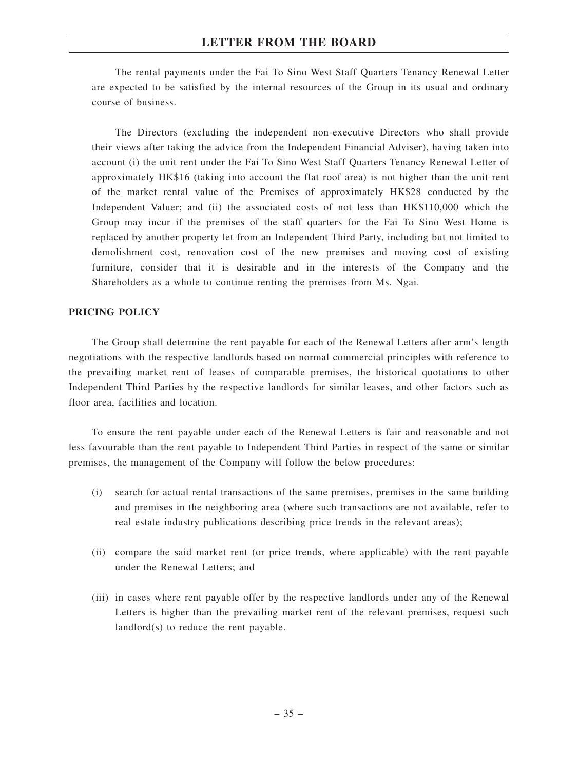The rental payments under the Fai To Sino West Staff Quarters Tenancy Renewal Letter are expected to be satisfied by the internal resources of the Group in its usual and ordinary course of business.

The Directors (excluding the independent non-executive Directors who shall provide their views after taking the advice from the Independent Financial Adviser), having taken into account (i) the unit rent under the Fai To Sino West Staff Quarters Tenancy Renewal Letter of approximately HK\$16 (taking into account the flat roof area) is not higher than the unit rent of the market rental value of the Premises of approximately HK\$28 conducted by the Independent Valuer; and (ii) the associated costs of not less than HK\$110,000 which the Group may incur if the premises of the staff quarters for the Fai To Sino West Home is replaced by another property let from an Independent Third Party, including but not limited to demolishment cost, renovation cost of the new premises and moving cost of existing furniture, consider that it is desirable and in the interests of the Company and the Shareholders as a whole to continue renting the premises from Ms. Ngai.

### **PRICING POLICY**

The Group shall determine the rent payable for each of the Renewal Letters after arm's length negotiations with the respective landlords based on normal commercial principles with reference to the prevailing market rent of leases of comparable premises, the historical quotations to other Independent Third Parties by the respective landlords for similar leases, and other factors such as floor area, facilities and location.

To ensure the rent payable under each of the Renewal Letters is fair and reasonable and not less favourable than the rent payable to Independent Third Parties in respect of the same or similar premises, the management of the Company will follow the below procedures:

- (i) search for actual rental transactions of the same premises, premises in the same building and premises in the neighboring area (where such transactions are not available, refer to real estate industry publications describing price trends in the relevant areas);
- (ii) compare the said market rent (or price trends, where applicable) with the rent payable under the Renewal Letters; and
- (iii) in cases where rent payable offer by the respective landlords under any of the Renewal Letters is higher than the prevailing market rent of the relevant premises, request such landlord(s) to reduce the rent payable.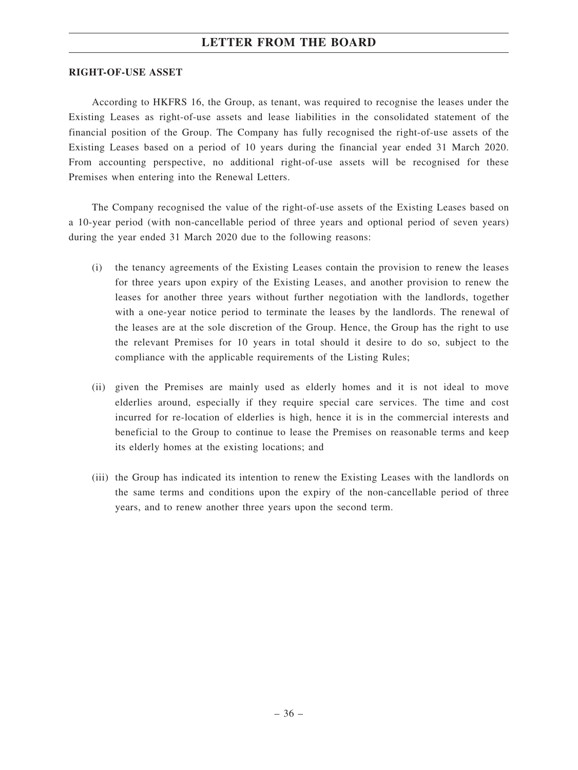#### **RIGHT-OF-USE ASSET**

According to HKFRS 16, the Group, as tenant, was required to recognise the leases under the Existing Leases as right-of-use assets and lease liabilities in the consolidated statement of the financial position of the Group. The Company has fully recognised the right-of-use assets of the Existing Leases based on a period of 10 years during the financial year ended 31 March 2020. From accounting perspective, no additional right-of-use assets will be recognised for these Premises when entering into the Renewal Letters.

The Company recognised the value of the right-of-use assets of the Existing Leases based on a 10-year period (with non-cancellable period of three years and optional period of seven years) during the year ended 31 March 2020 due to the following reasons:

- (i) the tenancy agreements of the Existing Leases contain the provision to renew the leases for three years upon expiry of the Existing Leases, and another provision to renew the leases for another three years without further negotiation with the landlords, together with a one-year notice period to terminate the leases by the landlords. The renewal of the leases are at the sole discretion of the Group. Hence, the Group has the right to use the relevant Premises for 10 years in total should it desire to do so, subject to the compliance with the applicable requirements of the Listing Rules;
- (ii) given the Premises are mainly used as elderly homes and it is not ideal to move elderlies around, especially if they require special care services. The time and cost incurred for re-location of elderlies is high, hence it is in the commercial interests and beneficial to the Group to continue to lease the Premises on reasonable terms and keep its elderly homes at the existing locations; and
- (iii) the Group has indicated its intention to renew the Existing Leases with the landlords on the same terms and conditions upon the expiry of the non-cancellable period of three years, and to renew another three years upon the second term.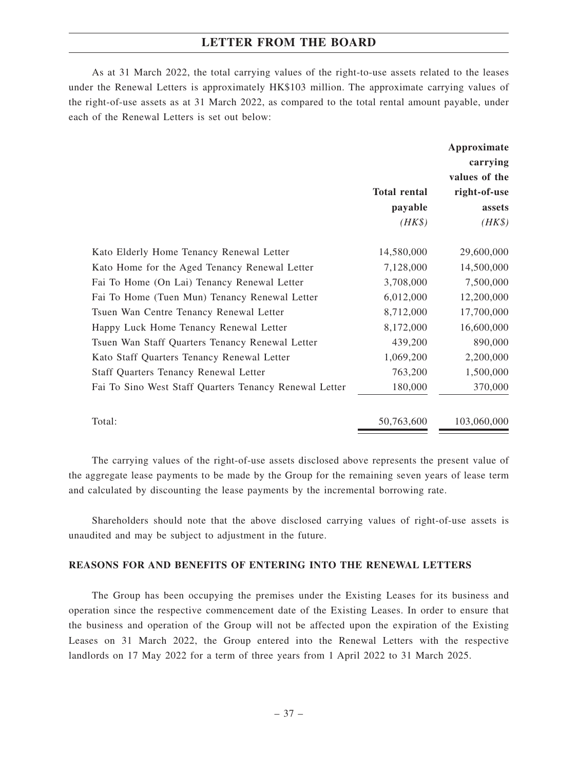As at 31 March 2022, the total carrying values of the right-to-use assets related to the leases under the Renewal Letters is approximately HK\$103 million. The approximate carrying values of the right-of-use assets as at 31 March 2022, as compared to the total rental amount payable, under each of the Renewal Letters is set out below:

|                                                        |                     | Approximate<br>carrying<br>values of the |
|--------------------------------------------------------|---------------------|------------------------------------------|
|                                                        | <b>Total rental</b> | right-of-use                             |
|                                                        | payable             | assets                                   |
|                                                        | $(HK\$              | $(HK\$                                   |
| Kato Elderly Home Tenancy Renewal Letter               | 14,580,000          | 29,600,000                               |
| Kato Home for the Aged Tenancy Renewal Letter          | 7,128,000           | 14,500,000                               |
| Fai To Home (On Lai) Tenancy Renewal Letter            | 3,708,000           | 7,500,000                                |
| Fai To Home (Tuen Mun) Tenancy Renewal Letter          | 6,012,000           | 12,200,000                               |
| Tsuen Wan Centre Tenancy Renewal Letter                | 8,712,000           | 17,700,000                               |
| Happy Luck Home Tenancy Renewal Letter                 | 8,172,000           | 16,600,000                               |
| Tsuen Wan Staff Quarters Tenancy Renewal Letter        | 439,200             | 890,000                                  |
| Kato Staff Quarters Tenancy Renewal Letter             | 1,069,200           | 2,200,000                                |
| <b>Staff Quarters Tenancy Renewal Letter</b>           | 763,200             | 1,500,000                                |
| Fai To Sino West Staff Quarters Tenancy Renewal Letter | 180,000             | 370,000                                  |
| Total:                                                 | 50,763,600          | 103,060,000                              |

The carrying values of the right-of-use assets disclosed above represents the present value of the aggregate lease payments to be made by the Group for the remaining seven years of lease term and calculated by discounting the lease payments by the incremental borrowing rate.

Shareholders should note that the above disclosed carrying values of right-of-use assets is unaudited and may be subject to adjustment in the future.

#### **REASONS FOR AND BENEFITS OF ENTERING INTO THE RENEWAL LETTERS**

The Group has been occupying the premises under the Existing Leases for its business and operation since the respective commencement date of the Existing Leases. In order to ensure that the business and operation of the Group will not be affected upon the expiration of the Existing Leases on 31 March 2022, the Group entered into the Renewal Letters with the respective landlords on 17 May 2022 for a term of three years from 1 April 2022 to 31 March 2025.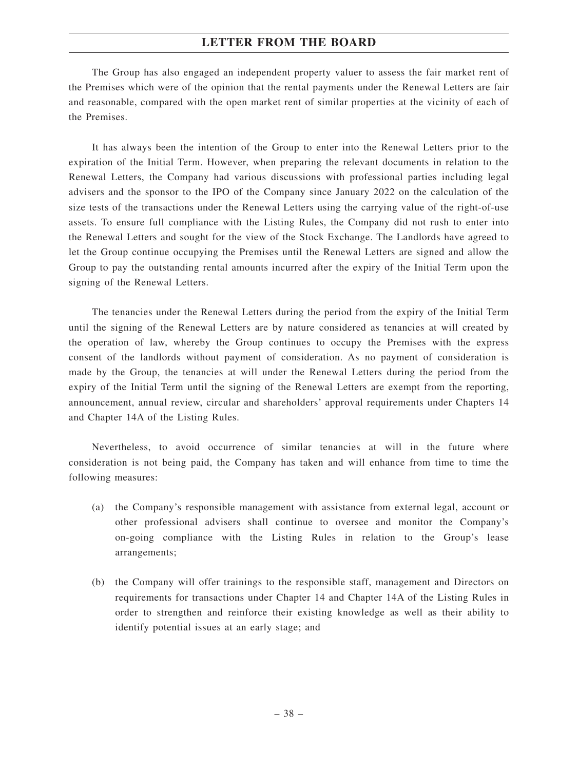The Group has also engaged an independent property valuer to assess the fair market rent of the Premises which were of the opinion that the rental payments under the Renewal Letters are fair and reasonable, compared with the open market rent of similar properties at the vicinity of each of the Premises.

It has always been the intention of the Group to enter into the Renewal Letters prior to the expiration of the Initial Term. However, when preparing the relevant documents in relation to the Renewal Letters, the Company had various discussions with professional parties including legal advisers and the sponsor to the IPO of the Company since January 2022 on the calculation of the size tests of the transactions under the Renewal Letters using the carrying value of the right-of-use assets. To ensure full compliance with the Listing Rules, the Company did not rush to enter into the Renewal Letters and sought for the view of the Stock Exchange. The Landlords have agreed to let the Group continue occupying the Premises until the Renewal Letters are signed and allow the Group to pay the outstanding rental amounts incurred after the expiry of the Initial Term upon the signing of the Renewal Letters.

The tenancies under the Renewal Letters during the period from the expiry of the Initial Term until the signing of the Renewal Letters are by nature considered as tenancies at will created by the operation of law, whereby the Group continues to occupy the Premises with the express consent of the landlords without payment of consideration. As no payment of consideration is made by the Group, the tenancies at will under the Renewal Letters during the period from the expiry of the Initial Term until the signing of the Renewal Letters are exempt from the reporting, announcement, annual review, circular and shareholders' approval requirements under Chapters 14 and Chapter 14A of the Listing Rules.

Nevertheless, to avoid occurrence of similar tenancies at will in the future where consideration is not being paid, the Company has taken and will enhance from time to time the following measures:

- (a) the Company's responsible management with assistance from external legal, account or other professional advisers shall continue to oversee and monitor the Company's on-going compliance with the Listing Rules in relation to the Group's lease arrangements;
- (b) the Company will offer trainings to the responsible staff, management and Directors on requirements for transactions under Chapter 14 and Chapter 14A of the Listing Rules in order to strengthen and reinforce their existing knowledge as well as their ability to identify potential issues at an early stage; and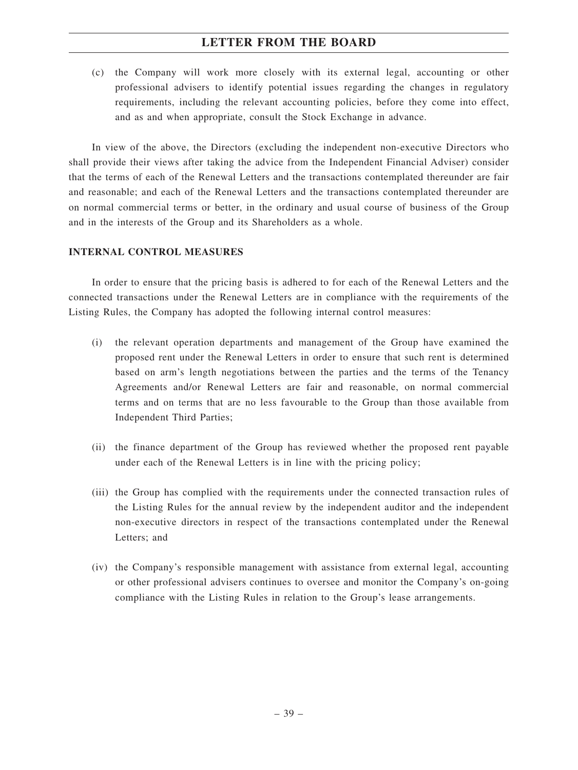(c) the Company will work more closely with its external legal, accounting or other professional advisers to identify potential issues regarding the changes in regulatory requirements, including the relevant accounting policies, before they come into effect, and as and when appropriate, consult the Stock Exchange in advance.

In view of the above, the Directors (excluding the independent non-executive Directors who shall provide their views after taking the advice from the Independent Financial Adviser) consider that the terms of each of the Renewal Letters and the transactions contemplated thereunder are fair and reasonable; and each of the Renewal Letters and the transactions contemplated thereunder are on normal commercial terms or better, in the ordinary and usual course of business of the Group and in the interests of the Group and its Shareholders as a whole.

### **INTERNAL CONTROL MEASURES**

In order to ensure that the pricing basis is adhered to for each of the Renewal Letters and the connected transactions under the Renewal Letters are in compliance with the requirements of the Listing Rules, the Company has adopted the following internal control measures:

- (i) the relevant operation departments and management of the Group have examined the proposed rent under the Renewal Letters in order to ensure that such rent is determined based on arm's length negotiations between the parties and the terms of the Tenancy Agreements and/or Renewal Letters are fair and reasonable, on normal commercial terms and on terms that are no less favourable to the Group than those available from Independent Third Parties;
- (ii) the finance department of the Group has reviewed whether the proposed rent payable under each of the Renewal Letters is in line with the pricing policy;
- (iii) the Group has complied with the requirements under the connected transaction rules of the Listing Rules for the annual review by the independent auditor and the independent non-executive directors in respect of the transactions contemplated under the Renewal Letters; and
- (iv) the Company's responsible management with assistance from external legal, accounting or other professional advisers continues to oversee and monitor the Company's on-going compliance with the Listing Rules in relation to the Group's lease arrangements.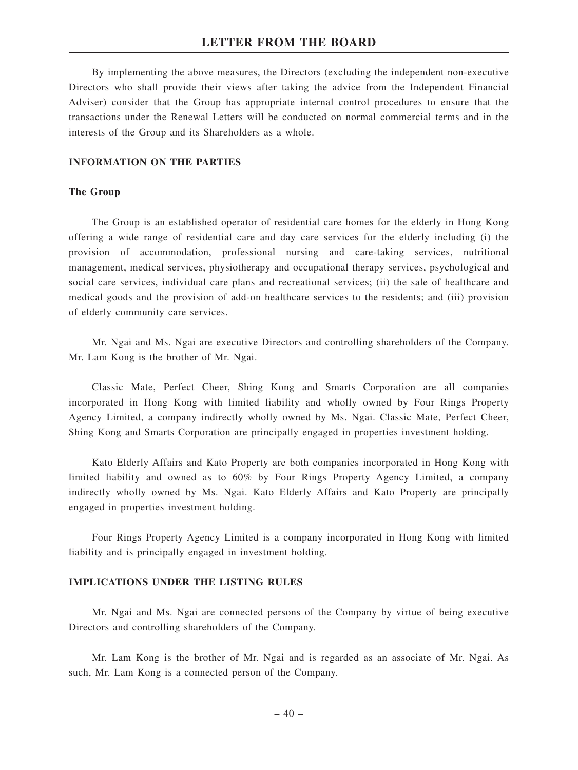By implementing the above measures, the Directors (excluding the independent non-executive Directors who shall provide their views after taking the advice from the Independent Financial Adviser) consider that the Group has appropriate internal control procedures to ensure that the transactions under the Renewal Letters will be conducted on normal commercial terms and in the interests of the Group and its Shareholders as a whole.

#### **INFORMATION ON THE PARTIES**

#### **The Group**

The Group is an established operator of residential care homes for the elderly in Hong Kong offering a wide range of residential care and day care services for the elderly including (i) the provision of accommodation, professional nursing and care-taking services, nutritional management, medical services, physiotherapy and occupational therapy services, psychological and social care services, individual care plans and recreational services; (ii) the sale of healthcare and medical goods and the provision of add-on healthcare services to the residents; and (iii) provision of elderly community care services.

Mr. Ngai and Ms. Ngai are executive Directors and controlling shareholders of the Company. Mr. Lam Kong is the brother of Mr. Ngai.

Classic Mate, Perfect Cheer, Shing Kong and Smarts Corporation are all companies incorporated in Hong Kong with limited liability and wholly owned by Four Rings Property Agency Limited, a company indirectly wholly owned by Ms. Ngai. Classic Mate, Perfect Cheer, Shing Kong and Smarts Corporation are principally engaged in properties investment holding.

Kato Elderly Affairs and Kato Property are both companies incorporated in Hong Kong with limited liability and owned as to 60% by Four Rings Property Agency Limited, a company indirectly wholly owned by Ms. Ngai. Kato Elderly Affairs and Kato Property are principally engaged in properties investment holding.

Four Rings Property Agency Limited is a company incorporated in Hong Kong with limited liability and is principally engaged in investment holding.

#### **IMPLICATIONS UNDER THE LISTING RULES**

Mr. Ngai and Ms. Ngai are connected persons of the Company by virtue of being executive Directors and controlling shareholders of the Company.

Mr. Lam Kong is the brother of Mr. Ngai and is regarded as an associate of Mr. Ngai. As such, Mr. Lam Kong is a connected person of the Company.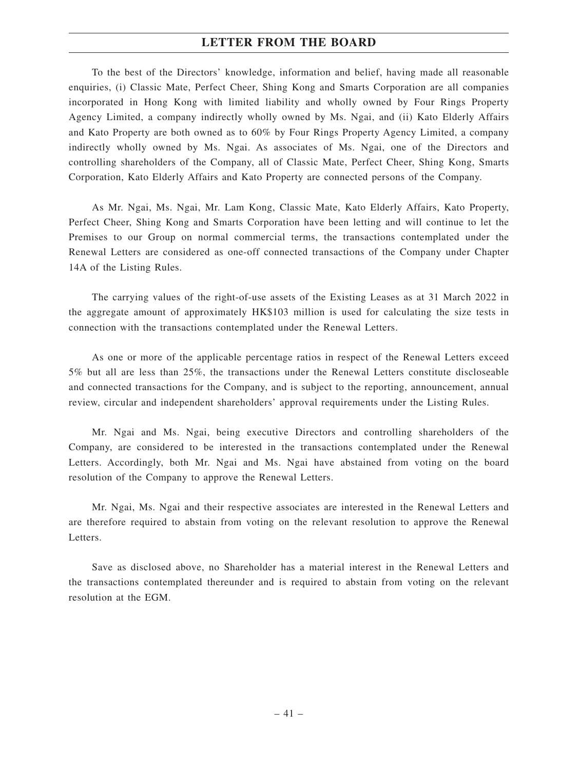To the best of the Directors' knowledge, information and belief, having made all reasonable enquiries, (i) Classic Mate, Perfect Cheer, Shing Kong and Smarts Corporation are all companies incorporated in Hong Kong with limited liability and wholly owned by Four Rings Property Agency Limited, a company indirectly wholly owned by Ms. Ngai, and (ii) Kato Elderly Affairs and Kato Property are both owned as to 60% by Four Rings Property Agency Limited, a company indirectly wholly owned by Ms. Ngai. As associates of Ms. Ngai, one of the Directors and controlling shareholders of the Company, all of Classic Mate, Perfect Cheer, Shing Kong, Smarts Corporation, Kato Elderly Affairs and Kato Property are connected persons of the Company.

As Mr. Ngai, Ms. Ngai, Mr. Lam Kong, Classic Mate, Kato Elderly Affairs, Kato Property, Perfect Cheer, Shing Kong and Smarts Corporation have been letting and will continue to let the Premises to our Group on normal commercial terms, the transactions contemplated under the Renewal Letters are considered as one-off connected transactions of the Company under Chapter 14A of the Listing Rules.

The carrying values of the right-of-use assets of the Existing Leases as at 31 March 2022 in the aggregate amount of approximately HK\$103 million is used for calculating the size tests in connection with the transactions contemplated under the Renewal Letters.

As one or more of the applicable percentage ratios in respect of the Renewal Letters exceed 5% but all are less than 25%, the transactions under the Renewal Letters constitute discloseable and connected transactions for the Company, and is subject to the reporting, announcement, annual review, circular and independent shareholders' approval requirements under the Listing Rules.

Mr. Ngai and Ms. Ngai, being executive Directors and controlling shareholders of the Company, are considered to be interested in the transactions contemplated under the Renewal Letters. Accordingly, both Mr. Ngai and Ms. Ngai have abstained from voting on the board resolution of the Company to approve the Renewal Letters.

Mr. Ngai, Ms. Ngai and their respective associates are interested in the Renewal Letters and are therefore required to abstain from voting on the relevant resolution to approve the Renewal Letters.

Save as disclosed above, no Shareholder has a material interest in the Renewal Letters and the transactions contemplated thereunder and is required to abstain from voting on the relevant resolution at the EGM.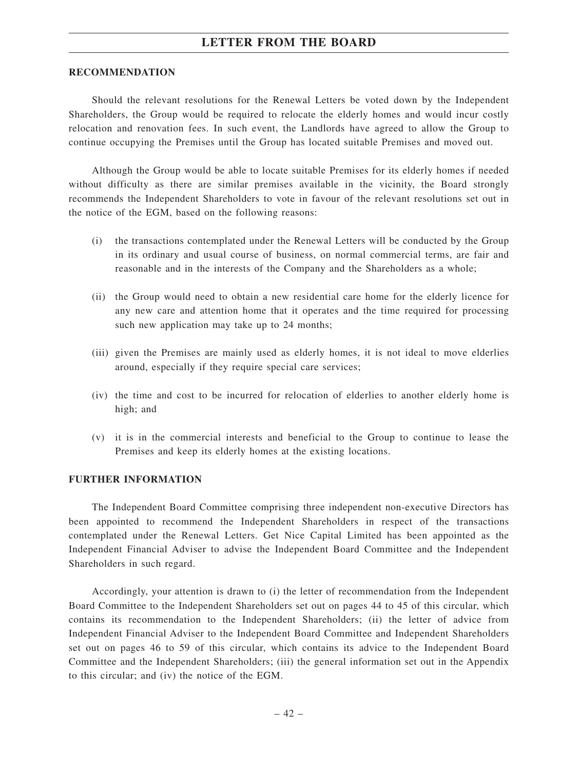#### **RECOMMENDATION**

Should the relevant resolutions for the Renewal Letters be voted down by the Independent Shareholders, the Group would be required to relocate the elderly homes and would incur costly relocation and renovation fees. In such event, the Landlords have agreed to allow the Group to continue occupying the Premises until the Group has located suitable Premises and moved out.

Although the Group would be able to locate suitable Premises for its elderly homes if needed without difficulty as there are similar premises available in the vicinity, the Board strongly recommends the Independent Shareholders to vote in favour of the relevant resolutions set out in the notice of the EGM, based on the following reasons:

- (i) the transactions contemplated under the Renewal Letters will be conducted by the Group in its ordinary and usual course of business, on normal commercial terms, are fair and reasonable and in the interests of the Company and the Shareholders as a whole;
- (ii) the Group would need to obtain a new residential care home for the elderly licence for any new care and attention home that it operates and the time required for processing such new application may take up to 24 months;
- (iii) given the Premises are mainly used as elderly homes, it is not ideal to move elderlies around, especially if they require special care services;
- (iv) the time and cost to be incurred for relocation of elderlies to another elderly home is high; and
- (v) it is in the commercial interests and beneficial to the Group to continue to lease the Premises and keep its elderly homes at the existing locations.

#### **FURTHER INFORMATION**

The Independent Board Committee comprising three independent non-executive Directors has been appointed to recommend the Independent Shareholders in respect of the transactions contemplated under the Renewal Letters. Get Nice Capital Limited has been appointed as the Independent Financial Adviser to advise the Independent Board Committee and the Independent Shareholders in such regard.

Accordingly, your attention is drawn to (i) the letter of recommendation from the Independent Board Committee to the Independent Shareholders set out on pages 44 to 45 of this circular, which contains its recommendation to the Independent Shareholders; (ii) the letter of advice from Independent Financial Adviser to the Independent Board Committee and Independent Shareholders set out on pages 46 to 59 of this circular, which contains its advice to the Independent Board Committee and the Independent Shareholders; (iii) the general information set out in the Appendix to this circular; and (iv) the notice of the EGM.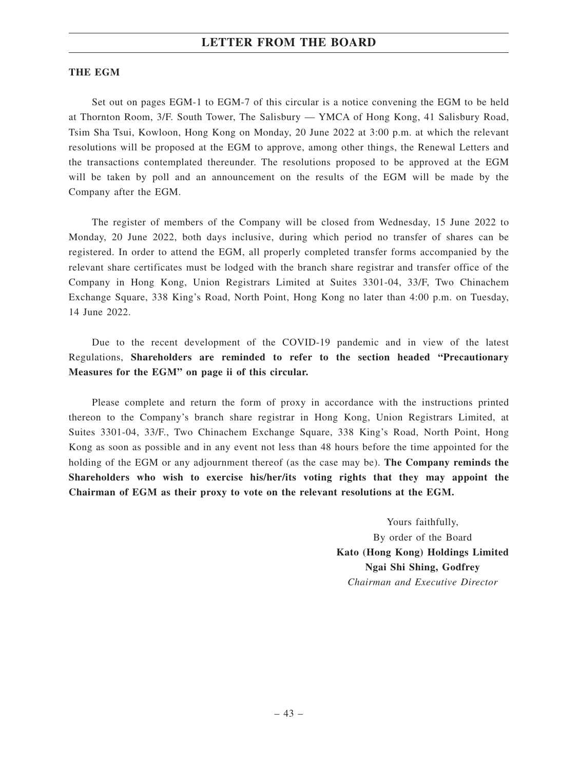#### **THE EGM**

Set out on pages EGM-1 to EGM-7 of this circular is a notice convening the EGM to be held at Thornton Room, 3/F. South Tower, The Salisbury — YMCA of Hong Kong, 41 Salisbury Road, Tsim Sha Tsui, Kowloon, Hong Kong on Monday, 20 June 2022 at 3:00 p.m. at which the relevant resolutions will be proposed at the EGM to approve, among other things, the Renewal Letters and the transactions contemplated thereunder. The resolutions proposed to be approved at the EGM will be taken by poll and an announcement on the results of the EGM will be made by the Company after the EGM.

The register of members of the Company will be closed from Wednesday, 15 June 2022 to Monday, 20 June 2022, both days inclusive, during which period no transfer of shares can be registered. In order to attend the EGM, all properly completed transfer forms accompanied by the relevant share certificates must be lodged with the branch share registrar and transfer office of the Company in Hong Kong, Union Registrars Limited at Suites 3301-04, 33/F, Two Chinachem Exchange Square, 338 King's Road, North Point, Hong Kong no later than 4:00 p.m. on Tuesday, 14 June 2022.

Due to the recent development of the COVID-19 pandemic and in view of the latest Regulations, **Shareholders are reminded to refer to the section headed "Precautionary Measures for the EGM" on page ii of this circular.**

Please complete and return the form of proxy in accordance with the instructions printed thereon to the Company's branch share registrar in Hong Kong, Union Registrars Limited, at Suites 3301-04, 33/F., Two Chinachem Exchange Square, 338 King's Road, North Point, Hong Kong as soon as possible and in any event not less than 48 hours before the time appointed for the holding of the EGM or any adjournment thereof (as the case may be). **The Company reminds the Shareholders who wish to exercise his/her/its voting rights that they may appoint the Chairman of EGM as their proxy to vote on the relevant resolutions at the EGM.**

> Yours faithfully, By order of the Board **Kato (Hong Kong) Holdings Limited Ngai Shi Shing, Godfrey** *Chairman and Executive Director*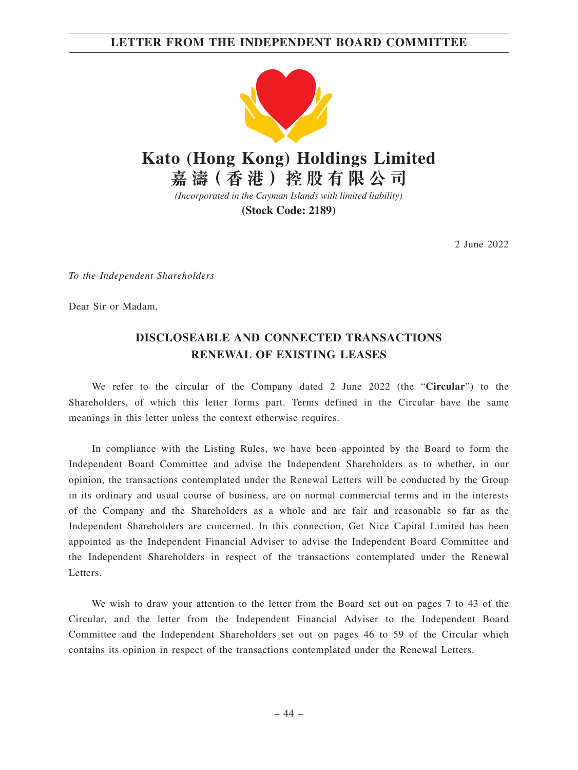## **LETTER FROM THE INDEPENDENT BOARD COMMITTEE**



*(Incorporated in the Cayman Islands with limited liability)*

**(Stock Code: 2189)**

2 June 2022

*To the Independent Shareholders*

Dear Sir or Madam,

## **DISCLOSEABLE AND CONNECTED TRANSACTIONS RENEWAL OF EXISTING LEASES**

We refer to the circular of the Company dated 2 June 2022 (the "**Circular**") to the Shareholders, of which this letter forms part. Terms defined in the Circular have the same meanings in this letter unless the context otherwise requires.

In compliance with the Listing Rules, we have been appointed by the Board to form the Independent Board Committee and advise the Independent Shareholders as to whether, in our opinion, the transactions contemplated under the Renewal Letters will be conducted by the Group in its ordinary and usual course of business, are on normal commercial terms and in the interests of the Company and the Shareholders as a whole and are fair and reasonable so far as the Independent Shareholders are concerned. In this connection, Get Nice Capital Limited has been appointed as the Independent Financial Adviser to advise the Independent Board Committee and the Independent Shareholders in respect of the transactions contemplated under the Renewal Letters.

We wish to draw your attention to the letter from the Board set out on pages 7 to 43 of the Circular, and the letter from the Independent Financial Adviser to the Independent Board Committee and the Independent Shareholders set out on pages 46 to 59 of the Circular which contains its opinion in respect of the transactions contemplated under the Renewal Letters.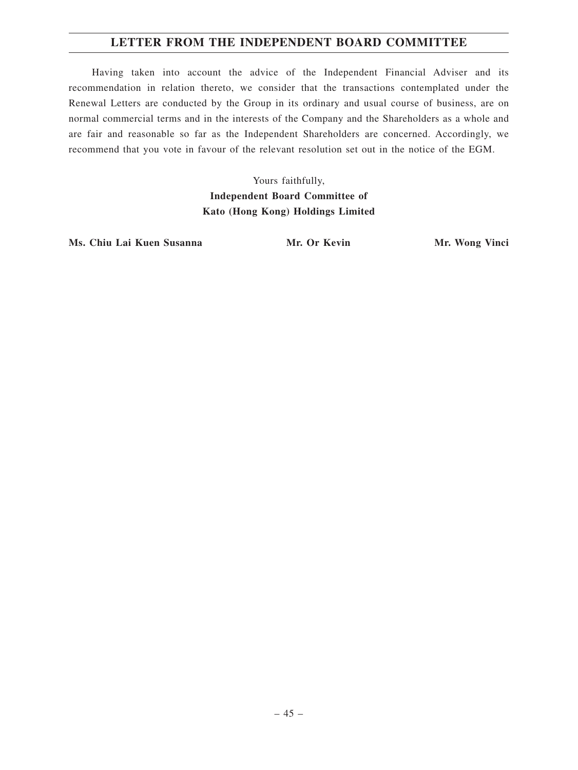## **LETTER FROM THE INDEPENDENT BOARD COMMITTEE**

Having taken into account the advice of the Independent Financial Adviser and its recommendation in relation thereto, we consider that the transactions contemplated under the Renewal Letters are conducted by the Group in its ordinary and usual course of business, are on normal commercial terms and in the interests of the Company and the Shareholders as a whole and are fair and reasonable so far as the Independent Shareholders are concerned. Accordingly, we recommend that you vote in favour of the relevant resolution set out in the notice of the EGM.

> Yours faithfully, **Independent Board Committee of Kato (Hong Kong) Holdings Limited**

Ms. Chiu Lai Kuen Susanna **Mr. Or Kevin** Mr. Mr. Wong Vinci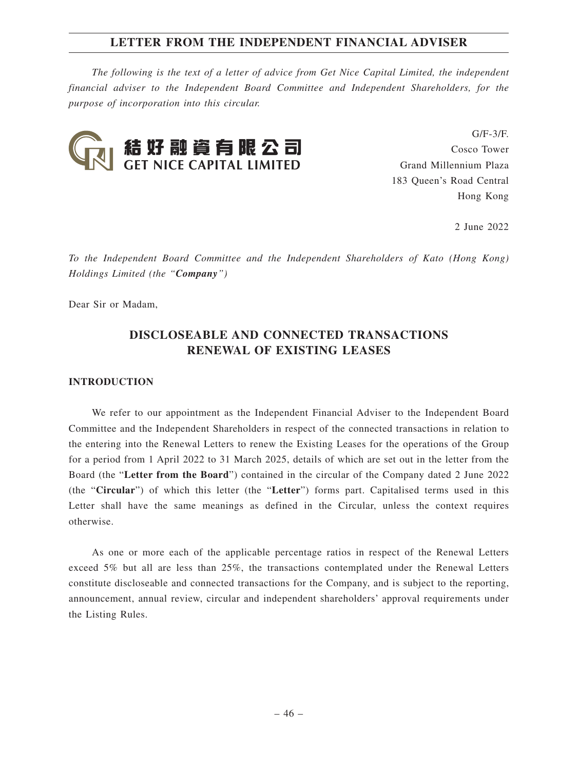*The following is the text of a letter of advice from Get Nice Capital Limited, the independent financial adviser to the Independent Board Committee and Independent Shareholders, for the purpose of incorporation into this circular.*



 $G/F-3/F$ Cosco Tower Grand Millennium Plaza 183 Queen's Road Central Hong Kong

2 June 2022

*To the Independent Board Committee and the Independent Shareholders of Kato (Hong Kong) Holdings Limited (the "Company")*

Dear Sir or Madam,

## **DISCLOSEABLE AND CONNECTED TRANSACTIONS RENEWAL OF EXISTING LEASES**

#### **INTRODUCTION**

We refer to our appointment as the Independent Financial Adviser to the Independent Board Committee and the Independent Shareholders in respect of the connected transactions in relation to the entering into the Renewal Letters to renew the Existing Leases for the operations of the Group for a period from 1 April 2022 to 31 March 2025, details of which are set out in the letter from the Board (the "**Letter from the Board**") contained in the circular of the Company dated 2 June 2022 (the "**Circular**") of which this letter (the "**Letter**") forms part. Capitalised terms used in this Letter shall have the same meanings as defined in the Circular, unless the context requires otherwise.

As one or more each of the applicable percentage ratios in respect of the Renewal Letters exceed 5% but all are less than 25%, the transactions contemplated under the Renewal Letters constitute discloseable and connected transactions for the Company, and is subject to the reporting, announcement, annual review, circular and independent shareholders' approval requirements under the Listing Rules.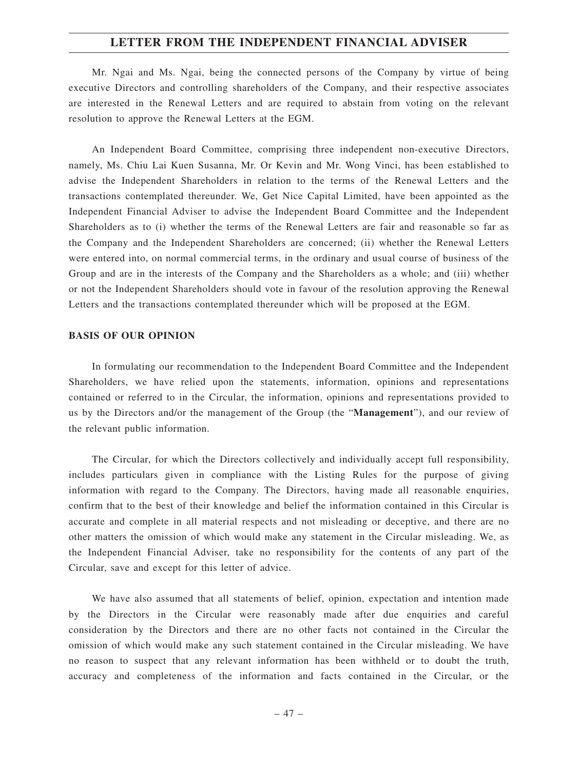Mr. Ngai and Ms. Ngai, being the connected persons of the Company by virtue of being executive Directors and controlling shareholders of the Company, and their respective associates are interested in the Renewal Letters and are required to abstain from voting on the relevant resolution to approve the Renewal Letters at the EGM.

An Independent Board Committee, comprising three independent non-executive Directors, namely, Ms. Chiu Lai Kuen Susanna, Mr. Or Kevin and Mr. Wong Vinci, has been established to advise the Independent Shareholders in relation to the terms of the Renewal Letters and the transactions contemplated thereunder. We, Get Nice Capital Limited, have been appointed as the Independent Financial Adviser to advise the Independent Board Committee and the Independent Shareholders as to (i) whether the terms of the Renewal Letters are fair and reasonable so far as the Company and the Independent Shareholders are concerned; (ii) whether the Renewal Letters were entered into, on normal commercial terms, in the ordinary and usual course of business of the Group and are in the interests of the Company and the Shareholders as a whole; and (iii) whether or not the Independent Shareholders should vote in favour of the resolution approving the Renewal Letters and the transactions contemplated thereunder which will be proposed at the EGM.

#### **BASIS OF OUR OPINION**

In formulating our recommendation to the Independent Board Committee and the Independent Shareholders, we have relied upon the statements, information, opinions and representations contained or referred to in the Circular, the information, opinions and representations provided to us by the Directors and/or the management of the Group (the "**Management**"), and our review of the relevant public information.

The Circular, for which the Directors collectively and individually accept full responsibility, includes particulars given in compliance with the Listing Rules for the purpose of giving information with regard to the Company. The Directors, having made all reasonable enquiries, confirm that to the best of their knowledge and belief the information contained in this Circular is accurate and complete in all material respects and not misleading or deceptive, and there are no other matters the omission of which would make any statement in the Circular misleading. We, as the Independent Financial Adviser, take no responsibility for the contents of any part of the Circular, save and except for this letter of advice.

We have also assumed that all statements of belief, opinion, expectation and intention made by the Directors in the Circular were reasonably made after due enquiries and careful consideration by the Directors and there are no other facts not contained in the Circular the omission of which would make any such statement contained in the Circular misleading. We have no reason to suspect that any relevant information has been withheld or to doubt the truth, accuracy and completeness of the information and facts contained in the Circular, or the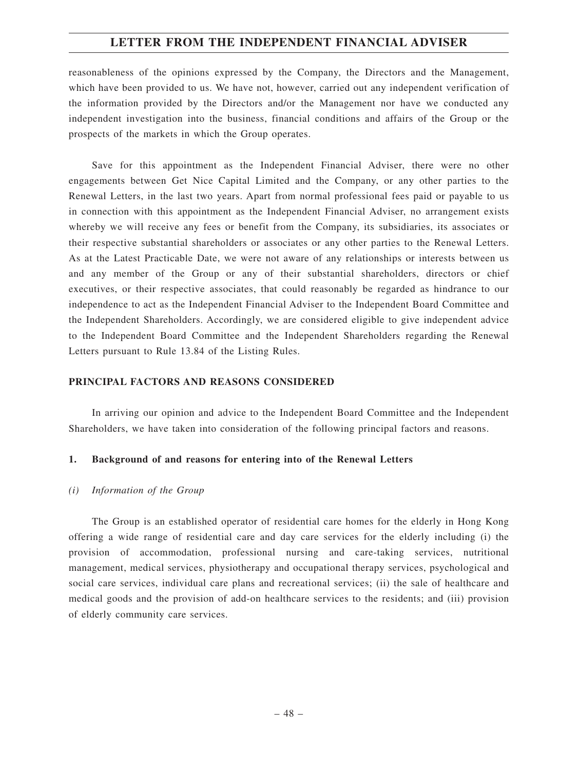reasonableness of the opinions expressed by the Company, the Directors and the Management, which have been provided to us. We have not, however, carried out any independent verification of the information provided by the Directors and/or the Management nor have we conducted any independent investigation into the business, financial conditions and affairs of the Group or the prospects of the markets in which the Group operates.

Save for this appointment as the Independent Financial Adviser, there were no other engagements between Get Nice Capital Limited and the Company, or any other parties to the Renewal Letters, in the last two years. Apart from normal professional fees paid or payable to us in connection with this appointment as the Independent Financial Adviser, no arrangement exists whereby we will receive any fees or benefit from the Company, its subsidiaries, its associates or their respective substantial shareholders or associates or any other parties to the Renewal Letters. As at the Latest Practicable Date, we were not aware of any relationships or interests between us and any member of the Group or any of their substantial shareholders, directors or chief executives, or their respective associates, that could reasonably be regarded as hindrance to our independence to act as the Independent Financial Adviser to the Independent Board Committee and the Independent Shareholders. Accordingly, we are considered eligible to give independent advice to the Independent Board Committee and the Independent Shareholders regarding the Renewal Letters pursuant to Rule 13.84 of the Listing Rules.

### **PRINCIPAL FACTORS AND REASONS CONSIDERED**

In arriving our opinion and advice to the Independent Board Committee and the Independent Shareholders, we have taken into consideration of the following principal factors and reasons.

#### **1. Background of and reasons for entering into of the Renewal Letters**

#### *(i) Information of the Group*

The Group is an established operator of residential care homes for the elderly in Hong Kong offering a wide range of residential care and day care services for the elderly including (i) the provision of accommodation, professional nursing and care-taking services, nutritional management, medical services, physiotherapy and occupational therapy services, psychological and social care services, individual care plans and recreational services; (ii) the sale of healthcare and medical goods and the provision of add-on healthcare services to the residents; and (iii) provision of elderly community care services.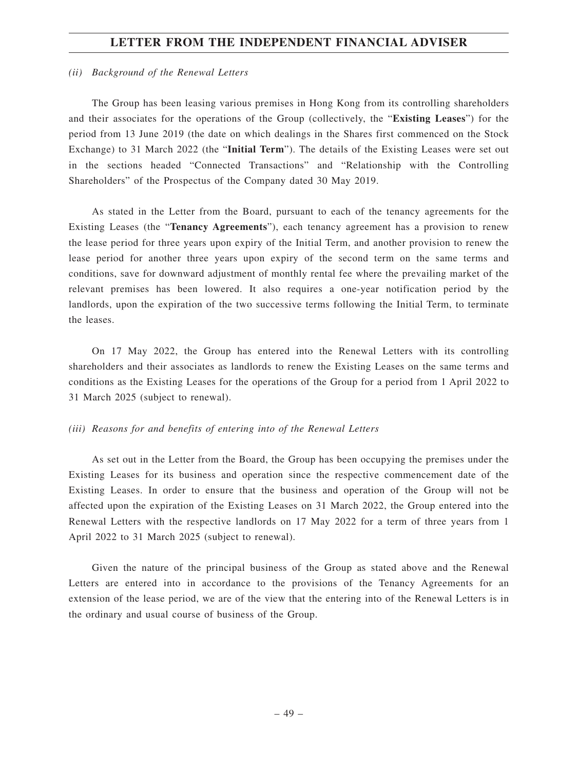#### *(ii) Background of the Renewal Letters*

The Group has been leasing various premises in Hong Kong from its controlling shareholders and their associates for the operations of the Group (collectively, the "**Existing Leases**") for the period from 13 June 2019 (the date on which dealings in the Shares first commenced on the Stock Exchange) to 31 March 2022 (the "**Initial Term**"). The details of the Existing Leases were set out in the sections headed "Connected Transactions" and "Relationship with the Controlling Shareholders" of the Prospectus of the Company dated 30 May 2019.

As stated in the Letter from the Board, pursuant to each of the tenancy agreements for the Existing Leases (the "**Tenancy Agreements**"), each tenancy agreement has a provision to renew the lease period for three years upon expiry of the Initial Term, and another provision to renew the lease period for another three years upon expiry of the second term on the same terms and conditions, save for downward adjustment of monthly rental fee where the prevailing market of the relevant premises has been lowered. It also requires a one-year notification period by the landlords, upon the expiration of the two successive terms following the Initial Term, to terminate the leases.

On 17 May 2022, the Group has entered into the Renewal Letters with its controlling shareholders and their associates as landlords to renew the Existing Leases on the same terms and conditions as the Existing Leases for the operations of the Group for a period from 1 April 2022 to 31 March 2025 (subject to renewal).

#### *(iii) Reasons for and benefits of entering into of the Renewal Letters*

As set out in the Letter from the Board, the Group has been occupying the premises under the Existing Leases for its business and operation since the respective commencement date of the Existing Leases. In order to ensure that the business and operation of the Group will not be affected upon the expiration of the Existing Leases on 31 March 2022, the Group entered into the Renewal Letters with the respective landlords on 17 May 2022 for a term of three years from 1 April 2022 to 31 March 2025 (subject to renewal).

Given the nature of the principal business of the Group as stated above and the Renewal Letters are entered into in accordance to the provisions of the Tenancy Agreements for an extension of the lease period, we are of the view that the entering into of the Renewal Letters is in the ordinary and usual course of business of the Group.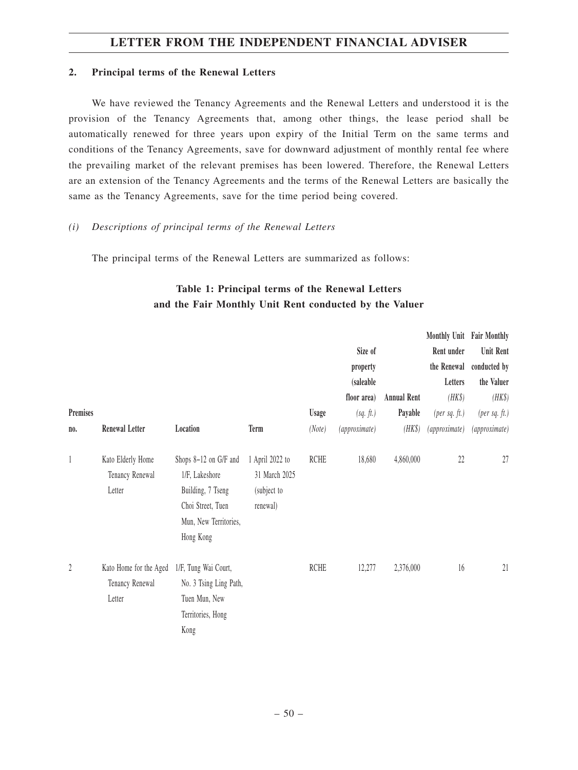### **2. Principal terms of the Renewal Letters**

We have reviewed the Tenancy Agreements and the Renewal Letters and understood it is the provision of the Tenancy Agreements that, among other things, the lease period shall be automatically renewed for three years upon expiry of the Initial Term on the same terms and conditions of the Tenancy Agreements, save for downward adjustment of monthly rental fee where the prevailing market of the relevant premises has been lowered. Therefore, the Renewal Letters are an extension of the Tenancy Agreements and the terms of the Renewal Letters are basically the same as the Tenancy Agreements, save for the time period being covered.

### *(i) Descriptions of principal terms of the Renewal Letters*

The principal terms of the Renewal Letters are summarized as follows:

## **Table 1: Principal terms of the Renewal Letters and the Fair Monthly Unit Rent conducted by the Valuer**

|                  |                                                     |                                                                                                                         |                                                             |             |               |                    | Monthly Unit Fair Monthly |                  |
|------------------|-----------------------------------------------------|-------------------------------------------------------------------------------------------------------------------------|-------------------------------------------------------------|-------------|---------------|--------------------|---------------------------|------------------|
|                  |                                                     |                                                                                                                         |                                                             |             | Size of       |                    | Rent under                | <b>Unit Rent</b> |
|                  |                                                     |                                                                                                                         |                                                             |             | property      |                    | the Renewal               | conducted by     |
|                  |                                                     |                                                                                                                         |                                                             |             | (saleable     |                    | Letters                   | the Valuer       |
|                  |                                                     |                                                                                                                         |                                                             |             | floor area)   | <b>Annual Rent</b> | $(HK\$                    | (HK\$)           |
| Premises         |                                                     |                                                                                                                         |                                                             | Usage       | (sq. ft.)     | Payable            | $(\text{per sq. ft.})$    | (per sq. $ft.$ ) |
| no.              | <b>Renewal Letter</b>                               | Location                                                                                                                | Term                                                        | (Note)      | (approximate) | $(HK\$             | (approximate)             | (approximate)    |
| 1                | Kato Elderly Home<br>Tenancy Renewal<br>Letter      | Shops 8-12 on G/F and<br>1/F, Lakeshore<br>Building, 7 Tseng<br>Choi Street, Tuen<br>Mun, New Territories,<br>Hong Kong | 1 April 2022 to<br>31 March 2025<br>(subject to<br>renewal) | <b>RCHE</b> | 18,680        | 4,860,000          | 22                        | 27               |
| $\boldsymbol{2}$ | Kato Home for the Aged<br>Tenancy Renewal<br>Letter | 1/F, Tung Wai Court,<br>No. 3 Tsing Ling Path,<br>Tuen Mun, New<br>Territories, Hong<br>Kong                            |                                                             | <b>RCHE</b> | 12,277        | 2,376,000          | 16                        | 21               |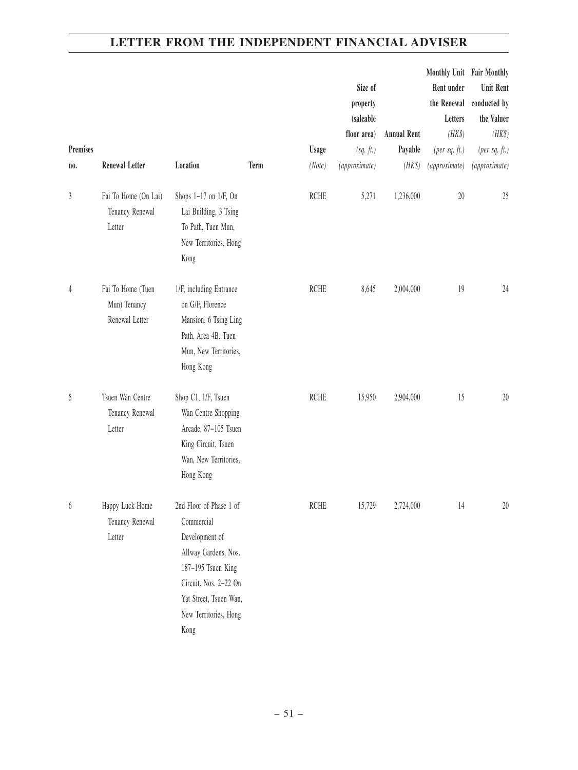|                  |                                                     |                                                                                                                                                                                           |      |             | Size of       |                    | Monthly Unit Fair Monthly<br>Rent under | Unit Rent       |
|------------------|-----------------------------------------------------|-------------------------------------------------------------------------------------------------------------------------------------------------------------------------------------------|------|-------------|---------------|--------------------|-----------------------------------------|-----------------|
|                  |                                                     |                                                                                                                                                                                           |      |             | property      |                    | the Renewal                             | conducted by    |
|                  |                                                     |                                                                                                                                                                                           |      |             | (saleable     |                    | Letters                                 | the Valuer      |
|                  |                                                     |                                                                                                                                                                                           |      |             | floor area)   | <b>Annual Rent</b> | $(HK\$                                  | (HK\$)          |
| Premises         |                                                     |                                                                                                                                                                                           |      | Usage       | (sq. ft.)     | Payable            | $(per\ sq.\ ft.)$                       | (per $sq.$ ft.) |
| no.              | <b>Renewal Letter</b>                               | Location                                                                                                                                                                                  | Term | (Note)      | (approximate) | (HK\$)             | (approximate)                           | (approximate)   |
| 3                | Fai To Home (On Lai)<br>Tenancy Renewal<br>Letter   | Shops 1-17 on 1/F, On<br>Lai Building, 3 Tsing<br>To Path, Tuen Mun,<br>New Territories, Hong<br>Kong                                                                                     |      | <b>RCHE</b> | 5,271         | 1,236,000          | $20\,$                                  | 25              |
| $\overline{4}$   | Fai To Home (Tuen<br>Mun) Tenancy<br>Renewal Letter | 1/F, including Entrance<br>on G/F, Florence<br>Mansion, 6 Tsing Ling<br>Path, Area 4B, Tuen<br>Mun, New Territories,<br>Hong Kong                                                         |      | <b>RCHE</b> | 8,645         | 2,004,000          | 19                                      | 24              |
| 5                | Tsuen Wan Centre<br>Tenancy Renewal<br>Letter       | Shop C1, 1/F, Tsuen<br>Wan Centre Shopping<br>Arcade, 87-105 Tsuen<br>King Circuit, Tsuen<br>Wan, New Territories,<br>Hong Kong                                                           |      | <b>RCHE</b> | 15,950        | 2,904,000          | 15                                      | 20              |
| $\boldsymbol{6}$ | Happy Luck Home<br>Tenancy Renewal<br>Letter        | 2nd Floor of Phase 1 of<br>Commercial<br>Development of<br>Allway Gardens, Nos.<br>187-195 Tsuen King<br>Circuit, Nos. 2-22 On<br>Yat Street, Tsuen Wan,<br>New Territories, Hong<br>Kong |      | <b>RCHE</b> | 15,729        | 2,724,000          | 14                                      | 20              |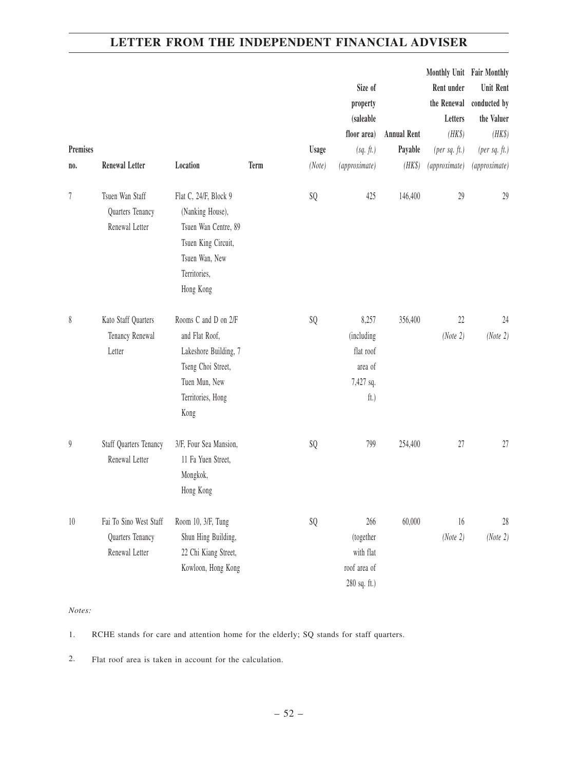|                  |                               |                        |      |        |               |                    | Monthly Unit Fair Monthly |                  |
|------------------|-------------------------------|------------------------|------|--------|---------------|--------------------|---------------------------|------------------|
|                  |                               |                        |      |        | Size of       |                    | Rent under                | <b>Unit Rent</b> |
|                  |                               |                        |      |        | property      |                    | the Renewal               | conducted by     |
|                  |                               |                        |      |        | (saleable     |                    | Letters                   | the Valuer       |
|                  |                               |                        |      |        | floor area)   | <b>Annual Rent</b> | $(HK\$                    | (HK\$)           |
| Premises         |                               |                        |      | Usage  | (sq. ft.)     | Payable            | $(per\ sq.\ ft.)$         | (per $sq.$ ft.)  |
| no.              | <b>Renewal Letter</b>         | Location               | Term | (Note) | (approximate) | (HK\$)             | (approximate)             | (approximate)    |
| 7                | Tsuen Wan Staff               | Flat C, 24/F, Block 9  |      | SQ     | 425           | 146,400            | 29                        | 29               |
|                  | Quarters Tenancy              | (Nanking House),       |      |        |               |                    |                           |                  |
|                  | Renewal Letter                | Tsuen Wan Centre, 89   |      |        |               |                    |                           |                  |
|                  |                               | Tsuen King Circuit,    |      |        |               |                    |                           |                  |
|                  |                               | Tsuen Wan, New         |      |        |               |                    |                           |                  |
|                  |                               | Territories,           |      |        |               |                    |                           |                  |
|                  |                               | Hong Kong              |      |        |               |                    |                           |                  |
| $\,$             | Kato Staff Quarters           | Rooms C and D on 2/F   |      | SQ     | 8,257         | 356,400            | $22\,$                    | 24               |
|                  | Tenancy Renewal               | and Flat Roof,         |      |        | (including    |                    | (Note 2)                  | (Note 2)         |
|                  | Letter                        | Lakeshore Building, 7  |      |        | flat roof     |                    |                           |                  |
|                  |                               | Tseng Choi Street,     |      |        | area of       |                    |                           |                  |
|                  |                               | Tuen Mun, New          |      |        | 7,427 sq.     |                    |                           |                  |
|                  |                               | Territories, Hong      |      |        | ft.)          |                    |                           |                  |
|                  |                               | Kong                   |      |        |               |                    |                           |                  |
| $\boldsymbol{9}$ | <b>Staff Quarters Tenancy</b> | 3/F, Four Sea Mansion, |      | SQ     | 799           | 254,400            | 27                        | 27               |
|                  | Renewal Letter                | 11 Fa Yuen Street,     |      |        |               |                    |                           |                  |
|                  |                               | Mongkok,               |      |        |               |                    |                           |                  |
|                  |                               | Hong Kong              |      |        |               |                    |                           |                  |
| $10\,$           | Fai To Sino West Staff        | Room 10, 3/F, Tung     |      | SQ     | 266           | 60,000             | 16                        | 28               |
|                  | Quarters Tenancy              | Shun Hing Building,    |      |        | (together     |                    | (Note 2)                  | (Note 2)         |
|                  | Renewal Letter                | 22 Chi Kiang Street,   |      |        | with flat     |                    |                           |                  |
|                  |                               | Kowloon, Hong Kong     |      |        | roof area of  |                    |                           |                  |
|                  |                               |                        |      |        | 280 sq. ft.)  |                    |                           |                  |

#### *Notes:*

1. RCHE stands for care and attention home for the elderly; SQ stands for staff quarters.

2. Flat roof area is taken in account for the calculation.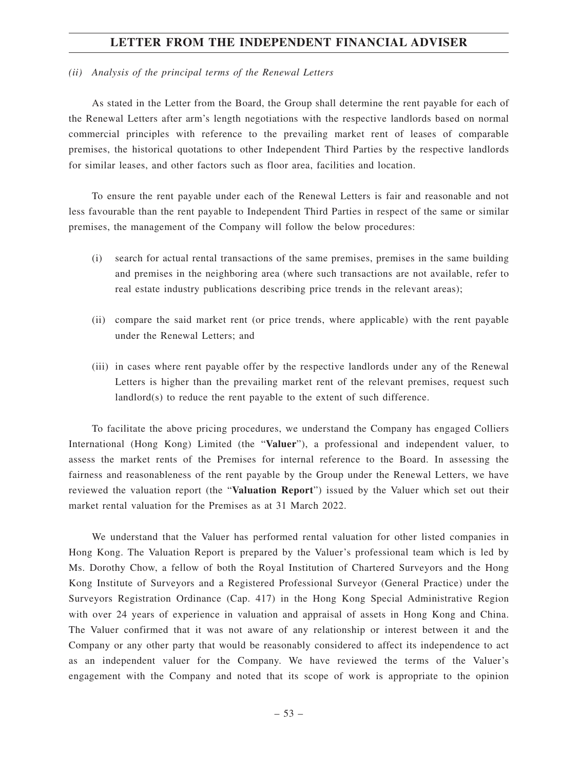#### *(ii) Analysis of the principal terms of the Renewal Letters*

As stated in the Letter from the Board, the Group shall determine the rent payable for each of the Renewal Letters after arm's length negotiations with the respective landlords based on normal commercial principles with reference to the prevailing market rent of leases of comparable premises, the historical quotations to other Independent Third Parties by the respective landlords for similar leases, and other factors such as floor area, facilities and location.

To ensure the rent payable under each of the Renewal Letters is fair and reasonable and not less favourable than the rent payable to Independent Third Parties in respect of the same or similar premises, the management of the Company will follow the below procedures:

- (i) search for actual rental transactions of the same premises, premises in the same building and premises in the neighboring area (where such transactions are not available, refer to real estate industry publications describing price trends in the relevant areas);
- (ii) compare the said market rent (or price trends, where applicable) with the rent payable under the Renewal Letters; and
- (iii) in cases where rent payable offer by the respective landlords under any of the Renewal Letters is higher than the prevailing market rent of the relevant premises, request such landlord(s) to reduce the rent payable to the extent of such difference.

To facilitate the above pricing procedures, we understand the Company has engaged Colliers International (Hong Kong) Limited (the "**Valuer**"), a professional and independent valuer, to assess the market rents of the Premises for internal reference to the Board. In assessing the fairness and reasonableness of the rent payable by the Group under the Renewal Letters, we have reviewed the valuation report (the "**Valuation Report**") issued by the Valuer which set out their market rental valuation for the Premises as at 31 March 2022.

We understand that the Valuer has performed rental valuation for other listed companies in Hong Kong. The Valuation Report is prepared by the Valuer's professional team which is led by Ms. Dorothy Chow, a fellow of both the Royal Institution of Chartered Surveyors and the Hong Kong Institute of Surveyors and a Registered Professional Surveyor (General Practice) under the Surveyors Registration Ordinance (Cap. 417) in the Hong Kong Special Administrative Region with over 24 years of experience in valuation and appraisal of assets in Hong Kong and China. The Valuer confirmed that it was not aware of any relationship or interest between it and the Company or any other party that would be reasonably considered to affect its independence to act as an independent valuer for the Company. We have reviewed the terms of the Valuer's engagement with the Company and noted that its scope of work is appropriate to the opinion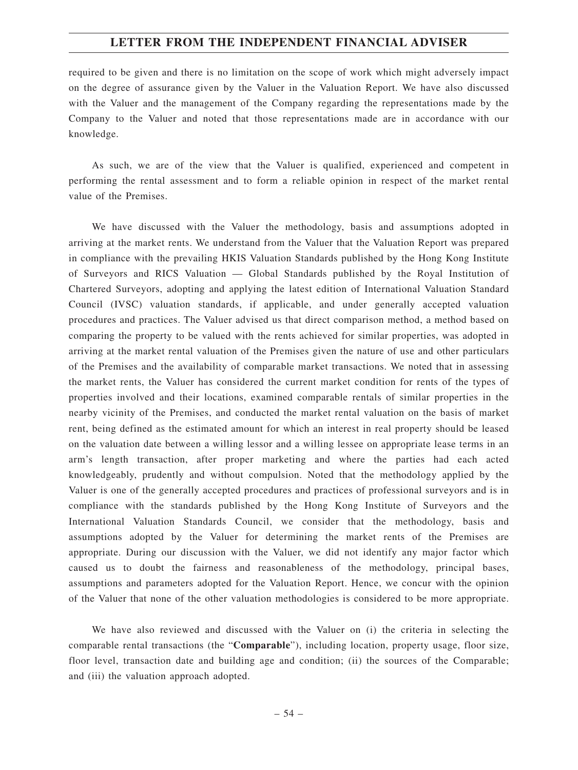required to be given and there is no limitation on the scope of work which might adversely impact on the degree of assurance given by the Valuer in the Valuation Report. We have also discussed with the Valuer and the management of the Company regarding the representations made by the Company to the Valuer and noted that those representations made are in accordance with our knowledge.

As such, we are of the view that the Valuer is qualified, experienced and competent in performing the rental assessment and to form a reliable opinion in respect of the market rental value of the Premises.

We have discussed with the Valuer the methodology, basis and assumptions adopted in arriving at the market rents. We understand from the Valuer that the Valuation Report was prepared in compliance with the prevailing HKIS Valuation Standards published by the Hong Kong Institute of Surveyors and RICS Valuation — Global Standards published by the Royal Institution of Chartered Surveyors, adopting and applying the latest edition of International Valuation Standard Council (IVSC) valuation standards, if applicable, and under generally accepted valuation procedures and practices. The Valuer advised us that direct comparison method, a method based on comparing the property to be valued with the rents achieved for similar properties, was adopted in arriving at the market rental valuation of the Premises given the nature of use and other particulars of the Premises and the availability of comparable market transactions. We noted that in assessing the market rents, the Valuer has considered the current market condition for rents of the types of properties involved and their locations, examined comparable rentals of similar properties in the nearby vicinity of the Premises, and conducted the market rental valuation on the basis of market rent, being defined as the estimated amount for which an interest in real property should be leased on the valuation date between a willing lessor and a willing lessee on appropriate lease terms in an arm's length transaction, after proper marketing and where the parties had each acted knowledgeably, prudently and without compulsion. Noted that the methodology applied by the Valuer is one of the generally accepted procedures and practices of professional surveyors and is in compliance with the standards published by the Hong Kong Institute of Surveyors and the International Valuation Standards Council, we consider that the methodology, basis and assumptions adopted by the Valuer for determining the market rents of the Premises are appropriate. During our discussion with the Valuer, we did not identify any major factor which caused us to doubt the fairness and reasonableness of the methodology, principal bases, assumptions and parameters adopted for the Valuation Report. Hence, we concur with the opinion of the Valuer that none of the other valuation methodologies is considered to be more appropriate.

We have also reviewed and discussed with the Valuer on (i) the criteria in selecting the comparable rental transactions (the "**Comparable**"), including location, property usage, floor size, floor level, transaction date and building age and condition; (ii) the sources of the Comparable; and (iii) the valuation approach adopted.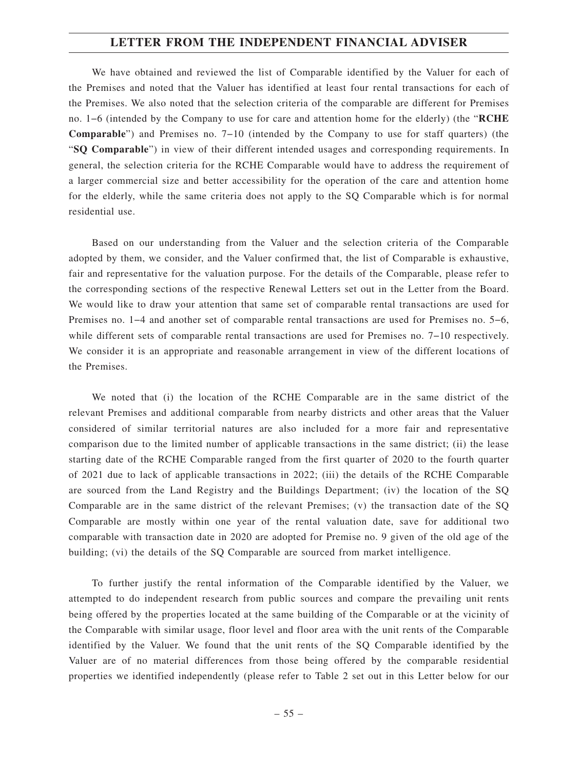We have obtained and reviewed the list of Comparable identified by the Valuer for each of the Premises and noted that the Valuer has identified at least four rental transactions for each of the Premises. We also noted that the selection criteria of the comparable are different for Premises no. 1−6 (intended by the Company to use for care and attention home for the elderly) (the "**RCHE Comparable**") and Premises no. 7−10 (intended by the Company to use for staff quarters) (the "**SQ Comparable**") in view of their different intended usages and corresponding requirements. In general, the selection criteria for the RCHE Comparable would have to address the requirement of a larger commercial size and better accessibility for the operation of the care and attention home for the elderly, while the same criteria does not apply to the SQ Comparable which is for normal residential use.

Based on our understanding from the Valuer and the selection criteria of the Comparable adopted by them, we consider, and the Valuer confirmed that, the list of Comparable is exhaustive, fair and representative for the valuation purpose. For the details of the Comparable, please refer to the corresponding sections of the respective Renewal Letters set out in the Letter from the Board. We would like to draw your attention that same set of comparable rental transactions are used for Premises no. 1−4 and another set of comparable rental transactions are used for Premises no. 5−6, while different sets of comparable rental transactions are used for Premises no. 7−10 respectively. We consider it is an appropriate and reasonable arrangement in view of the different locations of the Premises.

We noted that (i) the location of the RCHE Comparable are in the same district of the relevant Premises and additional comparable from nearby districts and other areas that the Valuer considered of similar territorial natures are also included for a more fair and representative comparison due to the limited number of applicable transactions in the same district; (ii) the lease starting date of the RCHE Comparable ranged from the first quarter of 2020 to the fourth quarter of 2021 due to lack of applicable transactions in 2022; (iii) the details of the RCHE Comparable are sourced from the Land Registry and the Buildings Department; (iv) the location of the SQ Comparable are in the same district of the relevant Premises; (v) the transaction date of the SQ Comparable are mostly within one year of the rental valuation date, save for additional two comparable with transaction date in 2020 are adopted for Premise no. 9 given of the old age of the building; (vi) the details of the SQ Comparable are sourced from market intelligence.

To further justify the rental information of the Comparable identified by the Valuer, we attempted to do independent research from public sources and compare the prevailing unit rents being offered by the properties located at the same building of the Comparable or at the vicinity of the Comparable with similar usage, floor level and floor area with the unit rents of the Comparable identified by the Valuer. We found that the unit rents of the SQ Comparable identified by the Valuer are of no material differences from those being offered by the comparable residential properties we identified independently (please refer to Table 2 set out in this Letter below for our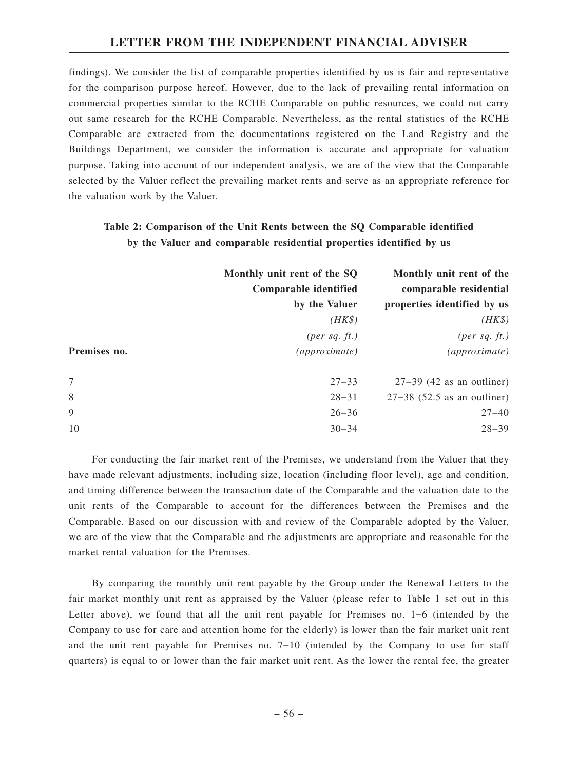findings). We consider the list of comparable properties identified by us is fair and representative for the comparison purpose hereof. However, due to the lack of prevailing rental information on commercial properties similar to the RCHE Comparable on public resources, we could not carry out same research for the RCHE Comparable. Nevertheless, as the rental statistics of the RCHE Comparable are extracted from the documentations registered on the Land Registry and the Buildings Department, we consider the information is accurate and appropriate for valuation purpose. Taking into account of our independent analysis, we are of the view that the Comparable selected by the Valuer reflect the prevailing market rents and serve as an appropriate reference for the valuation work by the Valuer.

## **Table 2: Comparison of the Unit Rents between the SQ Comparable identified by the Valuer and comparable residential properties identified by us**

|              | Monthly unit rent of the SQ<br>Comparable identified<br>by the Valuer | Monthly unit rent of the<br>comparable residential<br>properties identified by us |
|--------------|-----------------------------------------------------------------------|-----------------------------------------------------------------------------------|
|              | $(HK\$                                                                | $(HK\$                                                                            |
|              | ${\rm (per\ sq.\ ft.)}$                                               | $(\text{per sq. ft.})$                                                            |
| Premises no. | (approximate)                                                         | (approximate)                                                                     |
| 7            | $27 - 33$                                                             | $27-39$ (42 as an outliner)                                                       |
| 8            | $28 - 31$                                                             | $27-38$ (52.5 as an outliner)                                                     |
| 9            | $26 - 36$                                                             | $27 - 40$                                                                         |
| 10           | $30 - 34$                                                             | $28 - 39$                                                                         |

For conducting the fair market rent of the Premises, we understand from the Valuer that they have made relevant adjustments, including size, location (including floor level), age and condition, and timing difference between the transaction date of the Comparable and the valuation date to the unit rents of the Comparable to account for the differences between the Premises and the Comparable. Based on our discussion with and review of the Comparable adopted by the Valuer, we are of the view that the Comparable and the adjustments are appropriate and reasonable for the market rental valuation for the Premises.

By comparing the monthly unit rent payable by the Group under the Renewal Letters to the fair market monthly unit rent as appraised by the Valuer (please refer to Table 1 set out in this Letter above), we found that all the unit rent payable for Premises no. 1−6 (intended by the Company to use for care and attention home for the elderly) is lower than the fair market unit rent and the unit rent payable for Premises no. 7−10 (intended by the Company to use for staff quarters) is equal to or lower than the fair market unit rent. As the lower the rental fee, the greater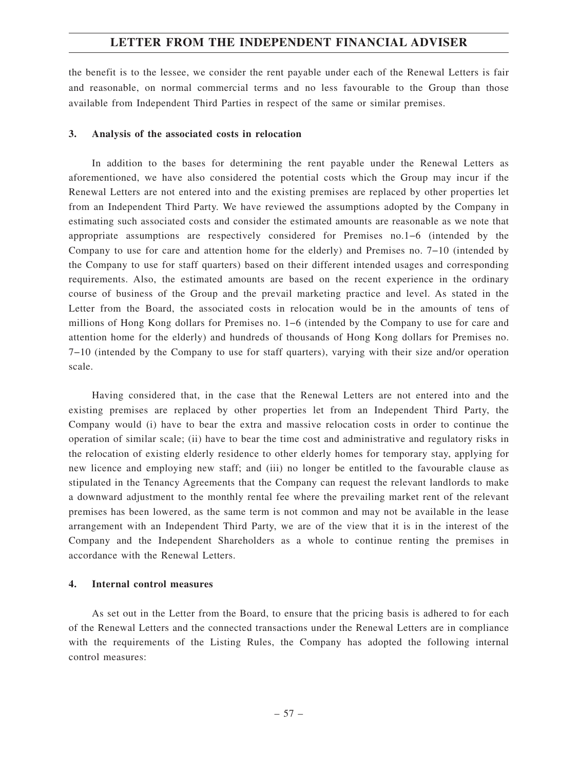the benefit is to the lessee, we consider the rent payable under each of the Renewal Letters is fair and reasonable, on normal commercial terms and no less favourable to the Group than those available from Independent Third Parties in respect of the same or similar premises.

#### **3. Analysis of the associated costs in relocation**

In addition to the bases for determining the rent payable under the Renewal Letters as aforementioned, we have also considered the potential costs which the Group may incur if the Renewal Letters are not entered into and the existing premises are replaced by other properties let from an Independent Third Party. We have reviewed the assumptions adopted by the Company in estimating such associated costs and consider the estimated amounts are reasonable as we note that appropriate assumptions are respectively considered for Premises no.1−6 (intended by the Company to use for care and attention home for the elderly) and Premises no. 7−10 (intended by the Company to use for staff quarters) based on their different intended usages and corresponding requirements. Also, the estimated amounts are based on the recent experience in the ordinary course of business of the Group and the prevail marketing practice and level. As stated in the Letter from the Board, the associated costs in relocation would be in the amounts of tens of millions of Hong Kong dollars for Premises no. 1−6 (intended by the Company to use for care and attention home for the elderly) and hundreds of thousands of Hong Kong dollars for Premises no. 7−10 (intended by the Company to use for staff quarters), varying with their size and/or operation scale.

Having considered that, in the case that the Renewal Letters are not entered into and the existing premises are replaced by other properties let from an Independent Third Party, the Company would (i) have to bear the extra and massive relocation costs in order to continue the operation of similar scale; (ii) have to bear the time cost and administrative and regulatory risks in the relocation of existing elderly residence to other elderly homes for temporary stay, applying for new licence and employing new staff; and (iii) no longer be entitled to the favourable clause as stipulated in the Tenancy Agreements that the Company can request the relevant landlords to make a downward adjustment to the monthly rental fee where the prevailing market rent of the relevant premises has been lowered, as the same term is not common and may not be available in the lease arrangement with an Independent Third Party, we are of the view that it is in the interest of the Company and the Independent Shareholders as a whole to continue renting the premises in accordance with the Renewal Letters.

#### **4. Internal control measures**

As set out in the Letter from the Board, to ensure that the pricing basis is adhered to for each of the Renewal Letters and the connected transactions under the Renewal Letters are in compliance with the requirements of the Listing Rules, the Company has adopted the following internal control measures: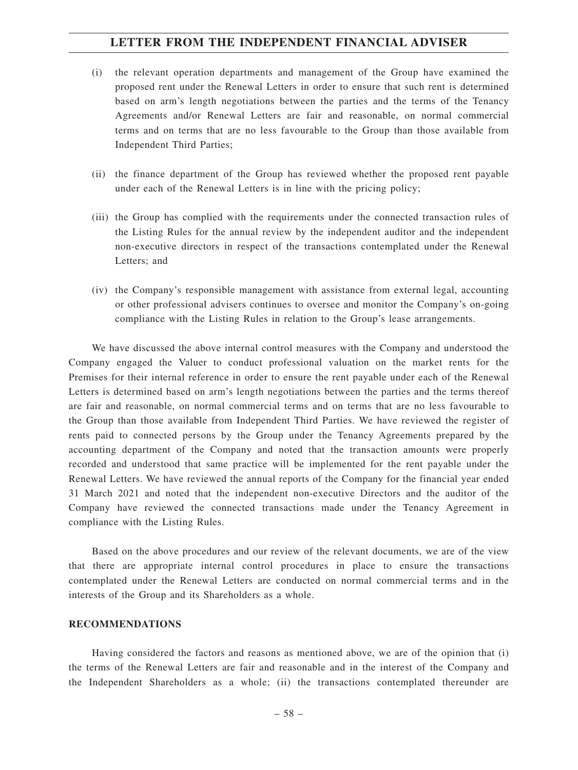- (i) the relevant operation departments and management of the Group have examined the proposed rent under the Renewal Letters in order to ensure that such rent is determined based on arm's length negotiations between the parties and the terms of the Tenancy Agreements and/or Renewal Letters are fair and reasonable, on normal commercial terms and on terms that are no less favourable to the Group than those available from Independent Third Parties;
- (ii) the finance department of the Group has reviewed whether the proposed rent payable under each of the Renewal Letters is in line with the pricing policy;
- (iii) the Group has complied with the requirements under the connected transaction rules of the Listing Rules for the annual review by the independent auditor and the independent non-executive directors in respect of the transactions contemplated under the Renewal Letters; and
- (iv) the Company's responsible management with assistance from external legal, accounting or other professional advisers continues to oversee and monitor the Company's on-going compliance with the Listing Rules in relation to the Group's lease arrangements.

We have discussed the above internal control measures with the Company and understood the Company engaged the Valuer to conduct professional valuation on the market rents for the Premises for their internal reference in order to ensure the rent payable under each of the Renewal Letters is determined based on arm's length negotiations between the parties and the terms thereof are fair and reasonable, on normal commercial terms and on terms that are no less favourable to the Group than those available from Independent Third Parties. We have reviewed the register of rents paid to connected persons by the Group under the Tenancy Agreements prepared by the accounting department of the Company and noted that the transaction amounts were properly recorded and understood that same practice will be implemented for the rent payable under the Renewal Letters. We have reviewed the annual reports of the Company for the financial year ended 31 March 2021 and noted that the independent non-executive Directors and the auditor of the Company have reviewed the connected transactions made under the Tenancy Agreement in compliance with the Listing Rules.

Based on the above procedures and our review of the relevant documents, we are of the view that there are appropriate internal control procedures in place to ensure the transactions contemplated under the Renewal Letters are conducted on normal commercial terms and in the interests of the Group and its Shareholders as a whole.

#### **RECOMMENDATIONS**

Having considered the factors and reasons as mentioned above, we are of the opinion that (i) the terms of the Renewal Letters are fair and reasonable and in the interest of the Company and the Independent Shareholders as a whole; (ii) the transactions contemplated thereunder are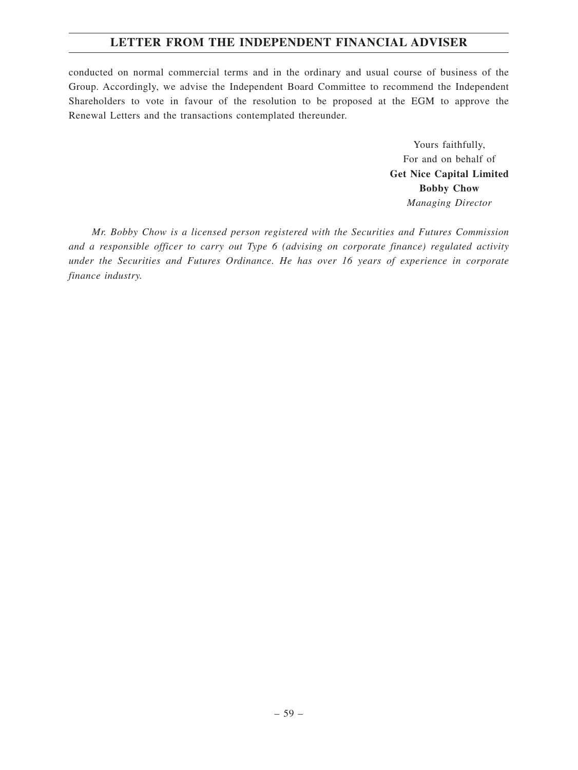conducted on normal commercial terms and in the ordinary and usual course of business of the Group. Accordingly, we advise the Independent Board Committee to recommend the Independent Shareholders to vote in favour of the resolution to be proposed at the EGM to approve the Renewal Letters and the transactions contemplated thereunder.

> Yours faithfully, For and on behalf of **Get Nice Capital Limited Bobby Chow** *Managing Director*

*Mr. Bobby Chow is a licensed person registered with the Securities and Futures Commission and a responsible officer to carry out Type 6 (advising on corporate finance) regulated activity under the Securities and Futures Ordinance. He has over 16 years of experience in corporate finance industry.*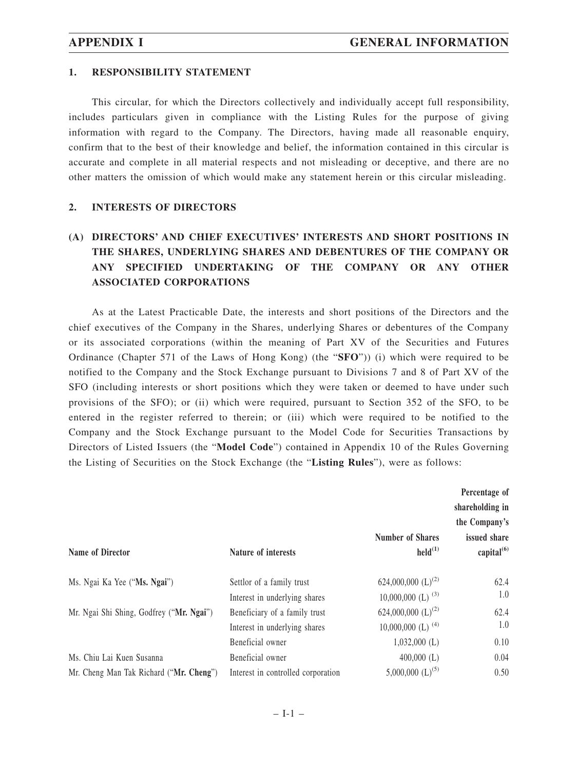#### **1. RESPONSIBILITY STATEMENT**

This circular, for which the Directors collectively and individually accept full responsibility, includes particulars given in compliance with the Listing Rules for the purpose of giving information with regard to the Company. The Directors, having made all reasonable enquiry, confirm that to the best of their knowledge and belief, the information contained in this circular is accurate and complete in all material respects and not misleading or deceptive, and there are no other matters the omission of which would make any statement herein or this circular misleading.

### **2. INTERESTS OF DIRECTORS**

## **(A) DIRECTORS' AND CHIEF EXECUTIVES' INTERESTS AND SHORT POSITIONS IN THE SHARES, UNDERLYING SHARES AND DEBENTURES OF THE COMPANY OR ANY SPECIFIED UNDERTAKING OF THE COMPANY OR ANY OTHER ASSOCIATED CORPORATIONS**

As at the Latest Practicable Date, the interests and short positions of the Directors and the chief executives of the Company in the Shares, underlying Shares or debentures of the Company or its associated corporations (within the meaning of Part XV of the Securities and Futures Ordinance (Chapter 571 of the Laws of Hong Kong) (the "**SFO**")) (i) which were required to be notified to the Company and the Stock Exchange pursuant to Divisions 7 and 8 of Part XV of the SFO (including interests or short positions which they were taken or deemed to have under such provisions of the SFO); or (ii) which were required, pursuant to Section 352 of the SFO, to be entered in the register referred to therein; or (iii) which were required to be notified to the Company and the Stock Exchange pursuant to the Model Code for Securities Transactions by Directors of Listed Issuers (the "**Model Code**") contained in Appendix 10 of the Rules Governing the Listing of Securities on the Stock Exchange (the "**Listing Rules**"), were as follows:

| Name of Director                         | Nature of interests                | <b>Number of Shares</b><br>$\text{held}^{(1)}$ | Percentage of<br>shareholding in<br>the Company's<br>issued share<br>capital <sup>(6)</sup> |
|------------------------------------------|------------------------------------|------------------------------------------------|---------------------------------------------------------------------------------------------|
| Ms. Ngai Ka Yee ("Ms. Ngai")             | Settlor of a family trust          | 624,000,000 $(L)^{(2)}$                        | 62.4                                                                                        |
|                                          | Interest in underlying shares      | 10,000,000 (L) $^{(3)}$                        | 1.0                                                                                         |
| Mr. Ngai Shi Shing, Godfrey ("Mr. Ngai") | Beneficiary of a family trust      | 624,000,000 $(L)^{(2)}$                        | 62.4                                                                                        |
|                                          | Interest in underlying shares      | $10,000,000$ (L) <sup>(4)</sup>                | 1.0                                                                                         |
|                                          | Beneficial owner                   | $1,032,000$ (L)                                | 0.10                                                                                        |
| Ms. Chiu Lai Kuen Susanna                | Beneficial owner                   | $400,000$ (L)                                  | 0.04                                                                                        |
| Mr. Cheng Man Tak Richard ("Mr. Cheng")  | Interest in controlled corporation | 5,000,000 $(L)^{(5)}$                          | 0.50                                                                                        |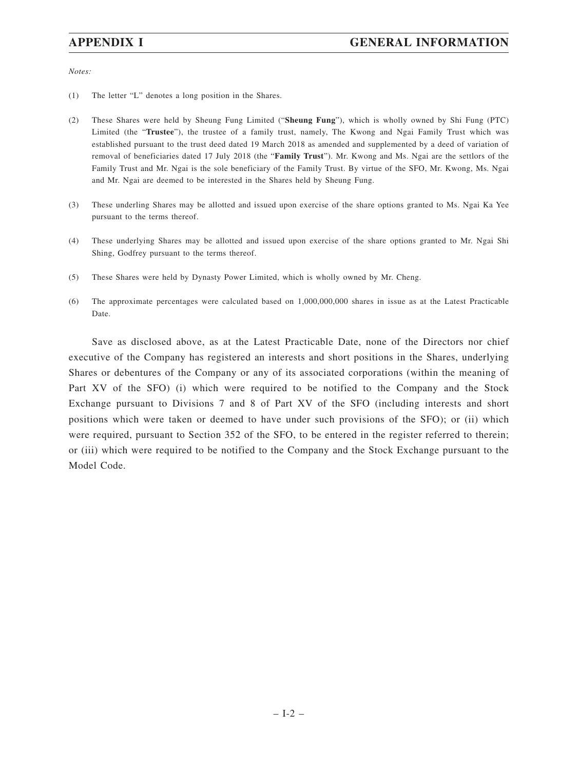*Notes:*

- (1) The letter "L" denotes a long position in the Shares.
- (2) These Shares were held by Sheung Fung Limited ("**Sheung Fung**"), which is wholly owned by Shi Fung (PTC) Limited (the "**Trustee**"), the trustee of a family trust, namely, The Kwong and Ngai Family Trust which was established pursuant to the trust deed dated 19 March 2018 as amended and supplemented by a deed of variation of removal of beneficiaries dated 17 July 2018 (the "**Family Trust**"). Mr. Kwong and Ms. Ngai are the settlors of the Family Trust and Mr. Ngai is the sole beneficiary of the Family Trust. By virtue of the SFO, Mr. Kwong, Ms. Ngai and Mr. Ngai are deemed to be interested in the Shares held by Sheung Fung.
- (3) These underling Shares may be allotted and issued upon exercise of the share options granted to Ms. Ngai Ka Yee pursuant to the terms thereof.
- (4) These underlying Shares may be allotted and issued upon exercise of the share options granted to Mr. Ngai Shi Shing, Godfrey pursuant to the terms thereof.
- (5) These Shares were held by Dynasty Power Limited, which is wholly owned by Mr. Cheng.
- (6) The approximate percentages were calculated based on 1,000,000,000 shares in issue as at the Latest Practicable Date.

Save as disclosed above, as at the Latest Practicable Date, none of the Directors nor chief executive of the Company has registered an interests and short positions in the Shares, underlying Shares or debentures of the Company or any of its associated corporations (within the meaning of Part XV of the SFO) (i) which were required to be notified to the Company and the Stock Exchange pursuant to Divisions 7 and 8 of Part XV of the SFO (including interests and short positions which were taken or deemed to have under such provisions of the SFO); or (ii) which were required, pursuant to Section 352 of the SFO, to be entered in the register referred to therein; or (iii) which were required to be notified to the Company and the Stock Exchange pursuant to the Model Code.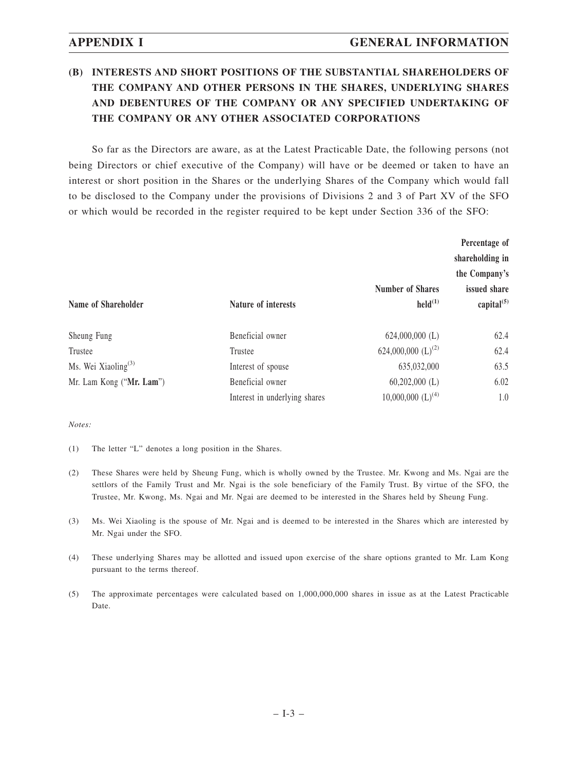## **(B) INTERESTS AND SHORT POSITIONS OF THE SUBSTANTIAL SHAREHOLDERS OF THE COMPANY AND OTHER PERSONS IN THE SHARES, UNDERLYING SHARES AND DEBENTURES OF THE COMPANY OR ANY SPECIFIED UNDERTAKING OF THE COMPANY OR ANY OTHER ASSOCIATED CORPORATIONS**

So far as the Directors are aware, as at the Latest Practicable Date, the following persons (not being Directors or chief executive of the Company) will have or be deemed or taken to have an interest or short position in the Shares or the underlying Shares of the Company which would fall to be disclosed to the Company under the provisions of Divisions 2 and 3 of Part XV of the SFO or which would be recorded in the register required to be kept under Section 336 of the SFO:

|                                 |                               |                                                | Percentage of<br>shareholding in<br>the Company's |
|---------------------------------|-------------------------------|------------------------------------------------|---------------------------------------------------|
| Name of Shareholder             | <b>Nature of interests</b>    | <b>Number of Shares</b><br>$\text{held}^{(1)}$ | issued share<br>capital $^{(5)}$                  |
| Sheung Fung                     | Beneficial owner              | $624,000,000$ (L)                              | 62.4                                              |
| Trustee                         | Trustee                       | 624,000,000 $(L)^{(2)}$                        | 62.4                                              |
| Ms. Wei Xiaoling <sup>(3)</sup> | Interest of spouse            | 635,032,000                                    | 63.5                                              |
| Mr. Lam Kong ("Mr. Lam")        | Beneficial owner              | $60,202,000$ (L)                               | 6.02                                              |
|                                 | Interest in underlying shares | $10,000,000$ $(L)$ <sup>(4)</sup>              | 1.0                                               |

*Notes:*

- (1) The letter "L" denotes a long position in the Shares.
- (2) These Shares were held by Sheung Fung, which is wholly owned by the Trustee. Mr. Kwong and Ms. Ngai are the settlors of the Family Trust and Mr. Ngai is the sole beneficiary of the Family Trust. By virtue of the SFO, the Trustee, Mr. Kwong, Ms. Ngai and Mr. Ngai are deemed to be interested in the Shares held by Sheung Fung.
- (3) Ms. Wei Xiaoling is the spouse of Mr. Ngai and is deemed to be interested in the Shares which are interested by Mr. Ngai under the SFO.
- (4) These underlying Shares may be allotted and issued upon exercise of the share options granted to Mr. Lam Kong pursuant to the terms thereof.
- (5) The approximate percentages were calculated based on 1,000,000,000 shares in issue as at the Latest Practicable Date.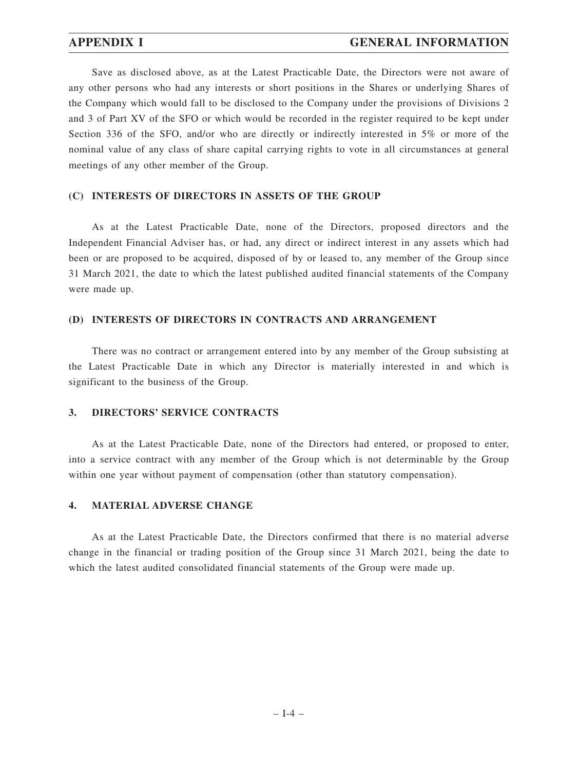## **APPENDIX I GENERAL INFORMATION**

Save as disclosed above, as at the Latest Practicable Date, the Directors were not aware of any other persons who had any interests or short positions in the Shares or underlying Shares of the Company which would fall to be disclosed to the Company under the provisions of Divisions 2 and 3 of Part XV of the SFO or which would be recorded in the register required to be kept under Section 336 of the SFO, and/or who are directly or indirectly interested in 5% or more of the nominal value of any class of share capital carrying rights to vote in all circumstances at general meetings of any other member of the Group.

#### **(C) INTERESTS OF DIRECTORS IN ASSETS OF THE GROUP**

As at the Latest Practicable Date, none of the Directors, proposed directors and the Independent Financial Adviser has, or had, any direct or indirect interest in any assets which had been or are proposed to be acquired, disposed of by or leased to, any member of the Group since 31 March 2021, the date to which the latest published audited financial statements of the Company were made up.

#### **(D) INTERESTS OF DIRECTORS IN CONTRACTS AND ARRANGEMENT**

There was no contract or arrangement entered into by any member of the Group subsisting at the Latest Practicable Date in which any Director is materially interested in and which is significant to the business of the Group.

#### **3. DIRECTORS' SERVICE CONTRACTS**

As at the Latest Practicable Date, none of the Directors had entered, or proposed to enter, into a service contract with any member of the Group which is not determinable by the Group within one year without payment of compensation (other than statutory compensation).

#### **4. MATERIAL ADVERSE CHANGE**

As at the Latest Practicable Date, the Directors confirmed that there is no material adverse change in the financial or trading position of the Group since 31 March 2021, being the date to which the latest audited consolidated financial statements of the Group were made up.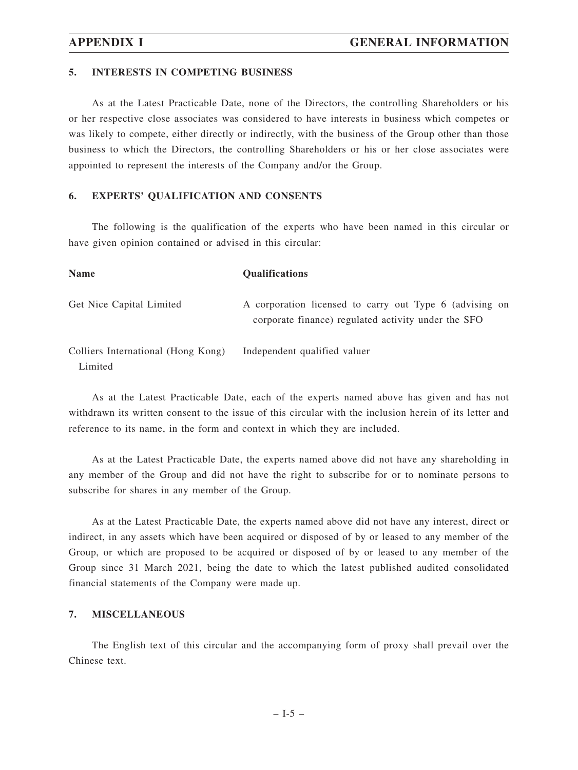#### **5. INTERESTS IN COMPETING BUSINESS**

As at the Latest Practicable Date, none of the Directors, the controlling Shareholders or his or her respective close associates was considered to have interests in business which competes or was likely to compete, either directly or indirectly, with the business of the Group other than those business to which the Directors, the controlling Shareholders or his or her close associates were appointed to represent the interests of the Company and/or the Group.

### **6. EXPERTS' QUALIFICATION AND CONSENTS**

The following is the qualification of the experts who have been named in this circular or have given opinion contained or advised in this circular:

| <b>Name</b>                                   | <b>Qualifications</b>                                                                                          |
|-----------------------------------------------|----------------------------------------------------------------------------------------------------------------|
| Get Nice Capital Limited                      | A corporation licensed to carry out Type 6 (advising on<br>corporate finance) regulated activity under the SFO |
| Colliers International (Hong Kong)<br>Limited | Independent qualified valuer                                                                                   |

As at the Latest Practicable Date, each of the experts named above has given and has not withdrawn its written consent to the issue of this circular with the inclusion herein of its letter and reference to its name, in the form and context in which they are included.

As at the Latest Practicable Date, the experts named above did not have any shareholding in any member of the Group and did not have the right to subscribe for or to nominate persons to subscribe for shares in any member of the Group.

As at the Latest Practicable Date, the experts named above did not have any interest, direct or indirect, in any assets which have been acquired or disposed of by or leased to any member of the Group, or which are proposed to be acquired or disposed of by or leased to any member of the Group since 31 March 2021, being the date to which the latest published audited consolidated financial statements of the Company were made up.

#### **7. MISCELLANEOUS**

The English text of this circular and the accompanying form of proxy shall prevail over the Chinese text.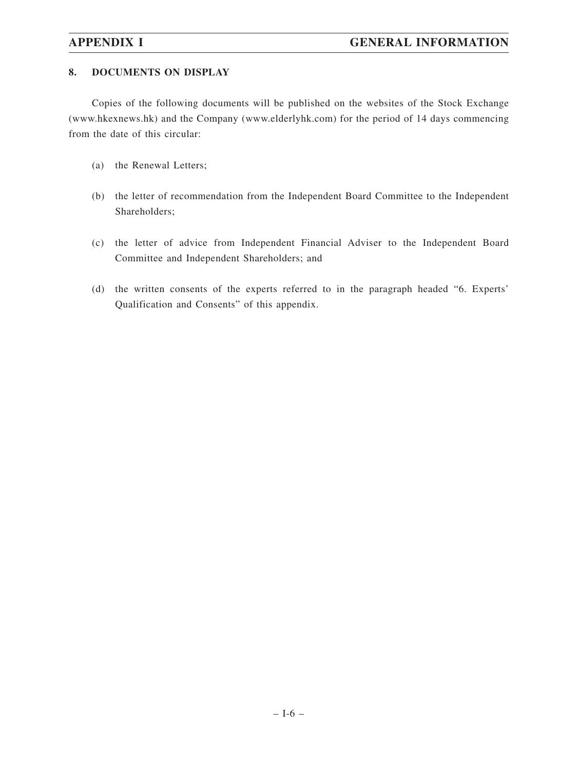## **8. DOCUMENTS ON DISPLAY**

Copies of the following documents will be published on the websites of the Stock Exchange (www.hkexnews.hk) and the Company (www.elderlyhk.com) for the period of 14 days commencing from the date of this circular:

- (a) the Renewal Letters;
- (b) the letter of recommendation from the Independent Board Committee to the Independent Shareholders;
- (c) the letter of advice from Independent Financial Adviser to the Independent Board Committee and Independent Shareholders; and
- (d) the written consents of the experts referred to in the paragraph headed "6. Experts' Qualification and Consents" of this appendix.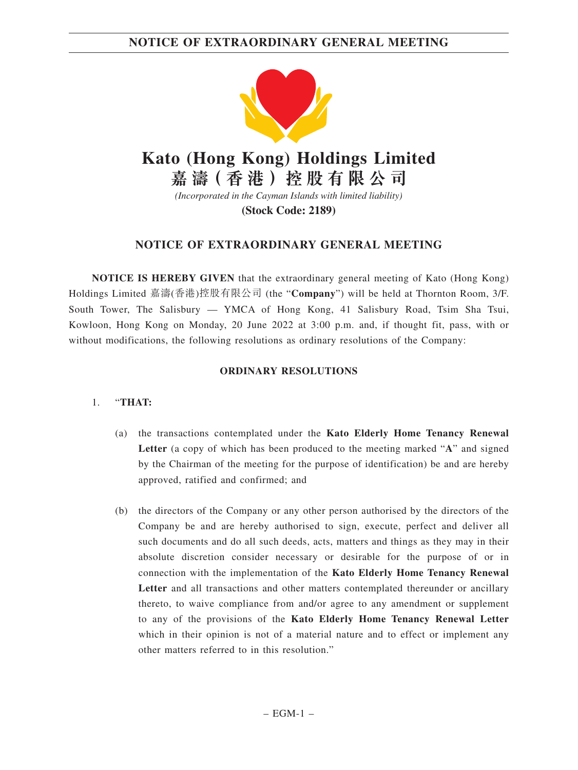## **NOTICE OF EXTRAORDINARY GENERAL MEETING**



# **Kato (Hong Kong) Holdings Limited**

**嘉 濤( 香 港 )控 股 有 限 公 司**

*(Incorporated in the Cayman Islands with limited liability)*

**(Stock Code: 2189)**

## **NOTICE OF EXTRAORDINARY GENERAL MEETING**

**NOTICE IS HEREBY GIVEN** that the extraordinary general meeting of Kato (Hong Kong) Holdings Limited 嘉濤(香港)控股有限公司 (the "**Company**") will be held at Thornton Room, 3/F. South Tower, The Salisbury — YMCA of Hong Kong, 41 Salisbury Road, Tsim Sha Tsui, Kowloon, Hong Kong on Monday, 20 June 2022 at 3:00 p.m. and, if thought fit, pass, with or without modifications, the following resolutions as ordinary resolutions of the Company:

## **ORDINARY RESOLUTIONS**

- (a) the transactions contemplated under the **Kato Elderly Home Tenancy Renewal Letter** (a copy of which has been produced to the meeting marked "**A**" and signed by the Chairman of the meeting for the purpose of identification) be and are hereby approved, ratified and confirmed; and
- (b) the directors of the Company or any other person authorised by the directors of the Company be and are hereby authorised to sign, execute, perfect and deliver all such documents and do all such deeds, acts, matters and things as they may in their absolute discretion consider necessary or desirable for the purpose of or in connection with the implementation of the **Kato Elderly Home Tenancy Renewal Letter** and all transactions and other matters contemplated thereunder or ancillary thereto, to waive compliance from and/or agree to any amendment or supplement to any of the provisions of the **Kato Elderly Home Tenancy Renewal Letter** which in their opinion is not of a material nature and to effect or implement any other matters referred to in this resolution."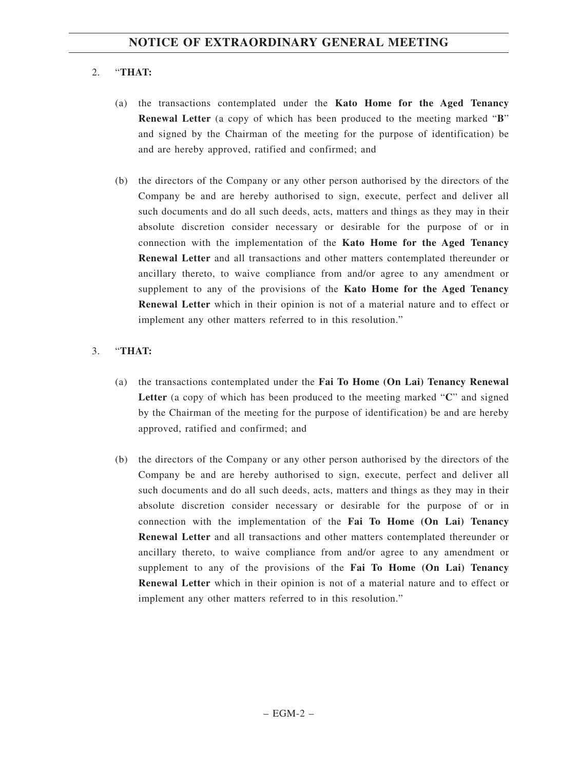## 2. "**THAT:**

- (a) the transactions contemplated under the **Kato Home for the Aged Tenancy Renewal Letter** (a copy of which has been produced to the meeting marked "**B**" and signed by the Chairman of the meeting for the purpose of identification) be and are hereby approved, ratified and confirmed; and
- (b) the directors of the Company or any other person authorised by the directors of the Company be and are hereby authorised to sign, execute, perfect and deliver all such documents and do all such deeds, acts, matters and things as they may in their absolute discretion consider necessary or desirable for the purpose of or in connection with the implementation of the **Kato Home for the Aged Tenancy Renewal Letter** and all transactions and other matters contemplated thereunder or ancillary thereto, to waive compliance from and/or agree to any amendment or supplement to any of the provisions of the **Kato Home for the Aged Tenancy Renewal Letter** which in their opinion is not of a material nature and to effect or implement any other matters referred to in this resolution."

- (a) the transactions contemplated under the **Fai To Home (On Lai) Tenancy Renewal Letter** (a copy of which has been produced to the meeting marked "**C**" and signed by the Chairman of the meeting for the purpose of identification) be and are hereby approved, ratified and confirmed; and
- (b) the directors of the Company or any other person authorised by the directors of the Company be and are hereby authorised to sign, execute, perfect and deliver all such documents and do all such deeds, acts, matters and things as they may in their absolute discretion consider necessary or desirable for the purpose of or in connection with the implementation of the **Fai To Home (On Lai) Tenancy Renewal Letter** and all transactions and other matters contemplated thereunder or ancillary thereto, to waive compliance from and/or agree to any amendment or supplement to any of the provisions of the **Fai To Home (On Lai) Tenancy Renewal Letter** which in their opinion is not of a material nature and to effect or implement any other matters referred to in this resolution."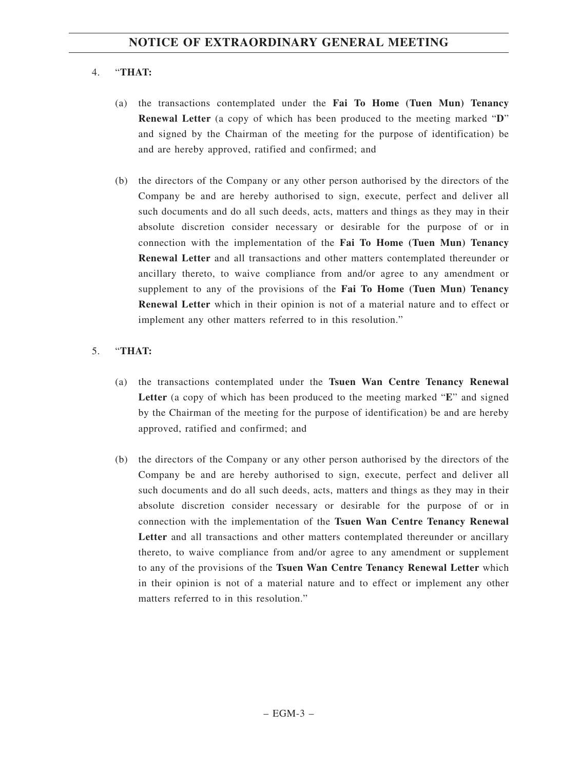## 4. "**THAT:**

- (a) the transactions contemplated under the **Fai To Home (Tuen Mun) Tenancy Renewal Letter** (a copy of which has been produced to the meeting marked "**D**" and signed by the Chairman of the meeting for the purpose of identification) be and are hereby approved, ratified and confirmed; and
- (b) the directors of the Company or any other person authorised by the directors of the Company be and are hereby authorised to sign, execute, perfect and deliver all such documents and do all such deeds, acts, matters and things as they may in their absolute discretion consider necessary or desirable for the purpose of or in connection with the implementation of the **Fai To Home (Tuen Mun) Tenancy Renewal Letter** and all transactions and other matters contemplated thereunder or ancillary thereto, to waive compliance from and/or agree to any amendment or supplement to any of the provisions of the **Fai To Home (Tuen Mun) Tenancy Renewal Letter** which in their opinion is not of a material nature and to effect or implement any other matters referred to in this resolution."

- (a) the transactions contemplated under the **Tsuen Wan Centre Tenancy Renewal Letter** (a copy of which has been produced to the meeting marked "**E**" and signed by the Chairman of the meeting for the purpose of identification) be and are hereby approved, ratified and confirmed; and
- (b) the directors of the Company or any other person authorised by the directors of the Company be and are hereby authorised to sign, execute, perfect and deliver all such documents and do all such deeds, acts, matters and things as they may in their absolute discretion consider necessary or desirable for the purpose of or in connection with the implementation of the **Tsuen Wan Centre Tenancy Renewal Letter** and all transactions and other matters contemplated thereunder or ancillary thereto, to waive compliance from and/or agree to any amendment or supplement to any of the provisions of the **Tsuen Wan Centre Tenancy Renewal Letter** which in their opinion is not of a material nature and to effect or implement any other matters referred to in this resolution."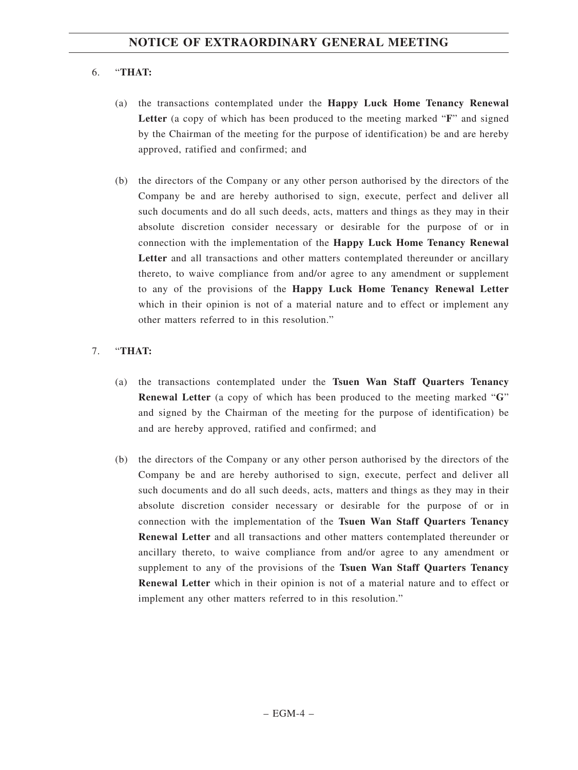## 6. "**THAT:**

- (a) the transactions contemplated under the **Happy Luck Home Tenancy Renewal Letter** (a copy of which has been produced to the meeting marked "**F**" and signed by the Chairman of the meeting for the purpose of identification) be and are hereby approved, ratified and confirmed; and
- (b) the directors of the Company or any other person authorised by the directors of the Company be and are hereby authorised to sign, execute, perfect and deliver all such documents and do all such deeds, acts, matters and things as they may in their absolute discretion consider necessary or desirable for the purpose of or in connection with the implementation of the **Happy Luck Home Tenancy Renewal Letter** and all transactions and other matters contemplated thereunder or ancillary thereto, to waive compliance from and/or agree to any amendment or supplement to any of the provisions of the **Happy Luck Home Tenancy Renewal Letter** which in their opinion is not of a material nature and to effect or implement any other matters referred to in this resolution."

- (a) the transactions contemplated under the **Tsuen Wan Staff Quarters Tenancy Renewal Letter** (a copy of which has been produced to the meeting marked "**G**" and signed by the Chairman of the meeting for the purpose of identification) be and are hereby approved, ratified and confirmed; and
- (b) the directors of the Company or any other person authorised by the directors of the Company be and are hereby authorised to sign, execute, perfect and deliver all such documents and do all such deeds, acts, matters and things as they may in their absolute discretion consider necessary or desirable for the purpose of or in connection with the implementation of the **Tsuen Wan Staff Quarters Tenancy Renewal Letter** and all transactions and other matters contemplated thereunder or ancillary thereto, to waive compliance from and/or agree to any amendment or supplement to any of the provisions of the **Tsuen Wan Staff Quarters Tenancy Renewal Letter** which in their opinion is not of a material nature and to effect or implement any other matters referred to in this resolution."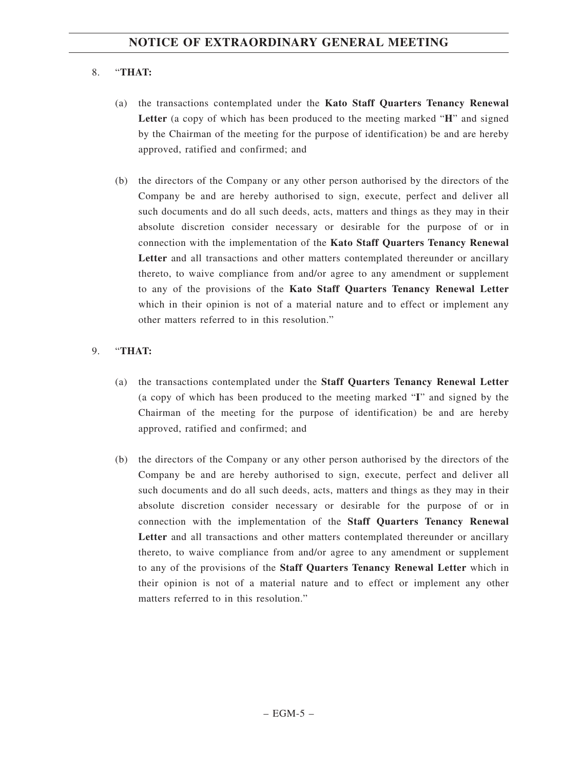# 8. "**THAT:**

- (a) the transactions contemplated under the **Kato Staff Quarters Tenancy Renewal Letter** (a copy of which has been produced to the meeting marked "**H**" and signed by the Chairman of the meeting for the purpose of identification) be and are hereby approved, ratified and confirmed; and
- (b) the directors of the Company or any other person authorised by the directors of the Company be and are hereby authorised to sign, execute, perfect and deliver all such documents and do all such deeds, acts, matters and things as they may in their absolute discretion consider necessary or desirable for the purpose of or in connection with the implementation of the **Kato Staff Quarters Tenancy Renewal Letter** and all transactions and other matters contemplated thereunder or ancillary thereto, to waive compliance from and/or agree to any amendment or supplement to any of the provisions of the **Kato Staff Quarters Tenancy Renewal Letter** which in their opinion is not of a material nature and to effect or implement any other matters referred to in this resolution."

## 9. "**THAT:**

- (a) the transactions contemplated under the **Staff Quarters Tenancy Renewal Letter** (a copy of which has been produced to the meeting marked "**I**" and signed by the Chairman of the meeting for the purpose of identification) be and are hereby approved, ratified and confirmed; and
- (b) the directors of the Company or any other person authorised by the directors of the Company be and are hereby authorised to sign, execute, perfect and deliver all such documents and do all such deeds, acts, matters and things as they may in their absolute discretion consider necessary or desirable for the purpose of or in connection with the implementation of the **Staff Quarters Tenancy Renewal Letter** and all transactions and other matters contemplated thereunder or ancillary thereto, to waive compliance from and/or agree to any amendment or supplement to any of the provisions of the **Staff Quarters Tenancy Renewal Letter** which in their opinion is not of a material nature and to effect or implement any other matters referred to in this resolution."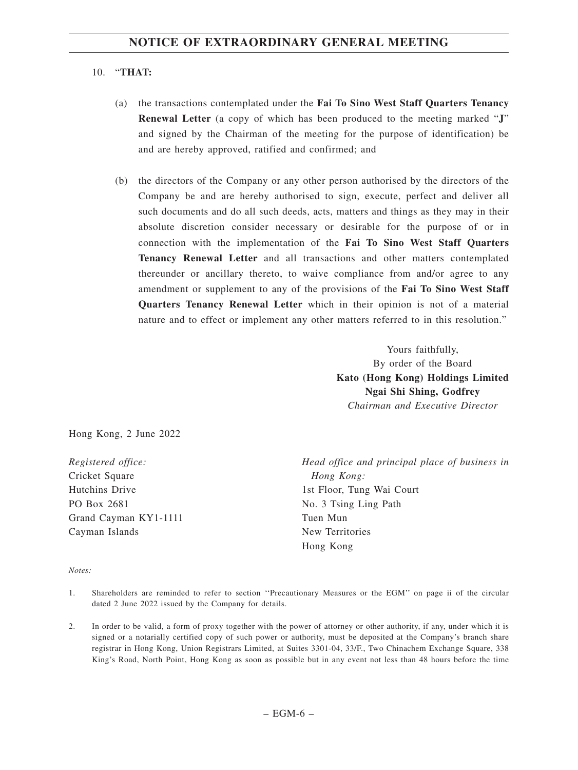### 10. "**THAT:**

- (a) the transactions contemplated under the **Fai To Sino West Staff Quarters Tenancy Renewal Letter** (a copy of which has been produced to the meeting marked "**J**" and signed by the Chairman of the meeting for the purpose of identification) be and are hereby approved, ratified and confirmed; and
- (b) the directors of the Company or any other person authorised by the directors of the Company be and are hereby authorised to sign, execute, perfect and deliver all such documents and do all such deeds, acts, matters and things as they may in their absolute discretion consider necessary or desirable for the purpose of or in connection with the implementation of the **Fai To Sino West Staff Quarters Tenancy Renewal Letter** and all transactions and other matters contemplated thereunder or ancillary thereto, to waive compliance from and/or agree to any amendment or supplement to any of the provisions of the **Fai To Sino West Staff Quarters Tenancy Renewal Letter** which in their opinion is not of a material nature and to effect or implement any other matters referred to in this resolution."

Yours faithfully, By order of the Board **Kato (Hong Kong) Holdings Limited Ngai Shi Shing, Godfrey** *Chairman and Executive Director*

Hong Kong, 2 June 2022

*Registered office:* Cricket Square Hutchins Drive PO Box 2681 Grand Cayman KY1-1111 Cayman Islands

*Head office and principal place of business in Hong Kong:* 1st Floor, Tung Wai Court No. 3 Tsing Ling Path Tuen Mun New Territories Hong Kong

#### *Notes:*

- 1. Shareholders are reminded to refer to section ''Precautionary Measures or the EGM'' on page ii of the circular dated 2 June 2022 issued by the Company for details.
- 2. In order to be valid, a form of proxy together with the power of attorney or other authority, if any, under which it is signed or a notarially certified copy of such power or authority, must be deposited at the Company's branch share registrar in Hong Kong, Union Registrars Limited, at Suites 3301-04, 33/F., Two Chinachem Exchange Square, 338 King's Road, North Point, Hong Kong as soon as possible but in any event not less than 48 hours before the time